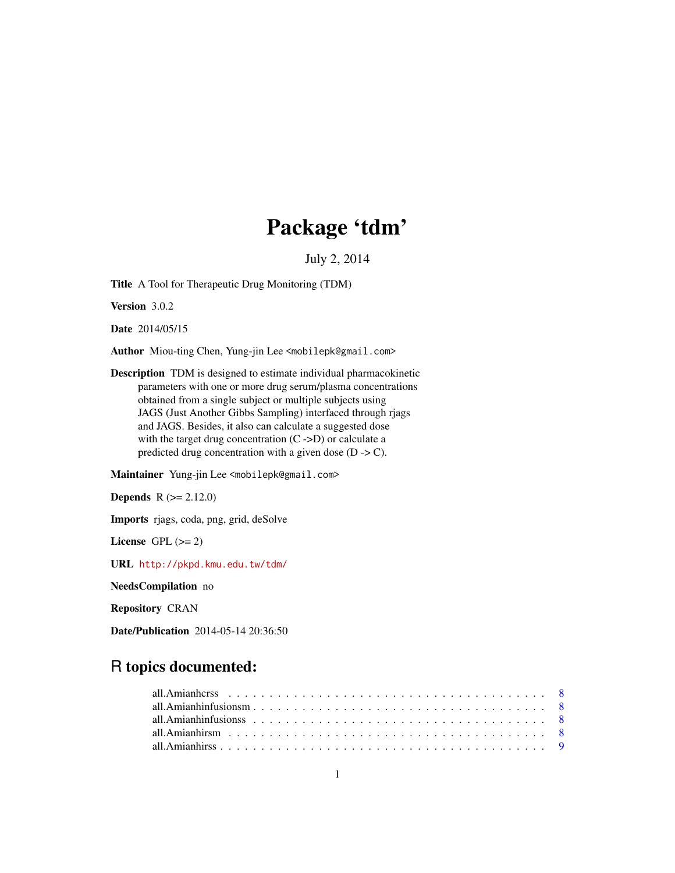# Package 'tdm'

July 2, 2014

Title A Tool for Therapeutic Drug Monitoring (TDM)

Version 3.0.2

Date 2014/05/15

Author Miou-ting Chen, Yung-jin Lee <mobilepk@gmail.com>

Description TDM is designed to estimate individual pharmacokinetic parameters with one or more drug serum/plasma concentrations obtained from a single subject or multiple subjects using JAGS (Just Another Gibbs Sampling) interfaced through rjags and JAGS. Besides, it also can calculate a suggested dose with the target drug concentration  $(C \rightarrow D)$  or calculate a predicted drug concentration with a given dose  $(D \rightarrow C)$ .

Maintainer Yung-jin Lee <mobilepk@gmail.com>

**Depends**  $R (= 2.12.0)$ 

Imports rjags, coda, png, grid, deSolve

License GPL  $(>= 2)$ 

URL <http://pkpd.kmu.edu.tw/tdm/>

NeedsCompilation no

Repository CRAN

Date/Publication 2014-05-14 20:36:50

# R topics documented: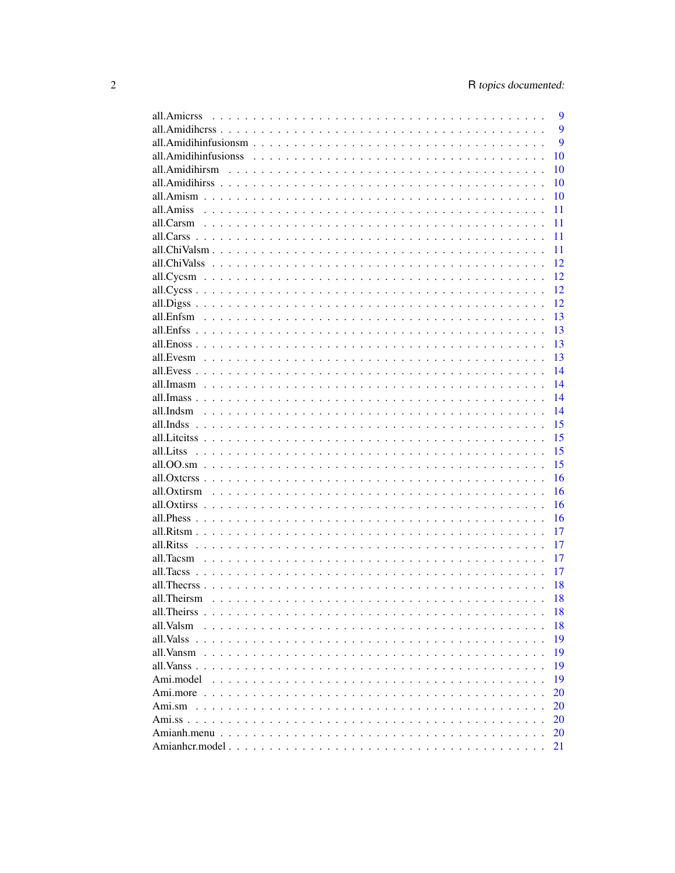| 9<br>all.Amicrss         |
|--------------------------|
| 9                        |
| 9                        |
| 10                       |
| 10                       |
| 10                       |
| 10                       |
| all.Amiss $\ldots$<br>11 |
| 11                       |
| 11                       |
| 11                       |
| 12                       |
| 12                       |
| 12                       |
| 12                       |
| 13                       |
| 13                       |
| 13                       |
| 13                       |
| 14                       |
| 14                       |
| 14                       |
| 14                       |
| 15<br>all Inds.          |
| 15                       |
| 15                       |
| 15                       |
| 16                       |
| 16                       |
| 16                       |
| 16                       |
| 17                       |
| 17                       |
| 17                       |
| 17                       |
| 18                       |
| all.Theirsm<br>18        |
| 18                       |
| 18<br>all.Valsm          |
| 19                       |
| 19<br>all.Vansm          |
| 19                       |
| 19<br>Ami.model          |
| 20                       |
| $Ami$ .sm                |
| 20                       |
| 20                       |
| 20                       |
| 21                       |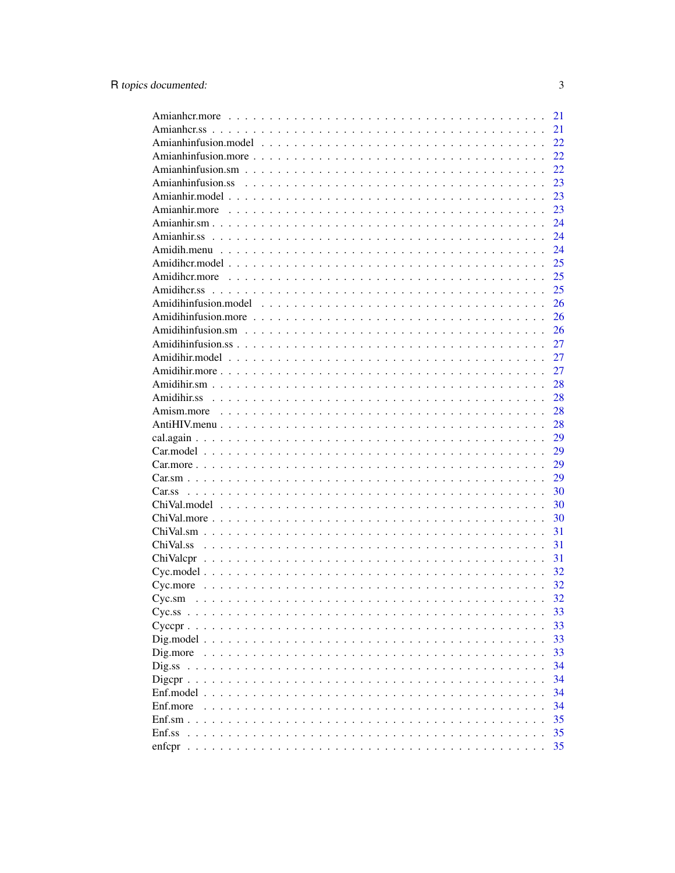|                                                                                                                                           | 21       |
|-------------------------------------------------------------------------------------------------------------------------------------------|----------|
|                                                                                                                                           | 21       |
|                                                                                                                                           | 22       |
|                                                                                                                                           | 22       |
|                                                                                                                                           | 22       |
|                                                                                                                                           | 23       |
|                                                                                                                                           | 23       |
|                                                                                                                                           | 23       |
|                                                                                                                                           | 24       |
|                                                                                                                                           | 24       |
|                                                                                                                                           | 24       |
|                                                                                                                                           | 25       |
|                                                                                                                                           | 25       |
|                                                                                                                                           | 25       |
|                                                                                                                                           | 26       |
|                                                                                                                                           | 26       |
|                                                                                                                                           | 26       |
|                                                                                                                                           | 27       |
|                                                                                                                                           | 27       |
|                                                                                                                                           | 27       |
|                                                                                                                                           | 28       |
|                                                                                                                                           | 28       |
|                                                                                                                                           | 28       |
|                                                                                                                                           | 28       |
|                                                                                                                                           | 29       |
|                                                                                                                                           | 29       |
|                                                                                                                                           | 29       |
|                                                                                                                                           | 29       |
|                                                                                                                                           | 30       |
|                                                                                                                                           | 30       |
|                                                                                                                                           | 30       |
| $ChiVal.more \dots \dots \dots \dots \dots \dots \dots \dots \dots \dots \dots \dots \dots \dots \dots \dots \dots$                       | 31       |
|                                                                                                                                           |          |
|                                                                                                                                           | 31       |
|                                                                                                                                           | 31       |
|                                                                                                                                           | 32       |
|                                                                                                                                           | 32<br>32 |
| Cyc.sm<br>. The contract of the contract of the contract of the contract of the contract of the contract of the contract of $\mathcal{A}$ |          |
|                                                                                                                                           | 33       |
|                                                                                                                                           | 33       |
|                                                                                                                                           | 33       |
|                                                                                                                                           | 33       |
|                                                                                                                                           | 34       |
|                                                                                                                                           | 34       |
|                                                                                                                                           | 34       |
| Enf.more                                                                                                                                  | 34       |
| $Enf.sm.$                                                                                                                                 | 35       |
| Enf.ss                                                                                                                                    | 35       |
|                                                                                                                                           | 35       |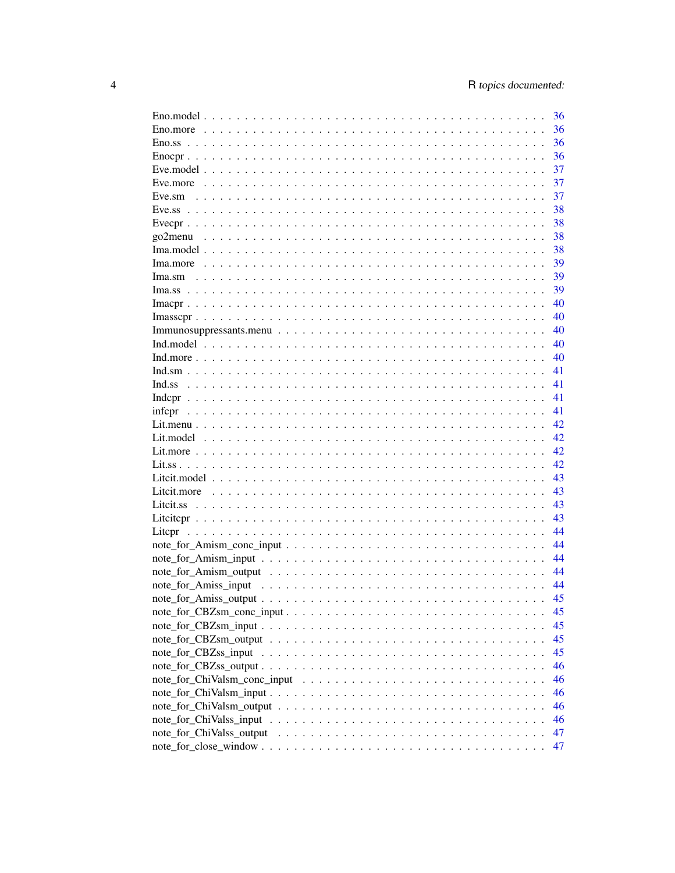| 36 |
|----|
| 36 |
| 36 |
| 36 |
| 37 |
| 37 |
| 37 |
| 38 |
| 38 |
| 38 |
| 38 |
| 39 |
| 39 |
| 39 |
| 40 |
|    |
| 40 |
| 40 |
| 40 |
| 40 |
| 41 |
| 41 |
| 41 |
| 41 |
| 42 |
| 42 |
| 42 |
| 42 |
| 43 |
| 43 |
| 43 |
| 43 |
| 44 |
| 44 |
| 44 |
| 44 |
| 44 |
| 45 |
| 45 |
| 45 |
|    |
| 45 |
| 45 |
| 46 |
| 46 |
| 46 |
| 46 |
| 46 |
| 47 |
| 47 |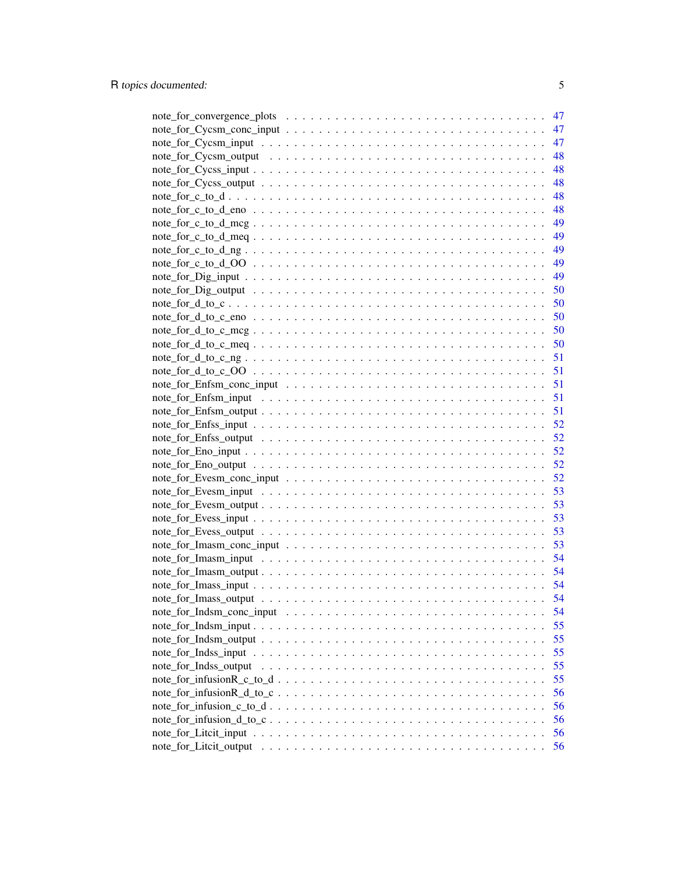|                       | 47 |
|-----------------------|----|
|                       | 47 |
|                       | 47 |
|                       | 48 |
|                       | 48 |
|                       | 48 |
|                       | 48 |
|                       | 48 |
|                       |    |
|                       |    |
|                       |    |
|                       |    |
|                       |    |
|                       |    |
|                       |    |
|                       |    |
|                       |    |
|                       |    |
|                       |    |
|                       |    |
|                       |    |
|                       | 51 |
|                       | 51 |
|                       |    |
|                       |    |
|                       |    |
|                       | 52 |
|                       | 52 |
|                       | 53 |
|                       | 53 |
|                       | 53 |
|                       | 53 |
|                       | 53 |
|                       | 54 |
|                       |    |
|                       | 54 |
|                       | 54 |
|                       | 54 |
|                       | 55 |
|                       | 55 |
|                       | 55 |
| note_for_Indss_output | 55 |
|                       | 55 |
|                       | 56 |
|                       | 56 |
|                       | 56 |
|                       | 56 |
|                       | 56 |
|                       |    |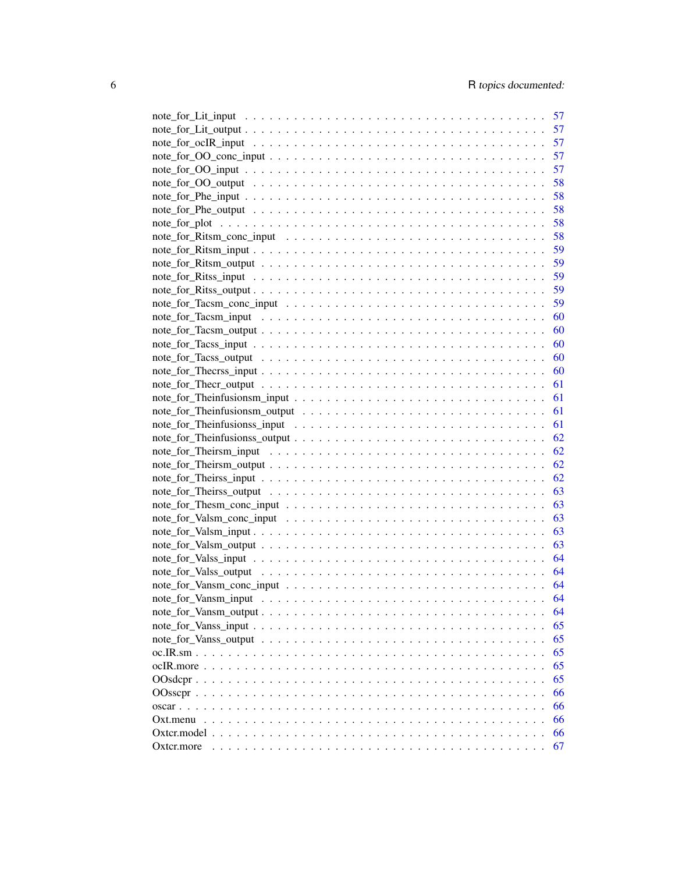|            | 57       |
|------------|----------|
|            | 57       |
|            | 57       |
|            | 57       |
|            | 57       |
|            | 58       |
|            | 58       |
|            | 58       |
|            | 58       |
|            | 58       |
|            | 59       |
|            | 59       |
|            | 59       |
|            | 59       |
|            | 59       |
|            | 60       |
|            | 60       |
|            | 60       |
|            | 60       |
|            | 60       |
|            | 61       |
|            | 61       |
|            |          |
|            |          |
|            |          |
|            |          |
|            |          |
|            |          |
|            |          |
|            |          |
|            |          |
|            | 63       |
|            | 63       |
|            |          |
|            | 64<br>64 |
|            |          |
|            | 64       |
|            | 64       |
|            | 64       |
|            | 65       |
|            | 65       |
|            | 65       |
|            | 65       |
|            | 65       |
|            | 66       |
|            | 66       |
|            | 66       |
|            | 66       |
| Oxter.more | 67       |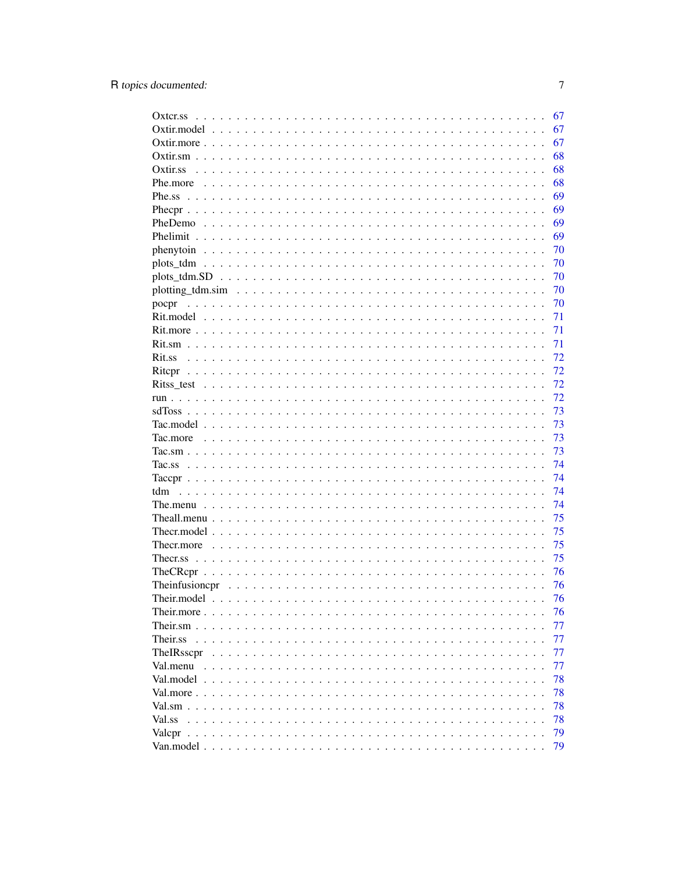|                                                   | 67 |
|---------------------------------------------------|----|
|                                                   | 67 |
|                                                   | 67 |
|                                                   | 68 |
|                                                   | 68 |
|                                                   | 68 |
|                                                   | 69 |
|                                                   | 69 |
|                                                   | 69 |
|                                                   | 69 |
|                                                   | 70 |
|                                                   | 70 |
|                                                   | 70 |
|                                                   | 70 |
| pocpr                                             | 70 |
|                                                   | 71 |
|                                                   | 71 |
|                                                   | 71 |
| Rit.ss                                            | 72 |
|                                                   | 72 |
|                                                   | 72 |
|                                                   | 72 |
|                                                   |    |
|                                                   | 73 |
|                                                   | 73 |
|                                                   | 73 |
|                                                   | 73 |
|                                                   | 74 |
|                                                   | 74 |
| tdm                                               | 74 |
|                                                   | 74 |
|                                                   | 75 |
|                                                   | 75 |
|                                                   | 75 |
|                                                   | 75 |
|                                                   | 76 |
| Theinfusioncpr                                    | 76 |
|                                                   | 76 |
|                                                   | 76 |
| Their.sm $\ldots$<br>$\cdots$<br>$\sim$<br>$\sim$ | 77 |
| Their.ss                                          | 77 |
| TheIRsscpr                                        | 77 |
|                                                   | 77 |
|                                                   | 78 |
|                                                   | 78 |
|                                                   | 78 |
| Val.ss                                            | 78 |
|                                                   | 79 |
|                                                   | 79 |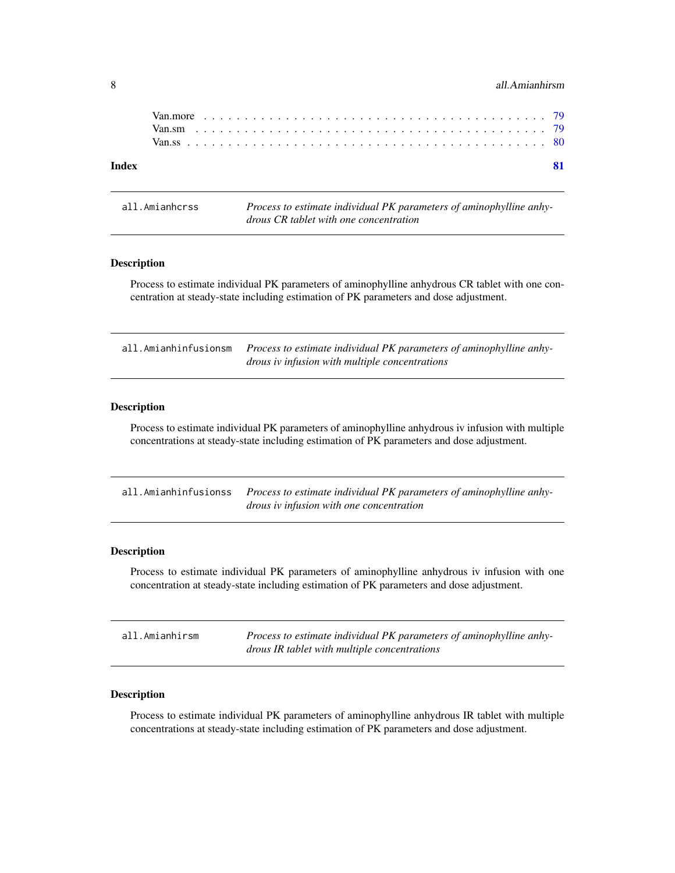### <span id="page-7-0"></span>8 all.Amianhirsm

### **Index** [81](#page-80-0)

all.Amianhcrss *Process to estimate individual PK parameters of aminophylline anhydrous CR tablet with one concentration*

# Description

Process to estimate individual PK parameters of aminophylline anhydrous CR tablet with one concentration at steady-state including estimation of PK parameters and dose adjustment.

all.Amianhinfusionsm *Process to estimate individual PK parameters of aminophylline anhydrous iv infusion with multiple concentrations*

# Description

Process to estimate individual PK parameters of aminophylline anhydrous iv infusion with multiple concentrations at steady-state including estimation of PK parameters and dose adjustment.

| all. Amianhinfusionss Process to estimate individual PK parameters of aminophylline anhy- |
|-------------------------------------------------------------------------------------------|
| <i>drous iv infusion with one concentration</i>                                           |

### Description

Process to estimate individual PK parameters of aminophylline anhydrous iv infusion with one concentration at steady-state including estimation of PK parameters and dose adjustment.

| all.Amianhirsm | Process to estimate individual PK parameters of aminophylline anhy- |
|----------------|---------------------------------------------------------------------|
|                | drous IR tablet with multiple concentrations                        |

#### Description

Process to estimate individual PK parameters of aminophylline anhydrous IR tablet with multiple concentrations at steady-state including estimation of PK parameters and dose adjustment.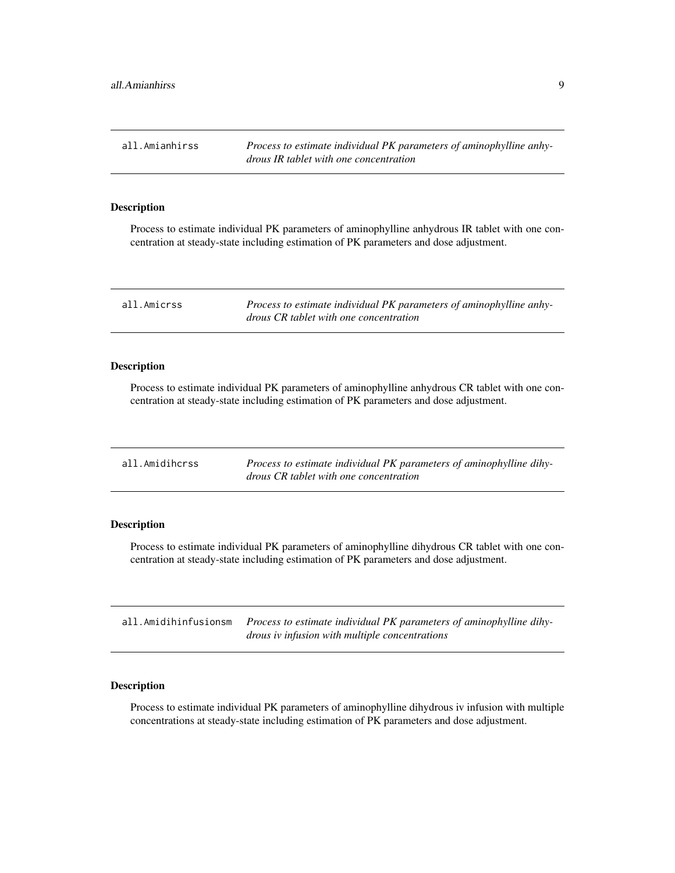<span id="page-8-0"></span>all.Amianhirss *Process to estimate individual PK parameters of aminophylline anhydrous IR tablet with one concentration*

### Description

Process to estimate individual PK parameters of aminophylline anhydrous IR tablet with one concentration at steady-state including estimation of PK parameters and dose adjustment.

| all.Amicrss | Process to estimate individual PK parameters of aminophylline anhy- |
|-------------|---------------------------------------------------------------------|
|             | drous CR tablet with one concentration                              |

### Description

Process to estimate individual PK parameters of aminophylline anhydrous CR tablet with one concentration at steady-state including estimation of PK parameters and dose adjustment.

| all.Amidihcrss | Process to estimate individual PK parameters of aminophylline dihy- |
|----------------|---------------------------------------------------------------------|
|                | drous CR tablet with one concentration                              |

# Description

Process to estimate individual PK parameters of aminophylline dihydrous CR tablet with one concentration at steady-state including estimation of PK parameters and dose adjustment.

| all.Amidihinfusionsm <i>Process to estimate individual PK parameters of aminophylline dihy</i> |
|------------------------------------------------------------------------------------------------|
| drous iv infusion with multiple concentrations                                                 |

# Description

Process to estimate individual PK parameters of aminophylline dihydrous iv infusion with multiple concentrations at steady-state including estimation of PK parameters and dose adjustment.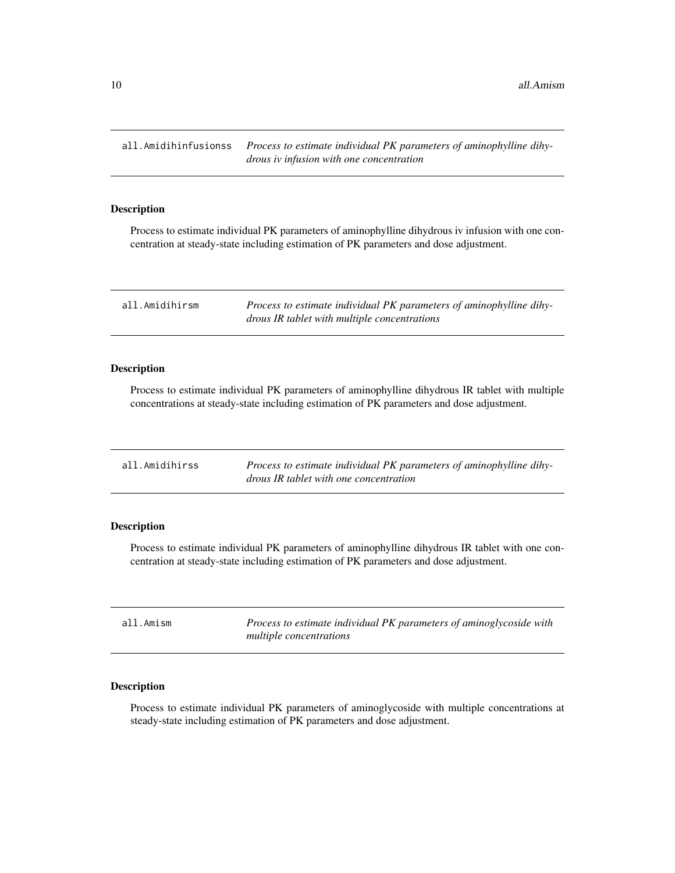<span id="page-9-0"></span>all.Amidihinfusionss *Process to estimate individual PK parameters of aminophylline dihydrous iv infusion with one concentration*

#### Description

Process to estimate individual PK parameters of aminophylline dihydrous iv infusion with one concentration at steady-state including estimation of PK parameters and dose adjustment.

| all.Amidihirsm | Process to estimate individual PK parameters of aminophylline dihy- |
|----------------|---------------------------------------------------------------------|
|                | drous IR tablet with multiple concentrations                        |

### Description

Process to estimate individual PK parameters of aminophylline dihydrous IR tablet with multiple concentrations at steady-state including estimation of PK parameters and dose adjustment.

| all.Amidihirss | Process to estimate individual PK parameters of aminophylline dihy- |
|----------------|---------------------------------------------------------------------|
|                | drous IR tablet with one concentration                              |

### Description

Process to estimate individual PK parameters of aminophylline dihydrous IR tablet with one concentration at steady-state including estimation of PK parameters and dose adjustment.

| all.Amism | Process to estimate individual PK parameters of aminoglycoside with |
|-----------|---------------------------------------------------------------------|
|           | multiple concentrations                                             |

# Description

Process to estimate individual PK parameters of aminoglycoside with multiple concentrations at steady-state including estimation of PK parameters and dose adjustment.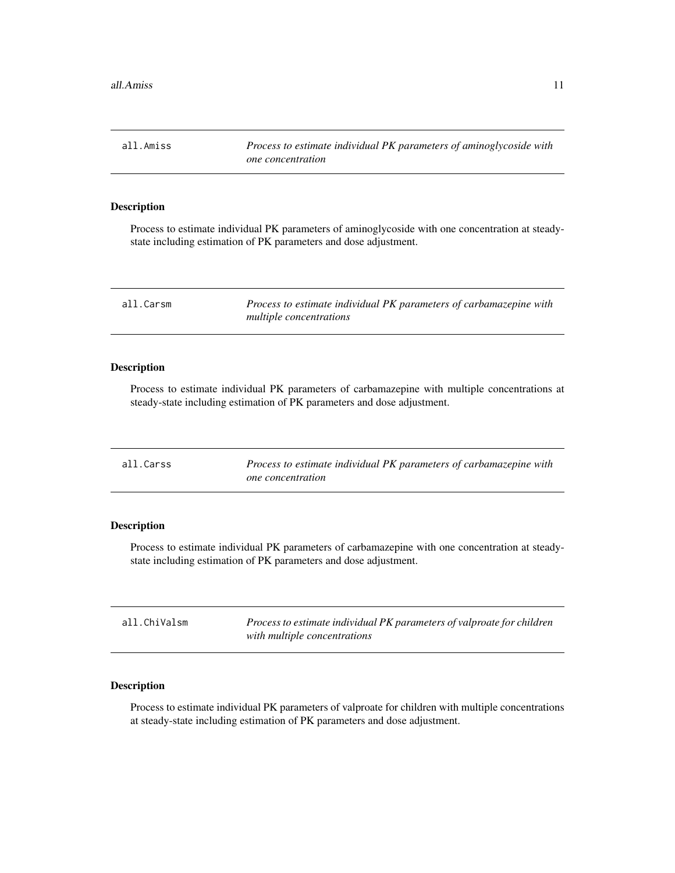<span id="page-10-0"></span>all.Amiss *Process to estimate individual PK parameters of aminoglycoside with one concentration*

# Description

Process to estimate individual PK parameters of aminoglycoside with one concentration at steadystate including estimation of PK parameters and dose adjustment.

| all.Carsm | Process to estimate individual PK parameters of carbamazepine with |
|-----------|--------------------------------------------------------------------|
|           | multiple concentrations                                            |

### Description

Process to estimate individual PK parameters of carbamazepine with multiple concentrations at steady-state including estimation of PK parameters and dose adjustment.

| all.Carss | Process to estimate individual PK parameters of carbamazepine with |
|-----------|--------------------------------------------------------------------|
|           | <i>one</i> concentration                                           |

# Description

Process to estimate individual PK parameters of carbamazepine with one concentration at steadystate including estimation of PK parameters and dose adjustment.

| all.ChiValsm | Process to estimate individual PK parameters of valproate for children |
|--------------|------------------------------------------------------------------------|
|              | with multiple concentrations                                           |

# Description

Process to estimate individual PK parameters of valproate for children with multiple concentrations at steady-state including estimation of PK parameters and dose adjustment.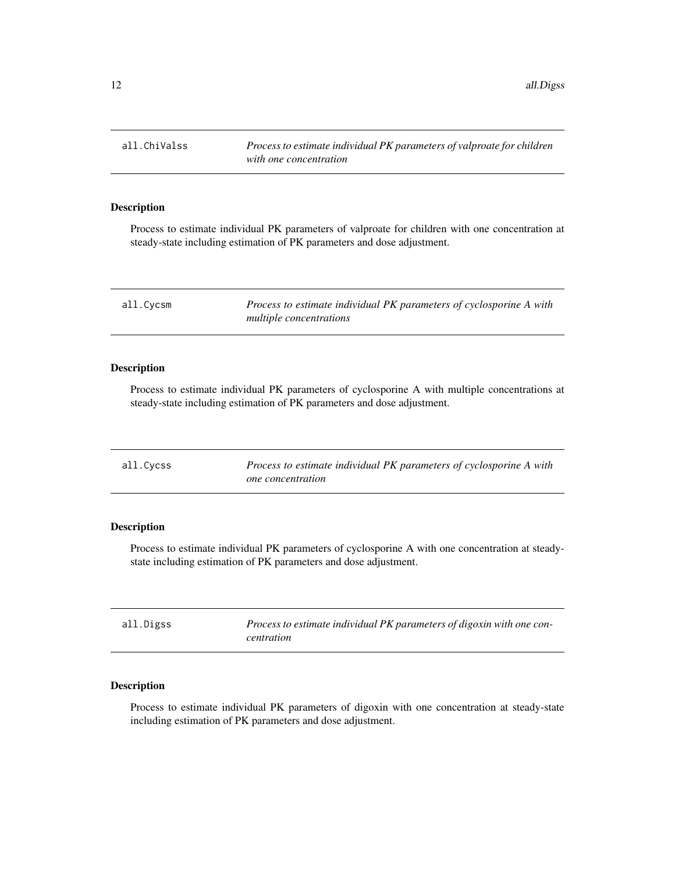<span id="page-11-0"></span>all.ChiValss *Process to estimate individual PK parameters of valproate for children with one concentration*

### Description

Process to estimate individual PK parameters of valproate for children with one concentration at steady-state including estimation of PK parameters and dose adjustment.

| all.Cycsm | Process to estimate individual PK parameters of cyclosporine A with |
|-----------|---------------------------------------------------------------------|
|           | <i>multiple concentrations</i>                                      |

# Description

Process to estimate individual PK parameters of cyclosporine A with multiple concentrations at steady-state including estimation of PK parameters and dose adjustment.

| all.Cycss | Process to estimate individual PK parameters of cyclosporine A with |
|-----------|---------------------------------------------------------------------|
|           | <i>one</i> concentration                                            |

# Description

Process to estimate individual PK parameters of cyclosporine A with one concentration at steadystate including estimation of PK parameters and dose adjustment.

| all.Digss | Process to estimate individual PK parameters of digoxin with one con-<br>centration |
|-----------|-------------------------------------------------------------------------------------|
|           |                                                                                     |

# Description

Process to estimate individual PK parameters of digoxin with one concentration at steady-state including estimation of PK parameters and dose adjustment.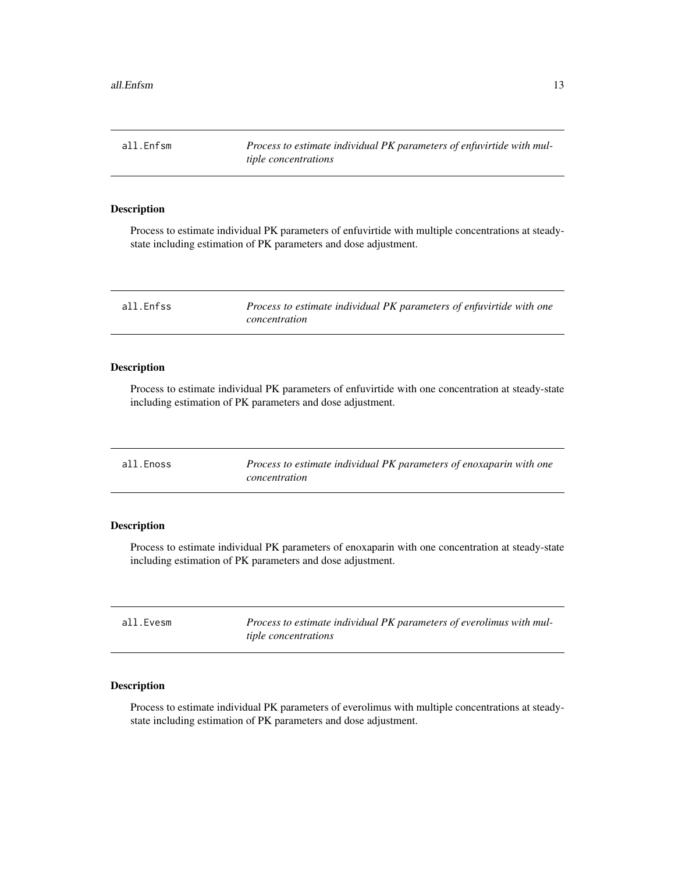<span id="page-12-0"></span>all.Enfsm *Process to estimate individual PK parameters of enfuvirtide with multiple concentrations*

#### Description

Process to estimate individual PK parameters of enfuvirtide with multiple concentrations at steadystate including estimation of PK parameters and dose adjustment.

| all.Enfss | Process to estimate individual PK parameters of enfuvirtide with one |
|-----------|----------------------------------------------------------------------|
|           | concentration                                                        |

# Description

Process to estimate individual PK parameters of enfuvirtide with one concentration at steady-state including estimation of PK parameters and dose adjustment.

| all.Enoss | Process to estimate individual PK parameters of enoxaparin with one |
|-----------|---------------------------------------------------------------------|
|           | concentration                                                       |

# Description

Process to estimate individual PK parameters of enoxaparin with one concentration at steady-state including estimation of PK parameters and dose adjustment.

| all.Evesm | Process to estimate individual PK parameters of everolimus with mul- |
|-----------|----------------------------------------------------------------------|
|           | <i>tiple concentrations</i>                                          |

# Description

Process to estimate individual PK parameters of everolimus with multiple concentrations at steadystate including estimation of PK parameters and dose adjustment.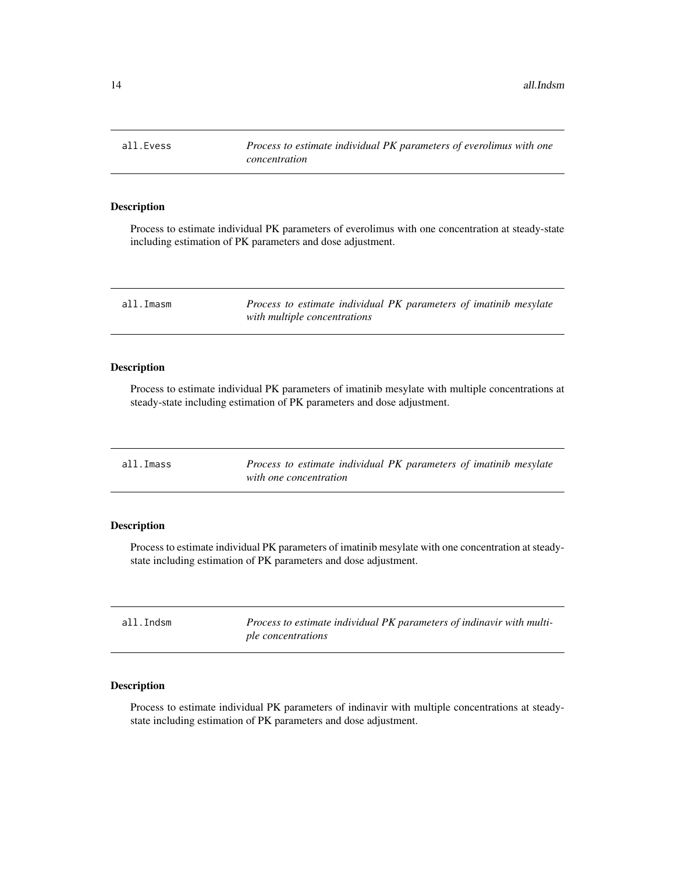<span id="page-13-0"></span>all.Evess *Process to estimate individual PK parameters of everolimus with one concentration*

### Description

Process to estimate individual PK parameters of everolimus with one concentration at steady-state including estimation of PK parameters and dose adjustment.

| all.Imasm | Process to estimate individual PK parameters of imatinib mesylate |
|-----------|-------------------------------------------------------------------|
|           | with multiple concentrations                                      |

### Description

Process to estimate individual PK parameters of imatinib mesylate with multiple concentrations at steady-state including estimation of PK parameters and dose adjustment.

| all.Imass | Process to estimate individual PK parameters of imatinib mesylate |
|-----------|-------------------------------------------------------------------|
|           | with one concentration                                            |

# Description

Process to estimate individual PK parameters of imatinib mesylate with one concentration at steadystate including estimation of PK parameters and dose adjustment.

| all.Indsm | Process to estimate individual PK parameters of indinavir with multi- |
|-----------|-----------------------------------------------------------------------|
|           | ple concentrations                                                    |

# Description

Process to estimate individual PK parameters of indinavir with multiple concentrations at steadystate including estimation of PK parameters and dose adjustment.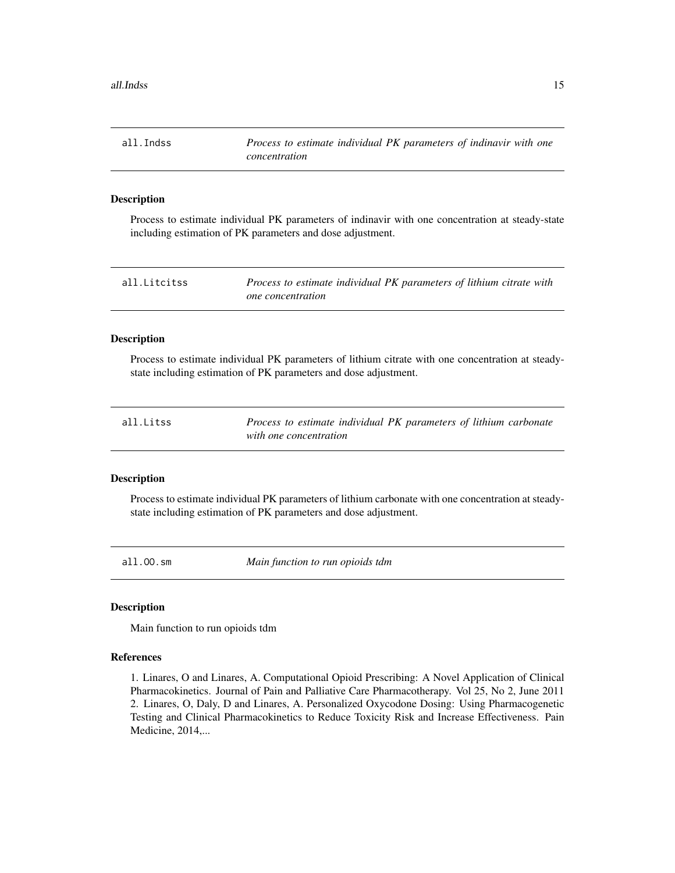<span id="page-14-0"></span>all.Indss *Process to estimate individual PK parameters of indinavir with one concentration*

# Description

Process to estimate individual PK parameters of indinavir with one concentration at steady-state including estimation of PK parameters and dose adjustment.

| all.Litcitss | Process to estimate individual PK parameters of lithium citrate with |
|--------------|----------------------------------------------------------------------|
|              | <i>one concentration</i>                                             |

### Description

Process to estimate individual PK parameters of lithium citrate with one concentration at steadystate including estimation of PK parameters and dose adjustment.

| all.Litss | Process to estimate individual PK parameters of lithium carbonate |
|-----------|-------------------------------------------------------------------|
|           | with one concentration                                            |

### Description

Process to estimate individual PK parameters of lithium carbonate with one concentration at steadystate including estimation of PK parameters and dose adjustment.

all.OO.sm *Main function to run opioids tdm*

#### Description

Main function to run opioids tdm

#### References

1. Linares, O and Linares, A. Computational Opioid Prescribing: A Novel Application of Clinical Pharmacokinetics. Journal of Pain and Palliative Care Pharmacotherapy. Vol 25, No 2, June 2011 2. Linares, O, Daly, D and Linares, A. Personalized Oxycodone Dosing: Using Pharmacogenetic Testing and Clinical Pharmacokinetics to Reduce Toxicity Risk and Increase Effectiveness. Pain Medicine, 2014,...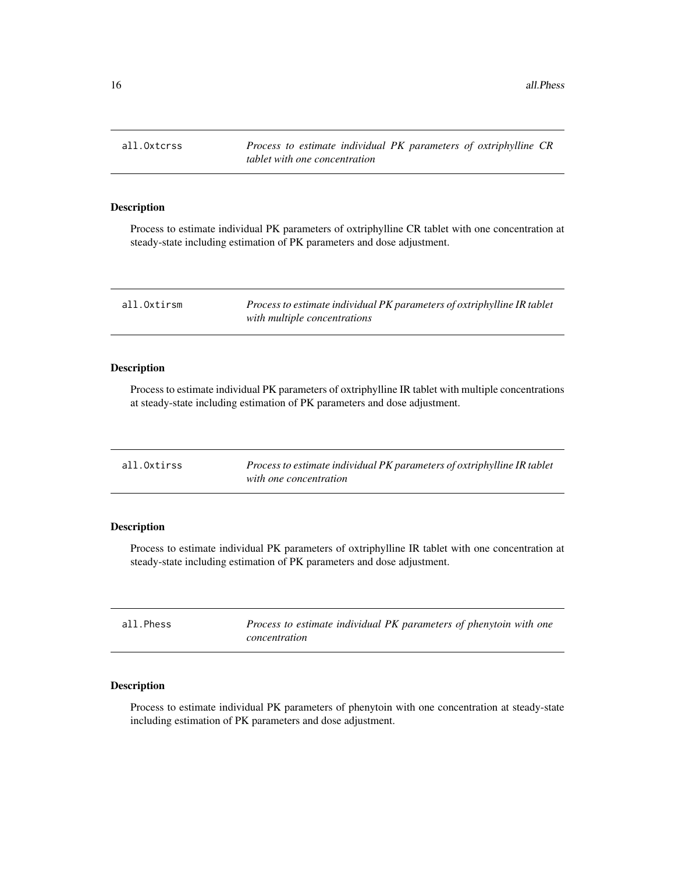<span id="page-15-0"></span>all.Oxtcrss *Process to estimate individual PK parameters of oxtriphylline CR tablet with one concentration*

# Description

Process to estimate individual PK parameters of oxtriphylline CR tablet with one concentration at steady-state including estimation of PK parameters and dose adjustment.

| all.Oxtirsm | Process to estimate individual PK parameters of oxtriphylline IR tablet |
|-------------|-------------------------------------------------------------------------|
|             | with multiple concentrations                                            |

### Description

Process to estimate individual PK parameters of oxtriphylline IR tablet with multiple concentrations at steady-state including estimation of PK parameters and dose adjustment.

| all.Oxtirss | Process to estimate individual PK parameters of oxtriphylline IR tablet |
|-------------|-------------------------------------------------------------------------|
|             | with one concentration                                                  |

# Description

Process to estimate individual PK parameters of oxtriphylline IR tablet with one concentration at steady-state including estimation of PK parameters and dose adjustment.

| all.Phess<br>concentration |  | Process to estimate individual PK parameters of phenytoin with one |
|----------------------------|--|--------------------------------------------------------------------|
|----------------------------|--|--------------------------------------------------------------------|

# Description

Process to estimate individual PK parameters of phenytoin with one concentration at steady-state including estimation of PK parameters and dose adjustment.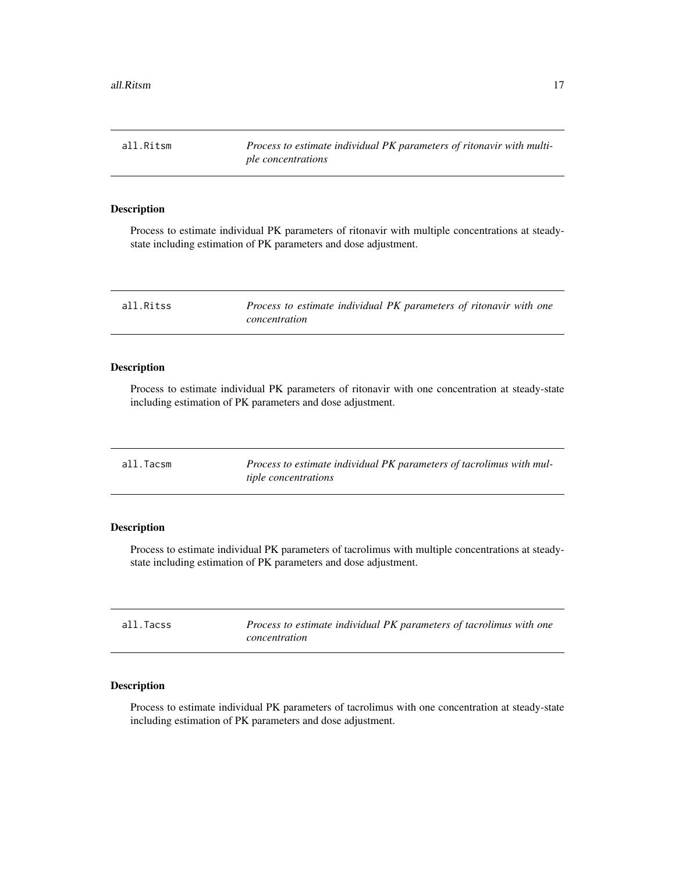<span id="page-16-0"></span>all.Ritsm *Process to estimate individual PK parameters of ritonavir with multiple concentrations*

#### Description

Process to estimate individual PK parameters of ritonavir with multiple concentrations at steadystate including estimation of PK parameters and dose adjustment.

| all.Ritss | Process to estimate individual PK parameters of ritonavir with one |
|-----------|--------------------------------------------------------------------|
|           | concentration                                                      |

### Description

Process to estimate individual PK parameters of ritonavir with one concentration at steady-state including estimation of PK parameters and dose adjustment.

| all.Tacsm | Process to estimate individual PK parameters of tacrolimus with mul- |
|-----------|----------------------------------------------------------------------|
|           | <i>tiple concentrations</i>                                          |

# Description

Process to estimate individual PK parameters of tacrolimus with multiple concentrations at steadystate including estimation of PK parameters and dose adjustment.

| all.Tacss | Process to estimate individual PK parameters of tacrolimus with one |
|-----------|---------------------------------------------------------------------|
|           | concentration                                                       |

# Description

Process to estimate individual PK parameters of tacrolimus with one concentration at steady-state including estimation of PK parameters and dose adjustment.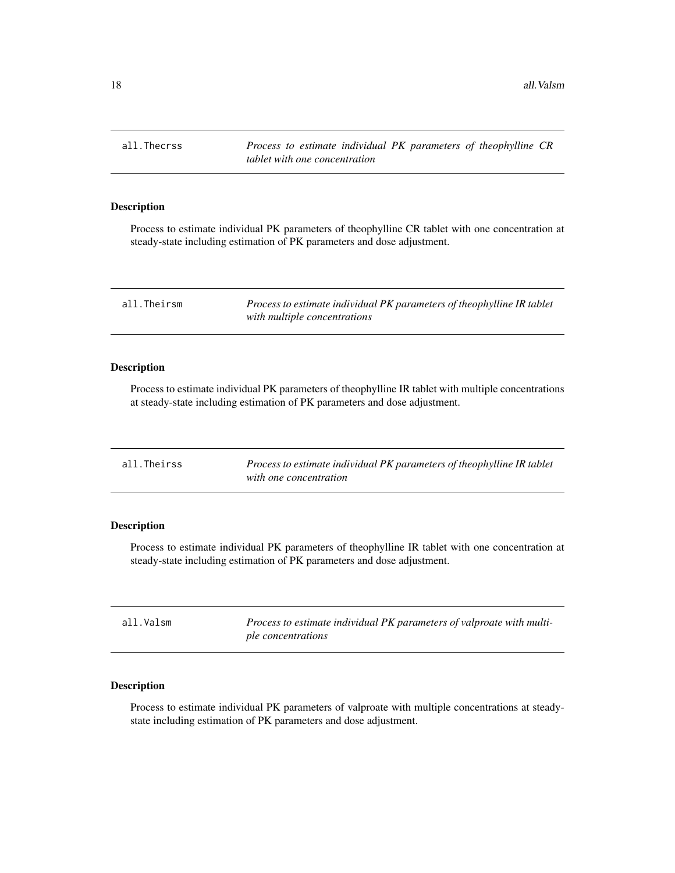<span id="page-17-0"></span>all.Thecrss *Process to estimate individual PK parameters of theophylline CR tablet with one concentration*

# Description

Process to estimate individual PK parameters of theophylline CR tablet with one concentration at steady-state including estimation of PK parameters and dose adjustment.

| all.Theirsm | Process to estimate individual PK parameters of theophylline IR tablet |
|-------------|------------------------------------------------------------------------|
|             | with multiple concentrations                                           |

### Description

Process to estimate individual PK parameters of theophylline IR tablet with multiple concentrations at steady-state including estimation of PK parameters and dose adjustment.

| all.Theirss | Process to estimate individual PK parameters of theophylline IR tablet |
|-------------|------------------------------------------------------------------------|
|             | with one concentration                                                 |

# Description

Process to estimate individual PK parameters of theophylline IR tablet with one concentration at steady-state including estimation of PK parameters and dose adjustment.

| all.Valsm | Process to estimate individual PK parameters of valproate with multi- |
|-----------|-----------------------------------------------------------------------|
|           | ple concentrations                                                    |

# Description

Process to estimate individual PK parameters of valproate with multiple concentrations at steadystate including estimation of PK parameters and dose adjustment.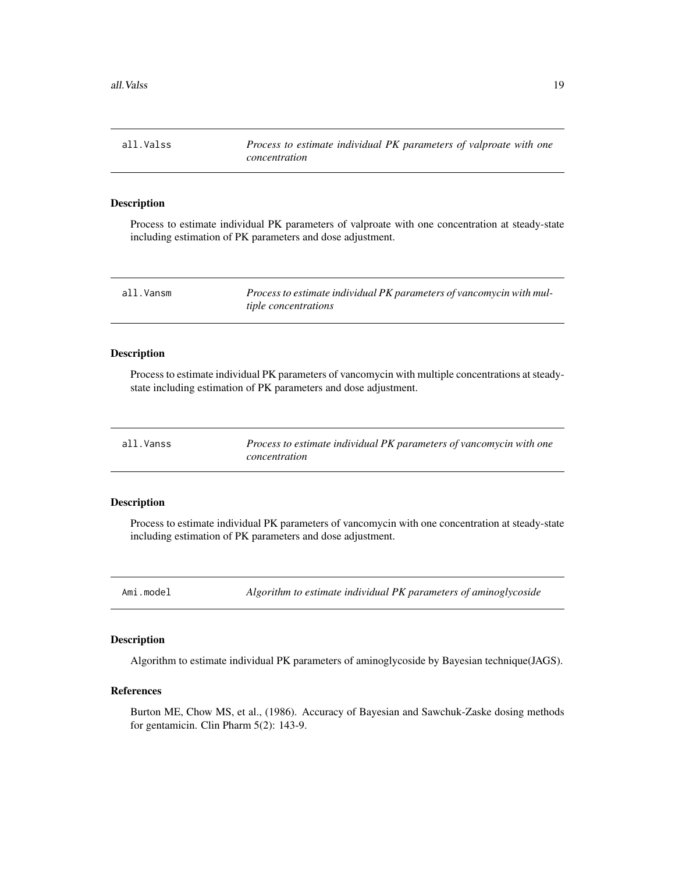<span id="page-18-0"></span>all.Valss *Process to estimate individual PK parameters of valproate with one concentration*

#### Description

Process to estimate individual PK parameters of valproate with one concentration at steady-state including estimation of PK parameters and dose adjustment.

| all.Vansm | Process to estimate individual PK parameters of vancomycin with mul- |
|-----------|----------------------------------------------------------------------|
|           | <i>tiple concentrations</i>                                          |

#### Description

Process to estimate individual PK parameters of vancomycin with multiple concentrations at steadystate including estimation of PK parameters and dose adjustment.

| all.Vanss | Process to estimate individual PK parameters of vancomycin with one |
|-----------|---------------------------------------------------------------------|
|           | concentration                                                       |

# Description

Process to estimate individual PK parameters of vancomycin with one concentration at steady-state including estimation of PK parameters and dose adjustment.

Ami.model *Algorithm to estimate individual PK parameters of aminoglycoside*

#### Description

Algorithm to estimate individual PK parameters of aminoglycoside by Bayesian technique(JAGS).

### References

Burton ME, Chow MS, et al., (1986). Accuracy of Bayesian and Sawchuk-Zaske dosing methods for gentamicin. Clin Pharm 5(2): 143-9.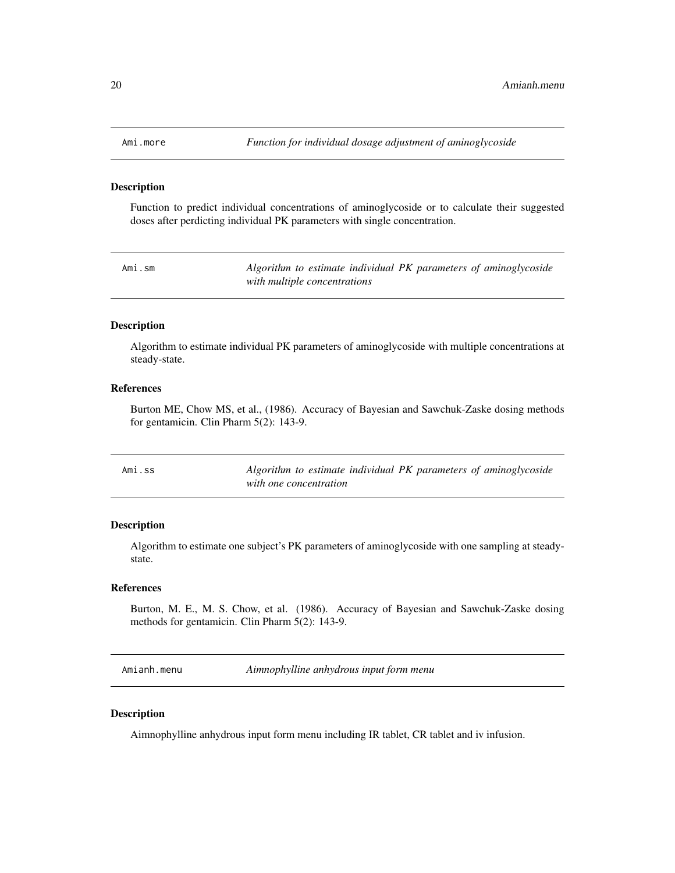<span id="page-19-0"></span>

#### Description

Function to predict individual concentrations of aminoglycoside or to calculate their suggested doses after perdicting individual PK parameters with single concentration.

|  |  | Ami.sm |
|--|--|--------|

n *Algorithm to estimate individual PK parameters of aminoglycoside with multiple concentrations*

#### Description

Algorithm to estimate individual PK parameters of aminoglycoside with multiple concentrations at steady-state.

# References

Burton ME, Chow MS, et al., (1986). Accuracy of Bayesian and Sawchuk-Zaske dosing methods for gentamicin. Clin Pharm 5(2): 143-9.

| Ami.ss | Algorithm to estimate individual PK parameters of aminoglycoside |
|--------|------------------------------------------------------------------|
|        | with one concentration                                           |

### Description

Algorithm to estimate one subject's PK parameters of aminoglycoside with one sampling at steadystate.

# References

Burton, M. E., M. S. Chow, et al. (1986). Accuracy of Bayesian and Sawchuk-Zaske dosing methods for gentamicin. Clin Pharm 5(2): 143-9.

Amianh.menu *Aimnophylline anhydrous input form menu*

### Description

Aimnophylline anhydrous input form menu including IR tablet, CR tablet and iv infusion.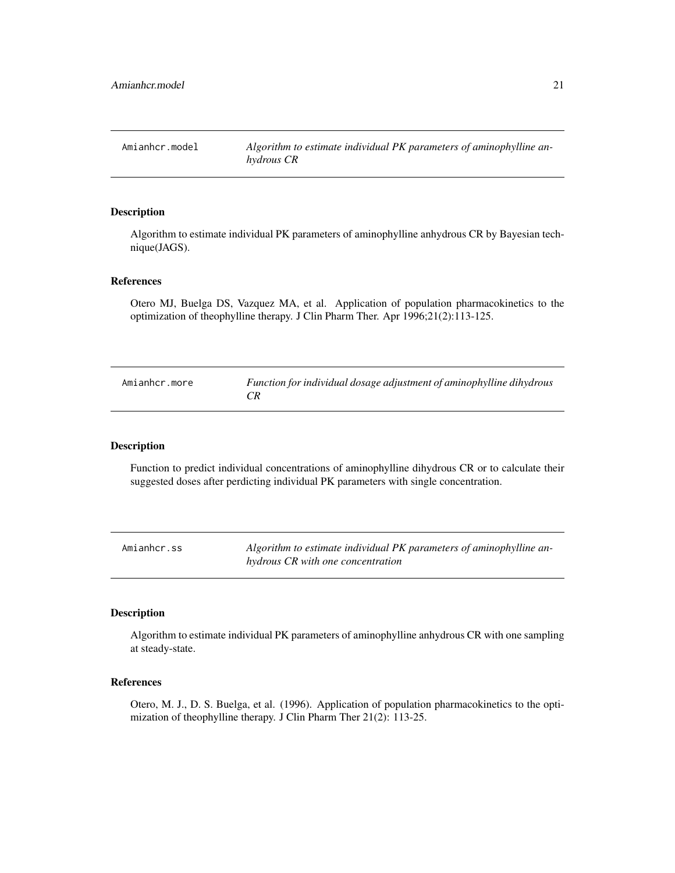<span id="page-20-0"></span>Amianhcr.model *Algorithm to estimate individual PK parameters of aminophylline anhydrous CR*

### Description

Algorithm to estimate individual PK parameters of aminophylline anhydrous CR by Bayesian technique(JAGS).

### References

Otero MJ, Buelga DS, Vazquez MA, et al. Application of population pharmacokinetics to the optimization of theophylline therapy. J Clin Pharm Ther. Apr 1996;21(2):113-125.

| Amianhcr.more | Function for individual dosage adjustment of aminophylline dihydrous |
|---------------|----------------------------------------------------------------------|
|               |                                                                      |

#### Description

Function to predict individual concentrations of aminophylline dihydrous CR or to calculate their suggested doses after perdicting individual PK parameters with single concentration.

Amianhcr.ss *Algorithm to estimate individual PK parameters of aminophylline anhydrous CR with one concentration*

### Description

Algorithm to estimate individual PK parameters of aminophylline anhydrous CR with one sampling at steady-state.

# References

Otero, M. J., D. S. Buelga, et al. (1996). Application of population pharmacokinetics to the optimization of theophylline therapy. J Clin Pharm Ther 21(2): 113-25.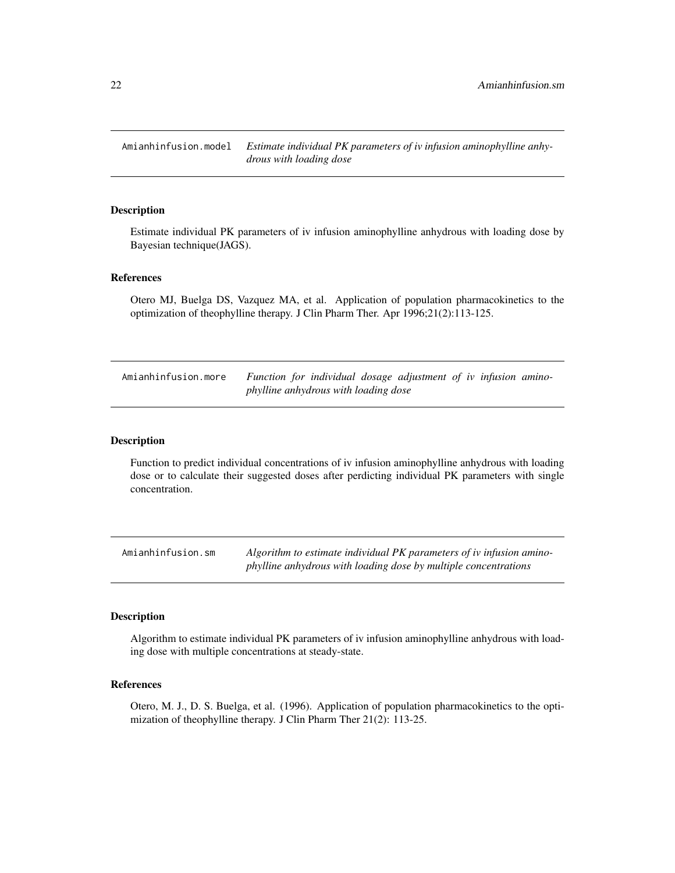<span id="page-21-0"></span>Amianhinfusion.model *Estimate individual PK parameters of iv infusion aminophylline anhydrous with loading dose*

### Description

Estimate individual PK parameters of iv infusion aminophylline anhydrous with loading dose by Bayesian technique(JAGS).

### References

Otero MJ, Buelga DS, Vazquez MA, et al. Application of population pharmacokinetics to the optimization of theophylline therapy. J Clin Pharm Ther. Apr 1996;21(2):113-125.

Amianhinfusion.more *Function for individual dosage adjustment of iv infusion aminophylline anhydrous with loading dose*

#### Description

Function to predict individual concentrations of iv infusion aminophylline anhydrous with loading dose or to calculate their suggested doses after perdicting individual PK parameters with single concentration.

Amianhinfusion.sm *Algorithm to estimate individual PK parameters of iv infusion aminophylline anhydrous with loading dose by multiple concentrations*

#### Description

Algorithm to estimate individual PK parameters of iv infusion aminophylline anhydrous with loading dose with multiple concentrations at steady-state.

### References

Otero, M. J., D. S. Buelga, et al. (1996). Application of population pharmacokinetics to the optimization of theophylline therapy. J Clin Pharm Ther 21(2): 113-25.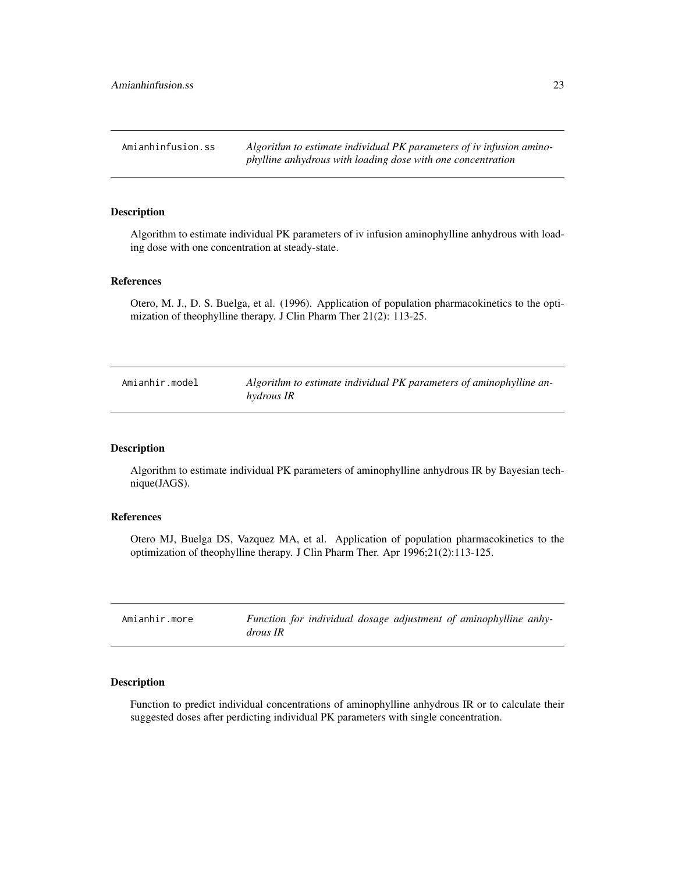<span id="page-22-0"></span>Amianhinfusion.ss *Algorithm to estimate individual PK parameters of iv infusion aminophylline anhydrous with loading dose with one concentration*

### Description

Algorithm to estimate individual PK parameters of iv infusion aminophylline anhydrous with loading dose with one concentration at steady-state.

### References

Otero, M. J., D. S. Buelga, et al. (1996). Application of population pharmacokinetics to the optimization of theophylline therapy. J Clin Pharm Ther 21(2): 113-25.

| Amianhir.model | Algorithm to estimate individual PK parameters of aminophylline an- |
|----------------|---------------------------------------------------------------------|
|                | hydrous IR                                                          |

### Description

Algorithm to estimate individual PK parameters of aminophylline anhydrous IR by Bayesian technique(JAGS).

#### References

Otero MJ, Buelga DS, Vazquez MA, et al. Application of population pharmacokinetics to the optimization of theophylline therapy. J Clin Pharm Ther. Apr 1996;21(2):113-125.

| Amianhir.more | Function for individual dosage adjustment of aminophylline anhy- |  |
|---------------|------------------------------------------------------------------|--|
|               | <i>drous IR</i>                                                  |  |

# Description

Function to predict individual concentrations of aminophylline anhydrous IR or to calculate their suggested doses after perdicting individual PK parameters with single concentration.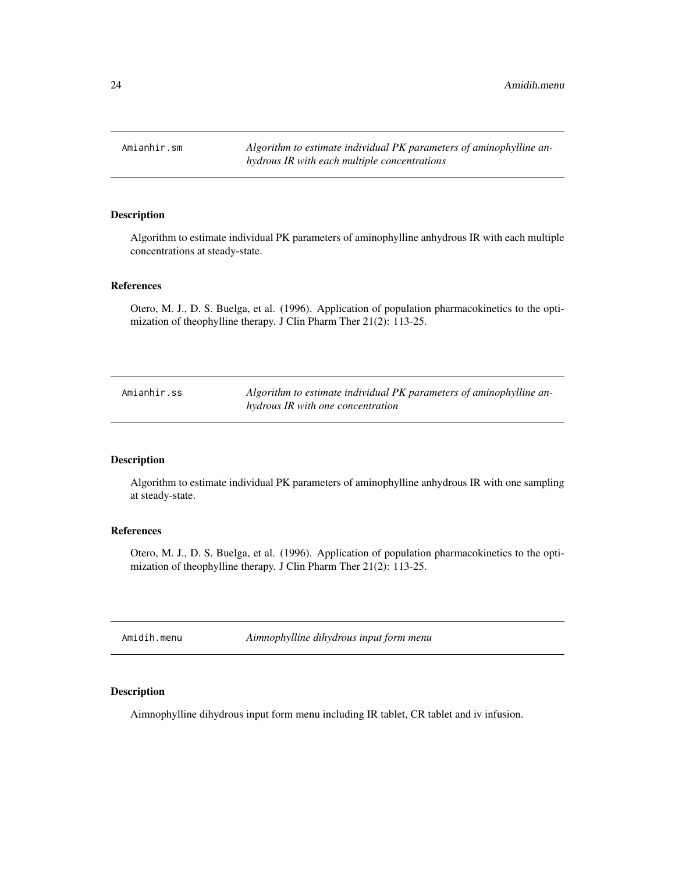<span id="page-23-0"></span>Amianhir.sm *Algorithm to estimate individual PK parameters of aminophylline anhydrous IR with each multiple concentrations*

#### Description

Algorithm to estimate individual PK parameters of aminophylline anhydrous IR with each multiple concentrations at steady-state.

# References

Otero, M. J., D. S. Buelga, et al. (1996). Application of population pharmacokinetics to the optimization of theophylline therapy. J Clin Pharm Ther 21(2): 113-25.

Amianhir.ss *Algorithm to estimate individual PK parameters of aminophylline anhydrous IR with one concentration*

### Description

Algorithm to estimate individual PK parameters of aminophylline anhydrous IR with one sampling at steady-state.

### References

Otero, M. J., D. S. Buelga, et al. (1996). Application of population pharmacokinetics to the optimization of theophylline therapy. J Clin Pharm Ther 21(2): 113-25.

Amidih.menu *Aimnophylline dihydrous input form menu*

# Description

Aimnophylline dihydrous input form menu including IR tablet, CR tablet and iv infusion.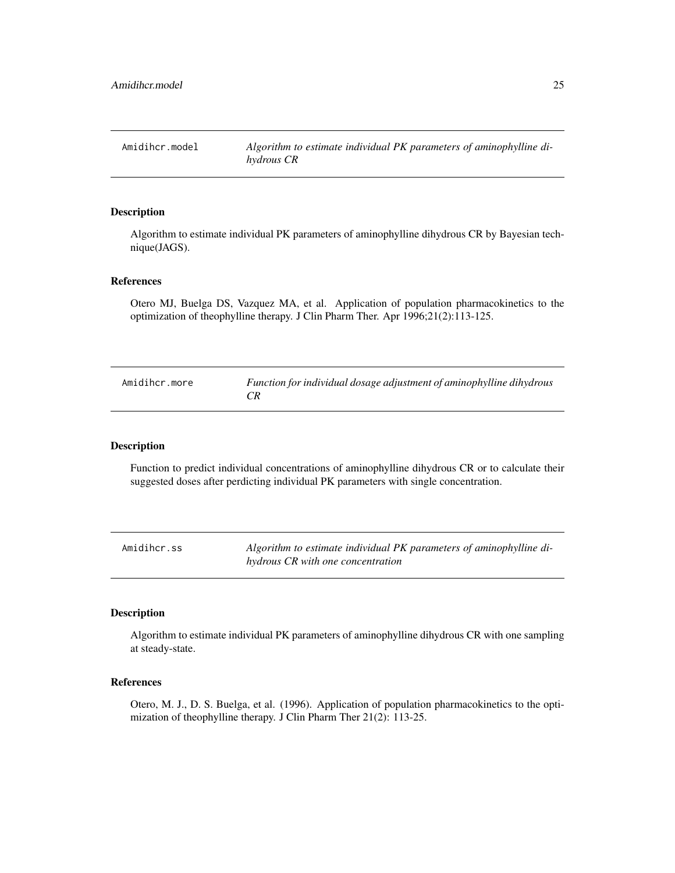<span id="page-24-0"></span>Amidihcr.model *Algorithm to estimate individual PK parameters of aminophylline dihydrous CR*

### Description

Algorithm to estimate individual PK parameters of aminophylline dihydrous CR by Bayesian technique(JAGS).

### References

Otero MJ, Buelga DS, Vazquez MA, et al. Application of population pharmacokinetics to the optimization of theophylline therapy. J Clin Pharm Ther. Apr 1996;21(2):113-125.

| Amidihcr.more | Function for individual dosage adjustment of aminophylline dihydrous |
|---------------|----------------------------------------------------------------------|
|               |                                                                      |

#### Description

Function to predict individual concentrations of aminophylline dihydrous CR or to calculate their suggested doses after perdicting individual PK parameters with single concentration.

Amidihcr.ss *Algorithm to estimate individual PK parameters of aminophylline dihydrous CR with one concentration*

### Description

Algorithm to estimate individual PK parameters of aminophylline dihydrous CR with one sampling at steady-state.

# References

Otero, M. J., D. S. Buelga, et al. (1996). Application of population pharmacokinetics to the optimization of theophylline therapy. J Clin Pharm Ther 21(2): 113-25.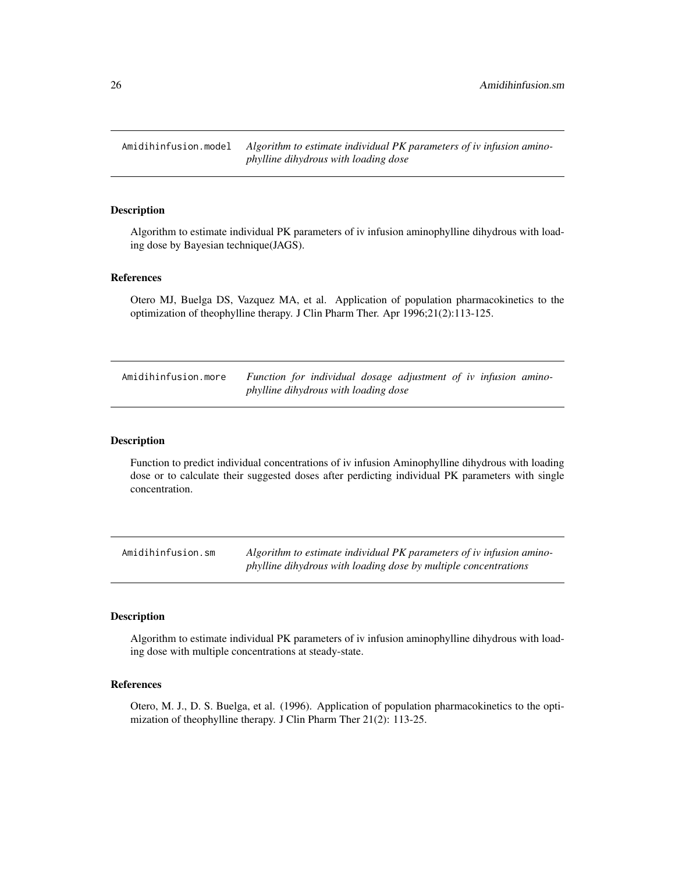<span id="page-25-0"></span>Amidihinfusion.model *Algorithm to estimate individual PK parameters of iv infusion aminophylline dihydrous with loading dose*

### Description

Algorithm to estimate individual PK parameters of iv infusion aminophylline dihydrous with loading dose by Bayesian technique(JAGS).

#### References

Otero MJ, Buelga DS, Vazquez MA, et al. Application of population pharmacokinetics to the optimization of theophylline therapy. J Clin Pharm Ther. Apr 1996;21(2):113-125.

| Amidihinfusion.more | Function for individual dosage adjustment of iv infusion amino- |  |  |  |  |
|---------------------|-----------------------------------------------------------------|--|--|--|--|
|                     | phylline dihydrous with loading dose                            |  |  |  |  |

#### Description

Function to predict individual concentrations of iv infusion Aminophylline dihydrous with loading dose or to calculate their suggested doses after perdicting individual PK parameters with single concentration.

Amidihinfusion.sm *Algorithm to estimate individual PK parameters of iv infusion aminophylline dihydrous with loading dose by multiple concentrations*

#### Description

Algorithm to estimate individual PK parameters of iv infusion aminophylline dihydrous with loading dose with multiple concentrations at steady-state.

### References

Otero, M. J., D. S. Buelga, et al. (1996). Application of population pharmacokinetics to the optimization of theophylline therapy. J Clin Pharm Ther 21(2): 113-25.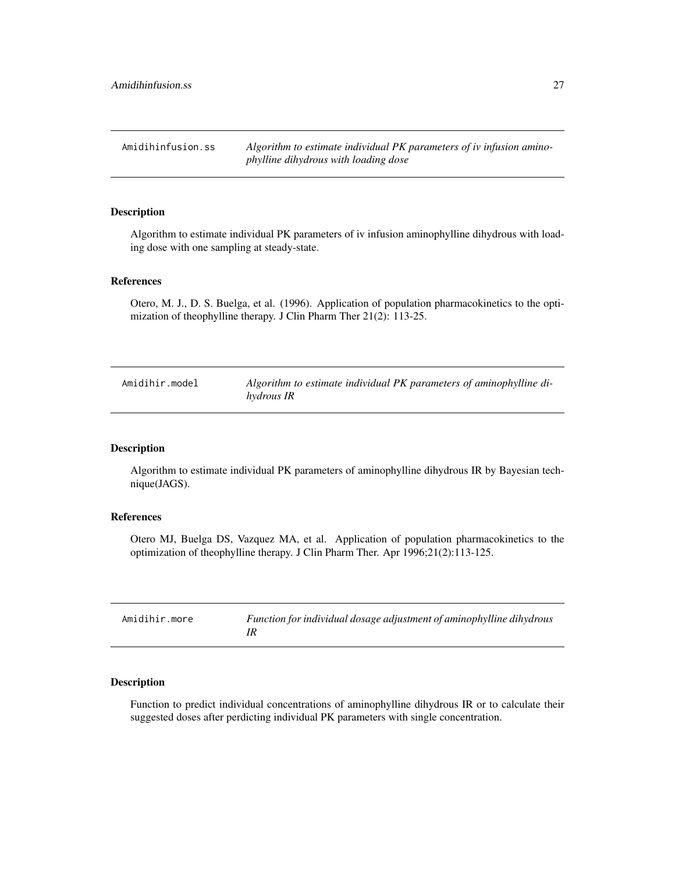<span id="page-26-0"></span>Amidihinfusion.ss *Algorithm to estimate individual PK parameters of iv infusion aminophylline dihydrous with loading dose*

#### Description

Algorithm to estimate individual PK parameters of iv infusion aminophylline dihydrous with loading dose with one sampling at steady-state.

### References

Otero, M. J., D. S. Buelga, et al. (1996). Application of population pharmacokinetics to the optimization of theophylline therapy. J Clin Pharm Ther 21(2): 113-25.

| Amidihir.model | Algorithm to estimate individual PK parameters of aminophylline di- |
|----------------|---------------------------------------------------------------------|
|                | hydrous IR                                                          |

# Description

Algorithm to estimate individual PK parameters of aminophylline dihydrous IR by Bayesian technique(JAGS).

#### References

Otero MJ, Buelga DS, Vazquez MA, et al. Application of population pharmacokinetics to the optimization of theophylline therapy. J Clin Pharm Ther. Apr 1996;21(2):113-125.

| Amidihir.more | Function for individual dosage adjustment of aminophylline dihydrous |
|---------------|----------------------------------------------------------------------|
|               |                                                                      |

# Description

Function to predict individual concentrations of aminophylline dihydrous IR or to calculate their suggested doses after perdicting individual PK parameters with single concentration.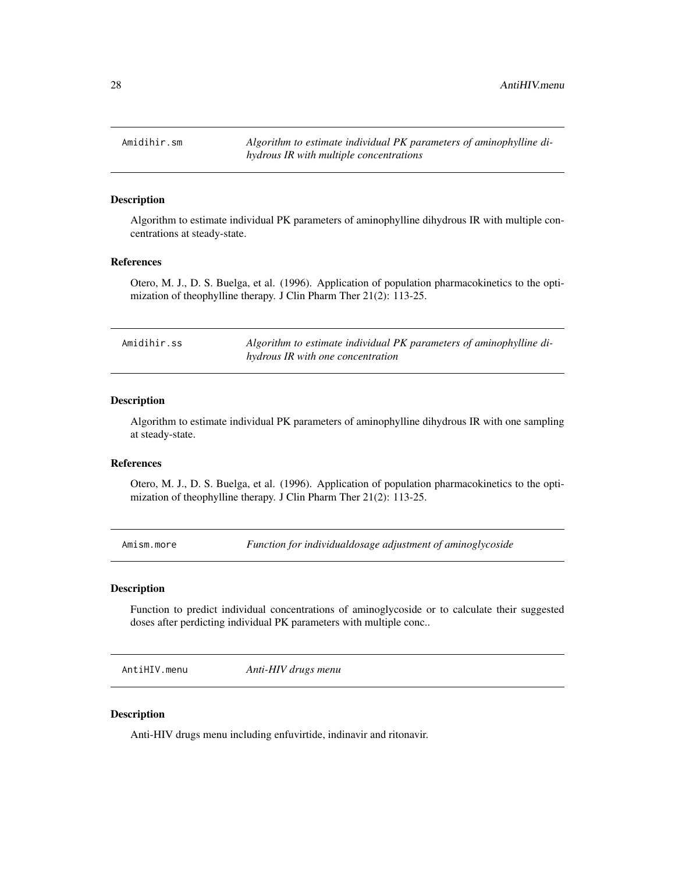<span id="page-27-0"></span>Amidihir.sm *Algorithm to estimate individual PK parameters of aminophylline dihydrous IR with multiple concentrations*

# Description

Algorithm to estimate individual PK parameters of aminophylline dihydrous IR with multiple concentrations at steady-state.

### References

Otero, M. J., D. S. Buelga, et al. (1996). Application of population pharmacokinetics to the optimization of theophylline therapy. J Clin Pharm Ther 21(2): 113-25.

| Amidihir.ss | Algorithm to estimate individual PK parameters of aminophylline di- |
|-------------|---------------------------------------------------------------------|
|             | hydrous IR with one concentration                                   |

### Description

Algorithm to estimate individual PK parameters of aminophylline dihydrous IR with one sampling at steady-state.

# References

Otero, M. J., D. S. Buelga, et al. (1996). Application of population pharmacokinetics to the optimization of theophylline therapy. J Clin Pharm Ther 21(2): 113-25.

Amism.more *Function for individualdosage adjustment of aminoglycoside*

# Description

Function to predict individual concentrations of aminoglycoside or to calculate their suggested doses after perdicting individual PK parameters with multiple conc..

AntiHIV.menu *Anti-HIV drugs menu*

### Description

Anti-HIV drugs menu including enfuvirtide, indinavir and ritonavir.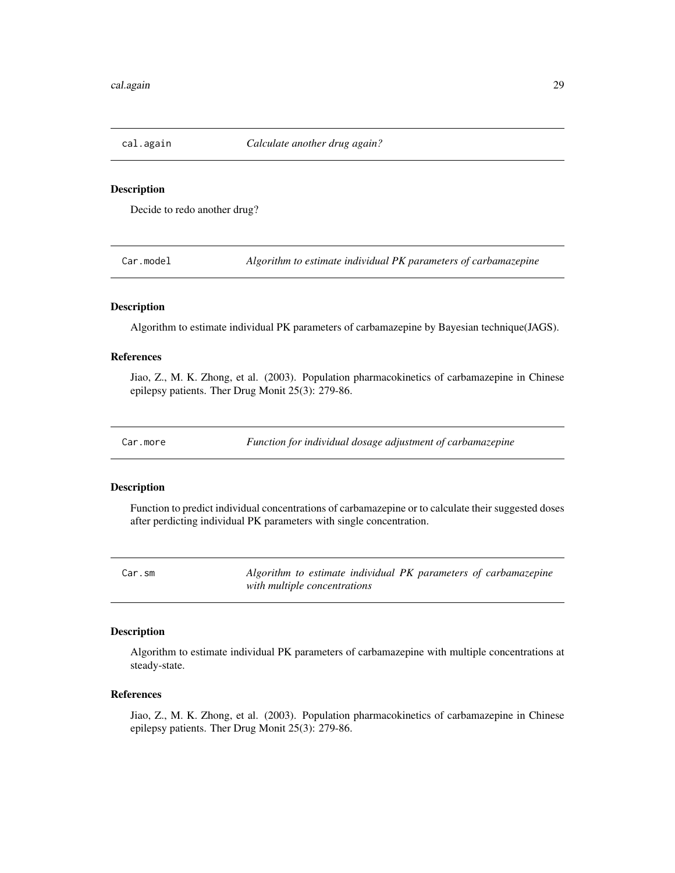<span id="page-28-0"></span>cal.again *Calculate another drug again?*

### **Description**

Decide to redo another drug?

Car.model *Algorithm to estimate individual PK parameters of carbamazepine*

### Description

Algorithm to estimate individual PK parameters of carbamazepine by Bayesian technique(JAGS).

# References

Jiao, Z., M. K. Zhong, et al. (2003). Population pharmacokinetics of carbamazepine in Chinese epilepsy patients. Ther Drug Monit 25(3): 279-86.

Car.more *Function for individual dosage adjustment of carbamazepine*

#### **Description**

Function to predict individual concentrations of carbamazepine or to calculate their suggested doses after perdicting individual PK parameters with single concentration.

Car.sm *Algorithm to estimate individual PK parameters of carbamazepine with multiple concentrations*

#### Description

Algorithm to estimate individual PK parameters of carbamazepine with multiple concentrations at steady-state.

#### References

Jiao, Z., M. K. Zhong, et al. (2003). Population pharmacokinetics of carbamazepine in Chinese epilepsy patients. Ther Drug Monit 25(3): 279-86.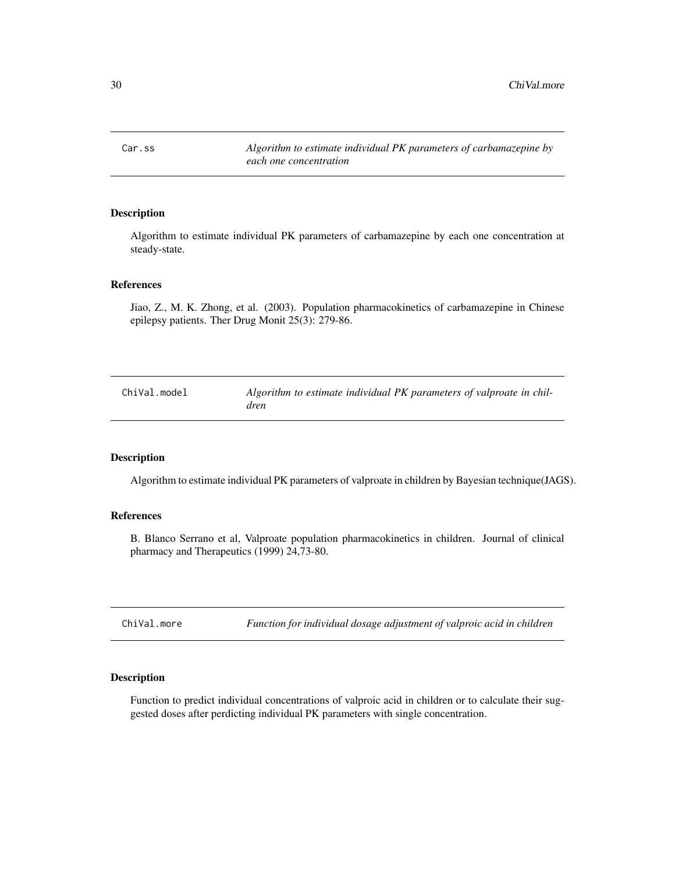<span id="page-29-0"></span>Car.ss *Algorithm to estimate individual PK parameters of carbamazepine by each one concentration*

# Description

Algorithm to estimate individual PK parameters of carbamazepine by each one concentration at steady-state.

#### References

Jiao, Z., M. K. Zhong, et al. (2003). Population pharmacokinetics of carbamazepine in Chinese epilepsy patients. Ther Drug Monit 25(3): 279-86.

| ChiVal.model | Algorithm to estimate individual PK parameters of valproate in chil- |
|--------------|----------------------------------------------------------------------|
|              | dren                                                                 |

### Description

Algorithm to estimate individual PK parameters of valproate in children by Bayesian technique(JAGS).

### References

B. Blanco Serrano et al, Valproate population pharmacokinetics in children. Journal of clinical pharmacy and Therapeutics (1999) 24,73-80.

ChiVal.more *Function for individual dosage adjustment of valproic acid in children*

#### Description

Function to predict individual concentrations of valproic acid in children or to calculate their suggested doses after perdicting individual PK parameters with single concentration.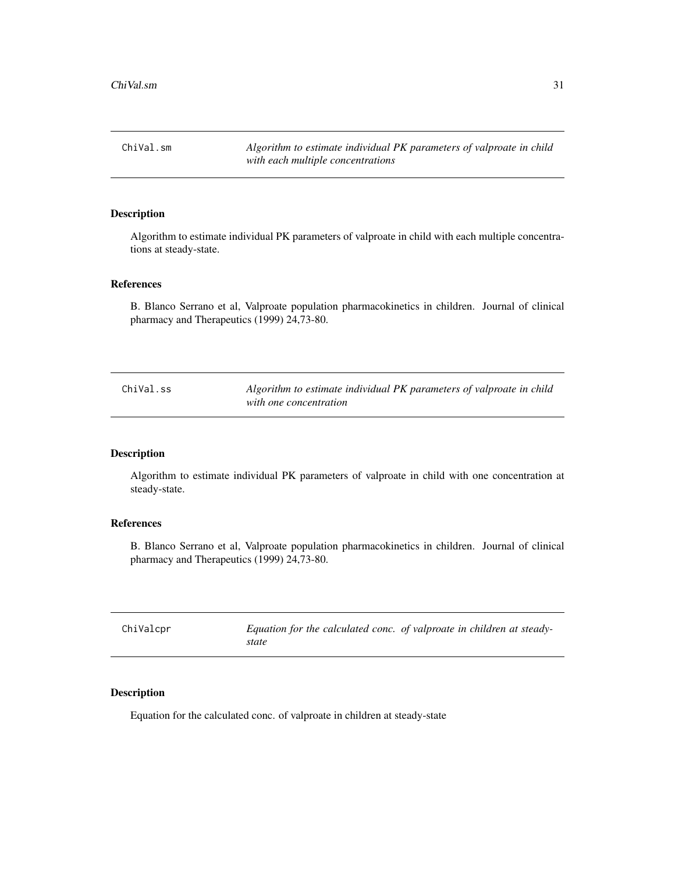<span id="page-30-0"></span>ChiVal.sm *Algorithm to estimate individual PK parameters of valproate in child with each multiple concentrations*

# Description

Algorithm to estimate individual PK parameters of valproate in child with each multiple concentrations at steady-state.

### References

B. Blanco Serrano et al, Valproate population pharmacokinetics in children. Journal of clinical pharmacy and Therapeutics (1999) 24,73-80.

| ChiVal.ss | Algorithm to estimate individual PK parameters of valproate in child |
|-----------|----------------------------------------------------------------------|
|           | with one concentration                                               |

### Description

Algorithm to estimate individual PK parameters of valproate in child with one concentration at steady-state.

#### References

B. Blanco Serrano et al, Valproate population pharmacokinetics in children. Journal of clinical pharmacy and Therapeutics (1999) 24,73-80.

| ChiValcpr | state | Equation for the calculated conc. of valproate in children at steady- |
|-----------|-------|-----------------------------------------------------------------------|
|           |       |                                                                       |

### Description

Equation for the calculated conc. of valproate in children at steady-state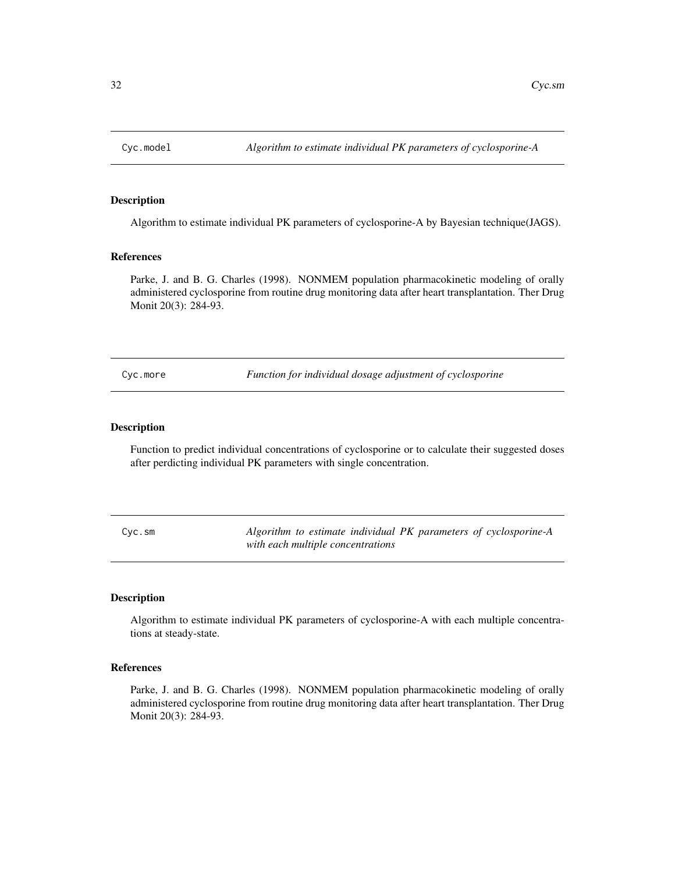<span id="page-31-0"></span>

# Description

Algorithm to estimate individual PK parameters of cyclosporine-A by Bayesian technique(JAGS).

### References

Parke, J. and B. G. Charles (1998). NONMEM population pharmacokinetic modeling of orally administered cyclosporine from routine drug monitoring data after heart transplantation. Ther Drug Monit 20(3): 284-93.

Cyc.more *Function for individual dosage adjustment of cyclosporine*

#### Description

Function to predict individual concentrations of cyclosporine or to calculate their suggested doses after perdicting individual PK parameters with single concentration.

Cyc.sm *Algorithm to estimate individual PK parameters of cyclosporine-A with each multiple concentrations*

#### Description

Algorithm to estimate individual PK parameters of cyclosporine-A with each multiple concentrations at steady-state.

#### References

Parke, J. and B. G. Charles (1998). NONMEM population pharmacokinetic modeling of orally administered cyclosporine from routine drug monitoring data after heart transplantation. Ther Drug Monit 20(3): 284-93.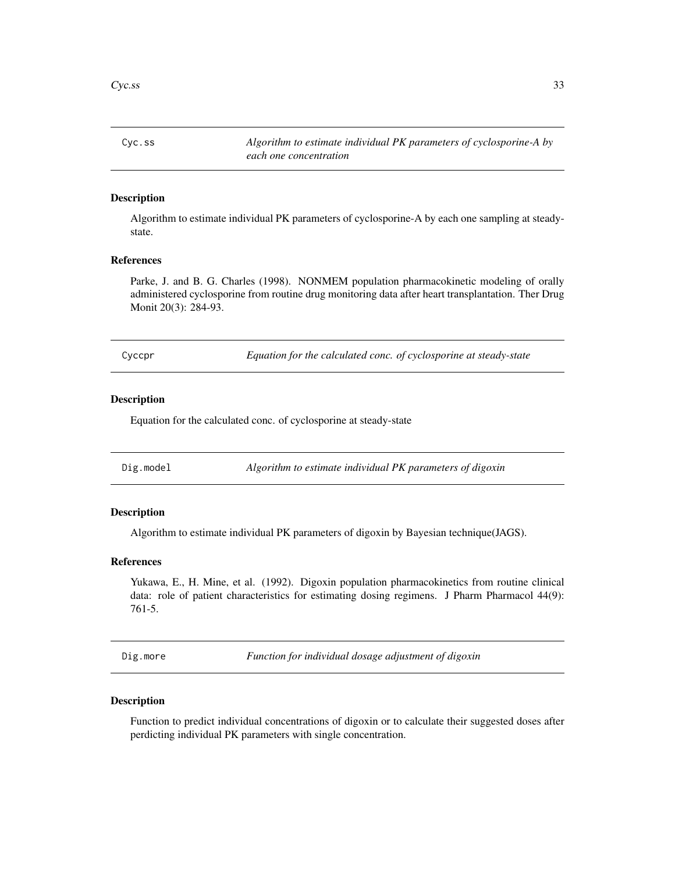<span id="page-32-0"></span>Cyc.ss *Algorithm to estimate individual PK parameters of cyclosporine-A by each one concentration*

### Description

Algorithm to estimate individual PK parameters of cyclosporine-A by each one sampling at steadystate.

# References

Parke, J. and B. G. Charles (1998). NONMEM population pharmacokinetic modeling of orally administered cyclosporine from routine drug monitoring data after heart transplantation. Ther Drug Monit 20(3): 284-93.

| Equation for the calculated conc. of cyclosporine at steady-state<br>Cyccpr |  |
|-----------------------------------------------------------------------------|--|
|-----------------------------------------------------------------------------|--|

# Description

Equation for the calculated conc. of cyclosporine at steady-state

| Dig.model | Algorithm to estimate individual PK parameters of digoxin |  |
|-----------|-----------------------------------------------------------|--|
|-----------|-----------------------------------------------------------|--|

### Description

Algorithm to estimate individual PK parameters of digoxin by Bayesian technique(JAGS).

#### References

Yukawa, E., H. Mine, et al. (1992). Digoxin population pharmacokinetics from routine clinical data: role of patient characteristics for estimating dosing regimens. J Pharm Pharmacol 44(9): 761-5.

Dig.more *Function for individual dosage adjustment of digoxin*

### Description

Function to predict individual concentrations of digoxin or to calculate their suggested doses after perdicting individual PK parameters with single concentration.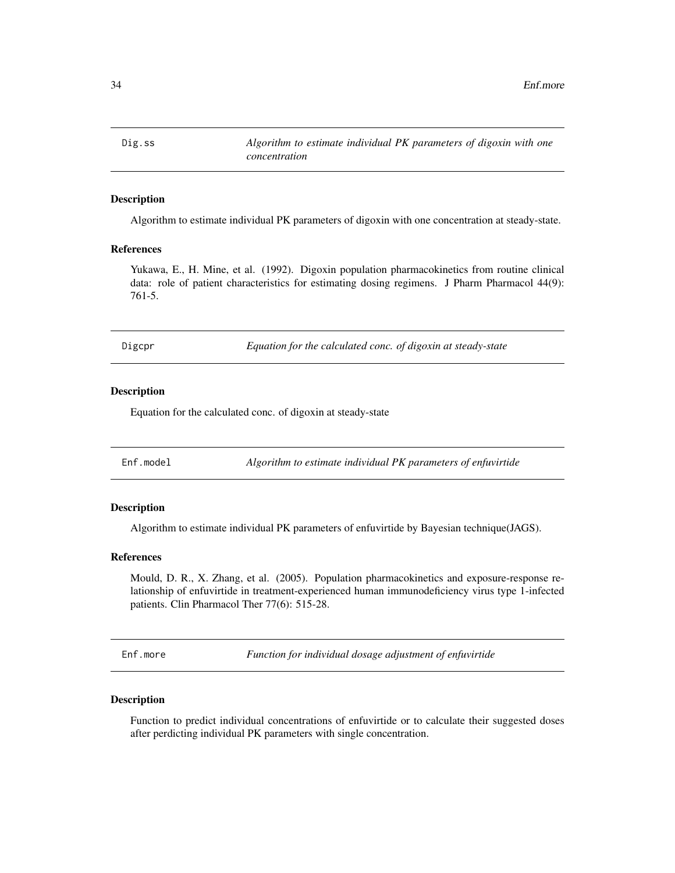<span id="page-33-0"></span>Dig.ss *Algorithm to estimate individual PK parameters of digoxin with one concentration*

# Description

Algorithm to estimate individual PK parameters of digoxin with one concentration at steady-state.

### References

Yukawa, E., H. Mine, et al. (1992). Digoxin population pharmacokinetics from routine clinical data: role of patient characteristics for estimating dosing regimens. J Pharm Pharmacol 44(9): 761-5.

Digcpr *Equation for the calculated conc. of digoxin at steady-state*

#### Description

Equation for the calculated conc. of digoxin at steady-state

Enf.model *Algorithm to estimate individual PK parameters of enfuvirtide*

### Description

Algorithm to estimate individual PK parameters of enfuvirtide by Bayesian technique(JAGS).

#### References

Mould, D. R., X. Zhang, et al. (2005). Population pharmacokinetics and exposure-response relationship of enfuvirtide in treatment-experienced human immunodeficiency virus type 1-infected patients. Clin Pharmacol Ther 77(6): 515-28.

Enf.more *Function for individual dosage adjustment of enfuvirtide*

#### Description

Function to predict individual concentrations of enfuvirtide or to calculate their suggested doses after perdicting individual PK parameters with single concentration.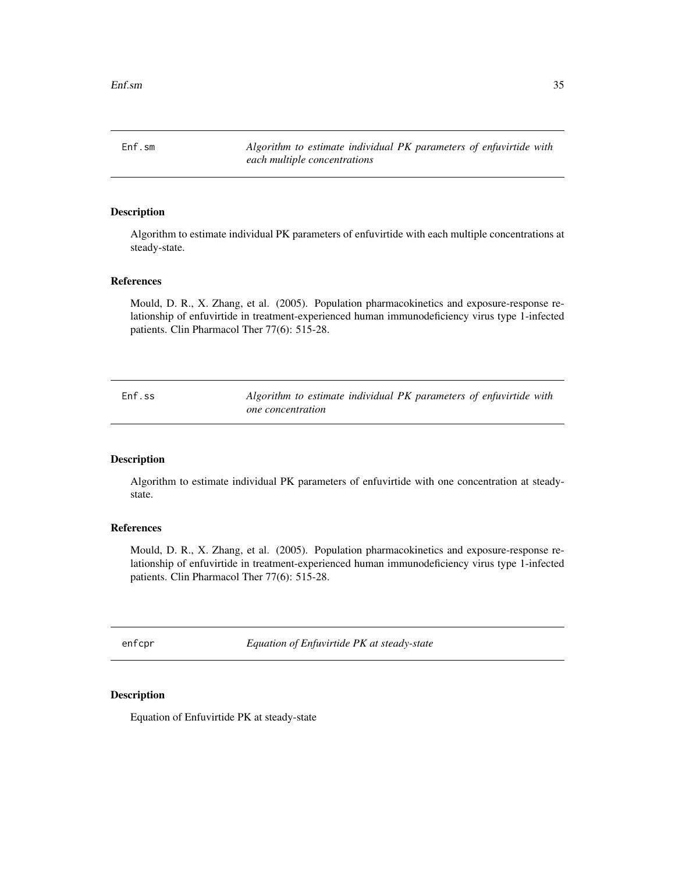<span id="page-34-0"></span>Enf.sm *Algorithm to estimate individual PK parameters of enfuvirtide with each multiple concentrations*

### Description

Algorithm to estimate individual PK parameters of enfuvirtide with each multiple concentrations at steady-state.

### References

Mould, D. R., X. Zhang, et al. (2005). Population pharmacokinetics and exposure-response relationship of enfuvirtide in treatment-experienced human immunodeficiency virus type 1-infected patients. Clin Pharmacol Ther 77(6): 515-28.

Enf.ss *Algorithm to estimate individual PK parameters of enfuvirtide with one concentration*

#### Description

Algorithm to estimate individual PK parameters of enfuvirtide with one concentration at steadystate.

### References

Mould, D. R., X. Zhang, et al. (2005). Population pharmacokinetics and exposure-response relationship of enfuvirtide in treatment-experienced human immunodeficiency virus type 1-infected patients. Clin Pharmacol Ther 77(6): 515-28.

enfcpr *Equation of Enfuvirtide PK at steady-state*

#### Description

Equation of Enfuvirtide PK at steady-state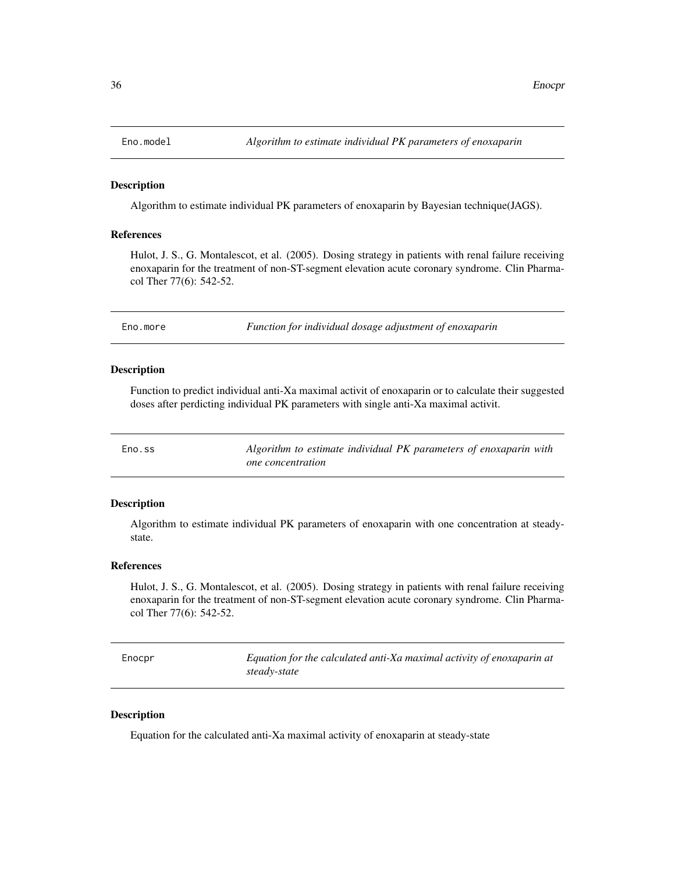<span id="page-35-0"></span>

#### Description

Algorithm to estimate individual PK parameters of enoxaparin by Bayesian technique(JAGS).

# References

Hulot, J. S., G. Montalescot, et al. (2005). Dosing strategy in patients with renal failure receiving enoxaparin for the treatment of non-ST-segment elevation acute coronary syndrome. Clin Pharmacol Ther 77(6): 542-52.

Eno.more *Function for individual dosage adjustment of enoxaparin*

#### Description

Function to predict individual anti-Xa maximal activit of enoxaparin or to calculate their suggested doses after perdicting individual PK parameters with single anti-Xa maximal activit.

| Eno.ss | Algorithm to estimate individual PK parameters of enoxaparin with |
|--------|-------------------------------------------------------------------|
|        | <i>one</i> concentration                                          |

### Description

Algorithm to estimate individual PK parameters of enoxaparin with one concentration at steadystate.

### References

Hulot, J. S., G. Montalescot, et al. (2005). Dosing strategy in patients with renal failure receiving enoxaparin for the treatment of non-ST-segment elevation acute coronary syndrome. Clin Pharmacol Ther 77(6): 542-52.

Enocpr *Equation for the calculated anti-Xa maximal activity of enoxaparin at steady-state*

### Description

Equation for the calculated anti-Xa maximal activity of enoxaparin at steady-state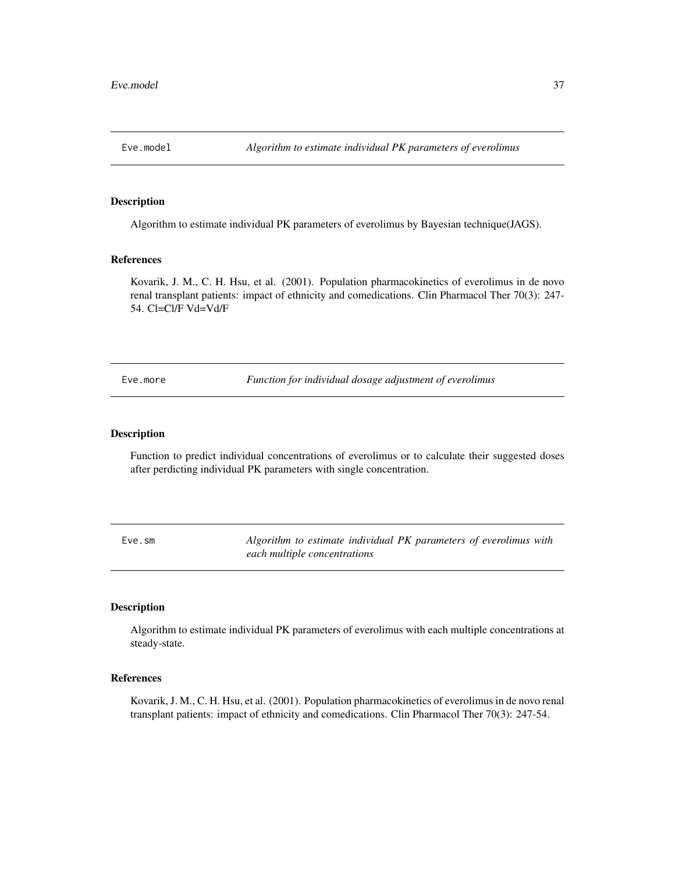Algorithm to estimate individual PK parameters of everolimus by Bayesian technique(JAGS).

## References

Kovarik, J. M., C. H. Hsu, et al. (2001). Population pharmacokinetics of everolimus in de novo renal transplant patients: impact of ethnicity and comedications. Clin Pharmacol Ther 70(3): 247- 54. Cl=Cl/F Vd=Vd/F

Eve.more *Function for individual dosage adjustment of everolimus*

#### Description

Function to predict individual concentrations of everolimus or to calculate their suggested doses after perdicting individual PK parameters with single concentration.

Eve.sm *Algorithm to estimate individual PK parameters of everolimus with each multiple concentrations*

#### Description

Algorithm to estimate individual PK parameters of everolimus with each multiple concentrations at steady-state.

## References

Kovarik, J. M., C. H. Hsu, et al. (2001). Population pharmacokinetics of everolimus in de novo renal transplant patients: impact of ethnicity and comedications. Clin Pharmacol Ther 70(3): 247-54.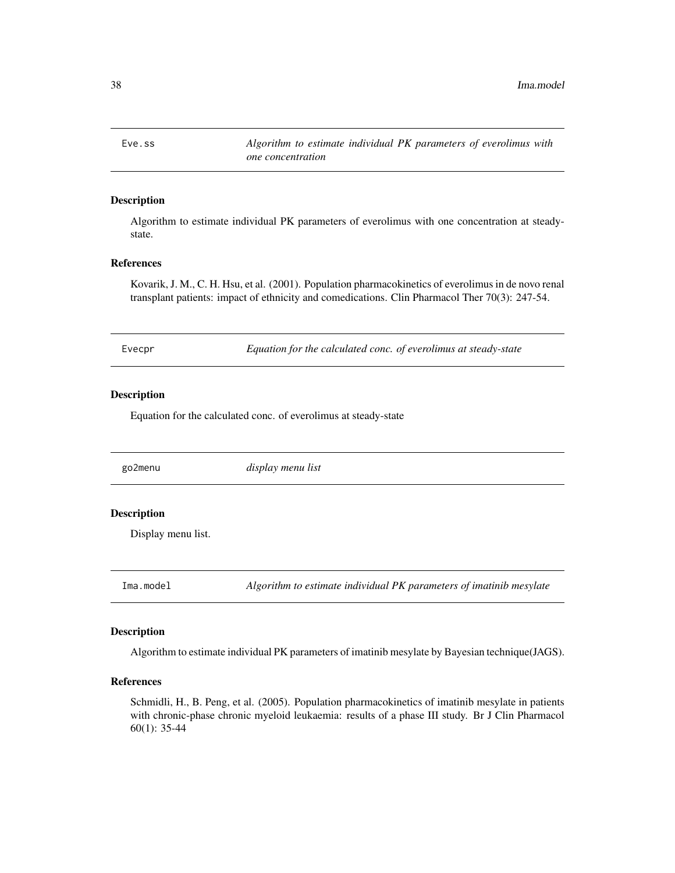Eve.ss *Algorithm to estimate individual PK parameters of everolimus with one concentration*

## Description

Algorithm to estimate individual PK parameters of everolimus with one concentration at steadystate.

## References

Kovarik, J. M., C. H. Hsu, et al. (2001). Population pharmacokinetics of everolimus in de novo renal transplant patients: impact of ethnicity and comedications. Clin Pharmacol Ther 70(3): 247-54.

| Evecpr | Equation for the calculated conc. of everolimus at steady-state |  |
|--------|-----------------------------------------------------------------|--|
|        |                                                                 |  |

#### Description

Equation for the calculated conc. of everolimus at steady-state

go2menu *display menu list*

## Description

Display menu list.

Ima.model *Algorithm to estimate individual PK parameters of imatinib mesylate*

#### Description

Algorithm to estimate individual PK parameters of imatinib mesylate by Bayesian technique(JAGS).

## References

Schmidli, H., B. Peng, et al. (2005). Population pharmacokinetics of imatinib mesylate in patients with chronic-phase chronic myeloid leukaemia: results of a phase III study. Br J Clin Pharmacol 60(1): 35-44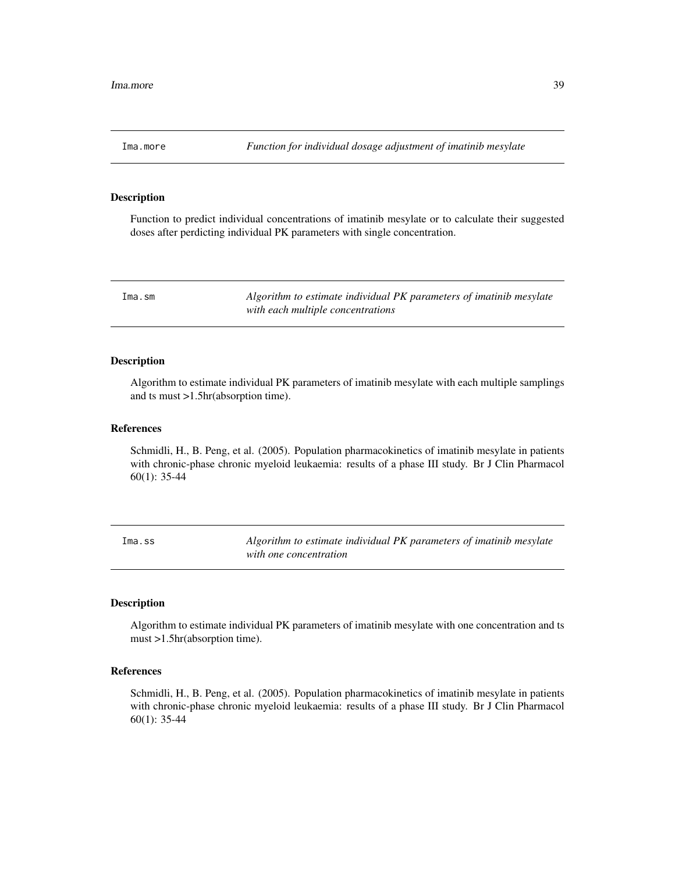Function to predict individual concentrations of imatinib mesylate or to calculate their suggested doses after perdicting individual PK parameters with single concentration.

Ima.sm *Algorithm to estimate individual PK parameters of imatinib mesylate with each multiple concentrations*

#### Description

Algorithm to estimate individual PK parameters of imatinib mesylate with each multiple samplings and ts must >1.5hr(absorption time).

#### References

Schmidli, H., B. Peng, et al. (2005). Population pharmacokinetics of imatinib mesylate in patients with chronic-phase chronic myeloid leukaemia: results of a phase III study. Br J Clin Pharmacol 60(1): 35-44

Ima.ss *Algorithm to estimate individual PK parameters of imatinib mesylate with one concentration*

#### Description

Algorithm to estimate individual PK parameters of imatinib mesylate with one concentration and ts must >1.5hr(absorption time).

## References

Schmidli, H., B. Peng, et al. (2005). Population pharmacokinetics of imatinib mesylate in patients with chronic-phase chronic myeloid leukaemia: results of a phase III study. Br J Clin Pharmacol 60(1): 35-44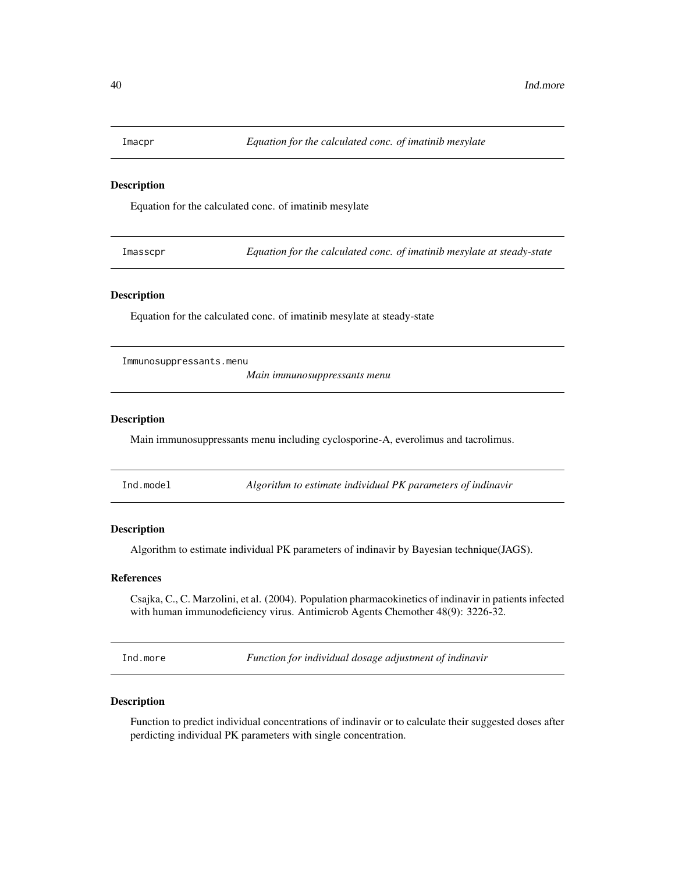Equation for the calculated conc. of imatinib mesylate

Imasscpr *Equation for the calculated conc. of imatinib mesylate at steady-state*

### Description

Equation for the calculated conc. of imatinib mesylate at steady-state

Immunosuppressants.menu

*Main immunosuppressants menu*

#### Description

Main immunosuppressants menu including cyclosporine-A, everolimus and tacrolimus.

Ind.model *Algorithm to estimate individual PK parameters of indinavir*

#### **Description**

Algorithm to estimate individual PK parameters of indinavir by Bayesian technique(JAGS).

#### References

Csajka, C., C. Marzolini, et al. (2004). Population pharmacokinetics of indinavir in patients infected with human immunodeficiency virus. Antimicrob Agents Chemother 48(9): 3226-32.

Ind.more *Function for individual dosage adjustment of indinavir*

#### Description

Function to predict individual concentrations of indinavir or to calculate their suggested doses after perdicting individual PK parameters with single concentration.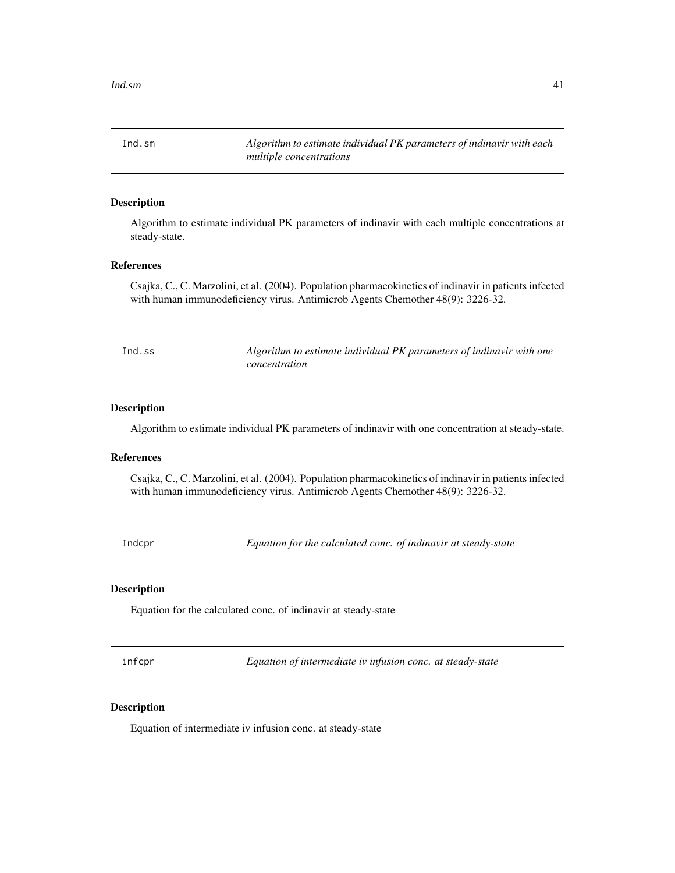Ind.sm *Algorithm to estimate individual PK parameters of indinavir with each multiple concentrations*

### Description

Algorithm to estimate individual PK parameters of indinavir with each multiple concentrations at steady-state.

## References

Csajka, C., C. Marzolini, et al. (2004). Population pharmacokinetics of indinavir in patients infected with human immunodeficiency virus. Antimicrob Agents Chemother 48(9): 3226-32.

| Ind.ss | Algorithm to estimate individual PK parameters of indinavir with one |
|--------|----------------------------------------------------------------------|
|        | concentration                                                        |

## Description

Algorithm to estimate individual PK parameters of indinavir with one concentration at steady-state.

#### References

Csajka, C., C. Marzolini, et al. (2004). Population pharmacokinetics of indinavir in patients infected with human immunodeficiency virus. Antimicrob Agents Chemother 48(9): 3226-32.

Indcpr *Equation for the calculated conc. of indinavir at steady-state*

## Description

Equation for the calculated conc. of indinavir at steady-state

infcpr *Equation of intermediate iv infusion conc. at steady-state*

### Description

Equation of intermediate iv infusion conc. at steady-state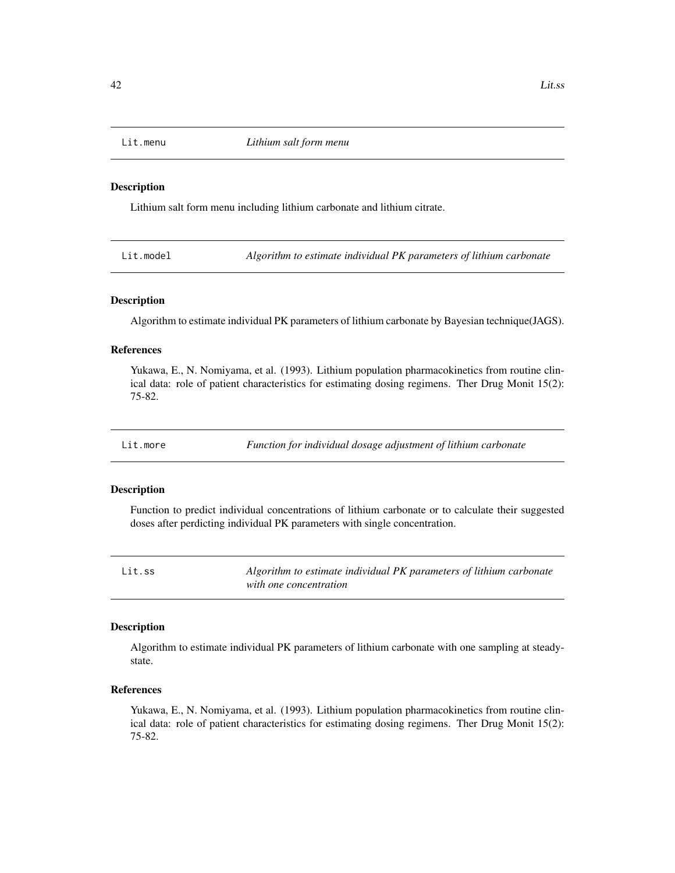Lithium salt form menu including lithium carbonate and lithium citrate.

Lit.model *Algorithm to estimate individual PK parameters of lithium carbonate*

### Description

Algorithm to estimate individual PK parameters of lithium carbonate by Bayesian technique(JAGS).

### References

Yukawa, E., N. Nomiyama, et al. (1993). Lithium population pharmacokinetics from routine clinical data: role of patient characteristics for estimating dosing regimens. Ther Drug Monit 15(2): 75-82.

Lit.more *Function for individual dosage adjustment of lithium carbonate*

#### Description

Function to predict individual concentrations of lithium carbonate or to calculate their suggested doses after perdicting individual PK parameters with single concentration.

| Lit.ss | Algorithm to estimate individual PK parameters of lithium carbonate |
|--------|---------------------------------------------------------------------|
|        | with one concentration                                              |

#### Description

Algorithm to estimate individual PK parameters of lithium carbonate with one sampling at steadystate.

## References

Yukawa, E., N. Nomiyama, et al. (1993). Lithium population pharmacokinetics from routine clinical data: role of patient characteristics for estimating dosing regimens. Ther Drug Monit 15(2): 75-82.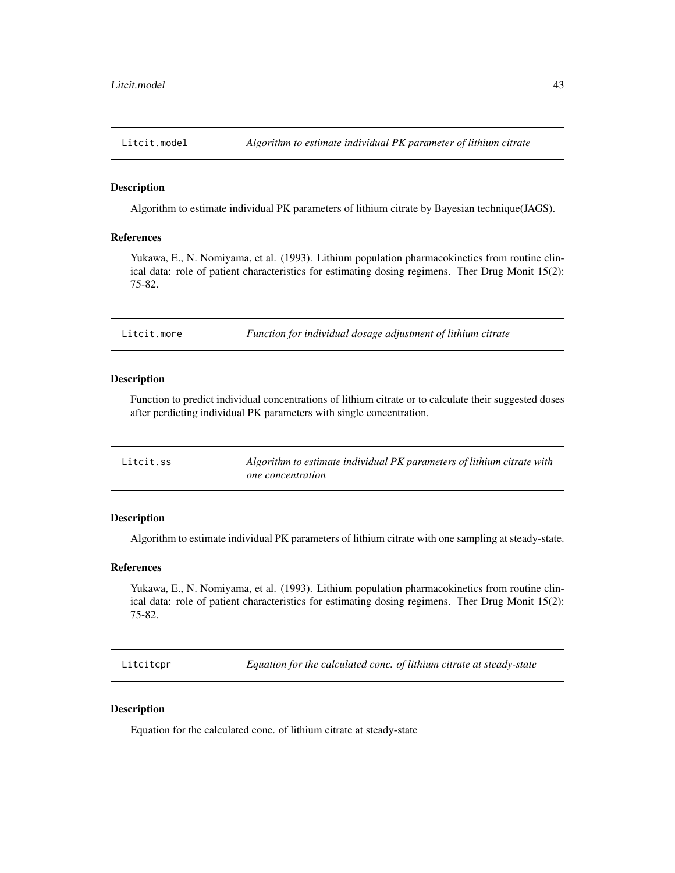Algorithm to estimate individual PK parameters of lithium citrate by Bayesian technique(JAGS).

#### References

Yukawa, E., N. Nomiyama, et al. (1993). Lithium population pharmacokinetics from routine clinical data: role of patient characteristics for estimating dosing regimens. Ther Drug Monit 15(2): 75-82.

Litcit.more *Function for individual dosage adjustment of lithium citrate*

#### Description

Function to predict individual concentrations of lithium citrate or to calculate their suggested doses after perdicting individual PK parameters with single concentration.

| Litcit.ss | Algorithm to estimate individual PK parameters of lithium citrate with |
|-----------|------------------------------------------------------------------------|
|           | one concentration                                                      |

### Description

Algorithm to estimate individual PK parameters of lithium citrate with one sampling at steady-state.

#### References

Yukawa, E., N. Nomiyama, et al. (1993). Lithium population pharmacokinetics from routine clinical data: role of patient characteristics for estimating dosing regimens. Ther Drug Monit 15(2): 75-82.

Litcitcpr *Equation for the calculated conc. of lithium citrate at steady-state*

### Description

Equation for the calculated conc. of lithium citrate at steady-state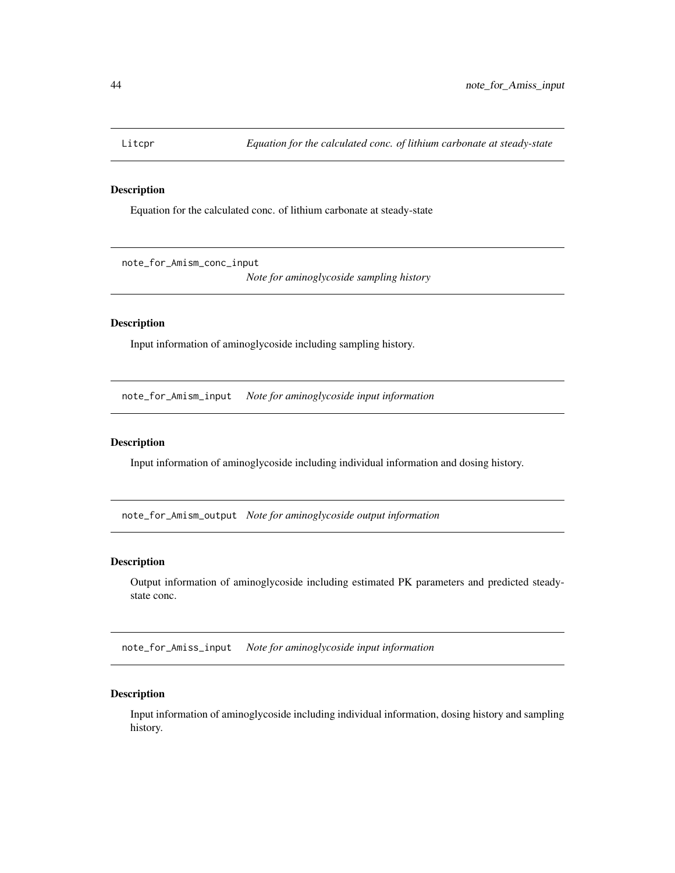Equation for the calculated conc. of lithium carbonate at steady-state

note\_for\_Amism\_conc\_input

*Note for aminoglycoside sampling history*

#### Description

Input information of aminoglycoside including sampling history.

note\_for\_Amism\_input *Note for aminoglycoside input information*

## Description

Input information of aminoglycoside including individual information and dosing history.

note\_for\_Amism\_output *Note for aminoglycoside output information*

### Description

Output information of aminoglycoside including estimated PK parameters and predicted steadystate conc.

note\_for\_Amiss\_input *Note for aminoglycoside input information*

## Description

Input information of aminoglycoside including individual information, dosing history and sampling history.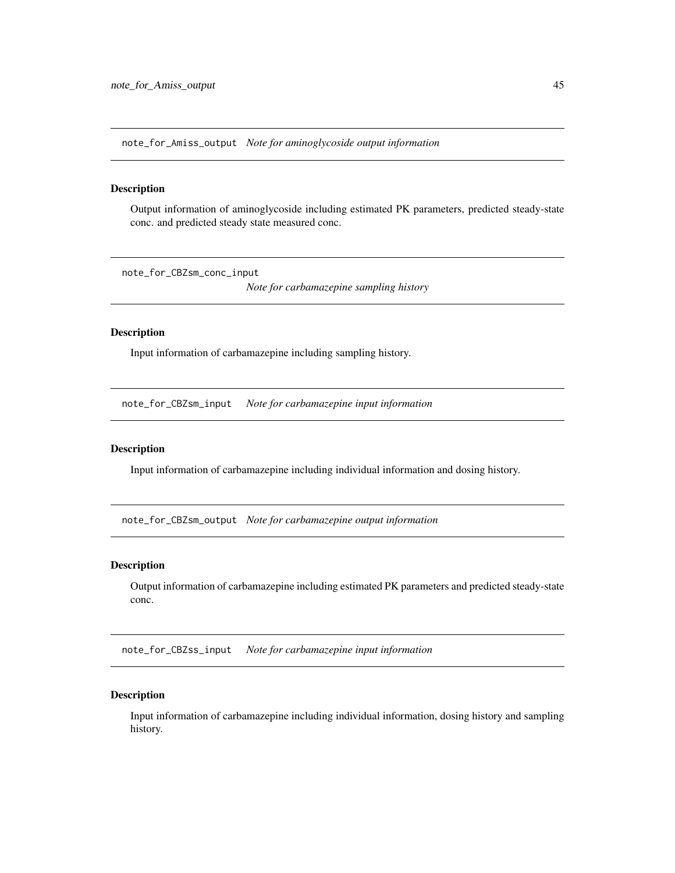note\_for\_Amiss\_output *Note for aminoglycoside output information*

#### Description

Output information of aminoglycoside including estimated PK parameters, predicted steady-state conc. and predicted steady state measured conc.

note\_for\_CBZsm\_conc\_input

*Note for carbamazepine sampling history*

## Description

Input information of carbamazepine including sampling history.

note\_for\_CBZsm\_input *Note for carbamazepine input information*

### Description

Input information of carbamazepine including individual information and dosing history.

note\_for\_CBZsm\_output *Note for carbamazepine output information*

## Description

Output information of carbamazepine including estimated PK parameters and predicted steady-state conc.

note\_for\_CBZss\_input *Note for carbamazepine input information*

#### Description

Input information of carbamazepine including individual information, dosing history and sampling history.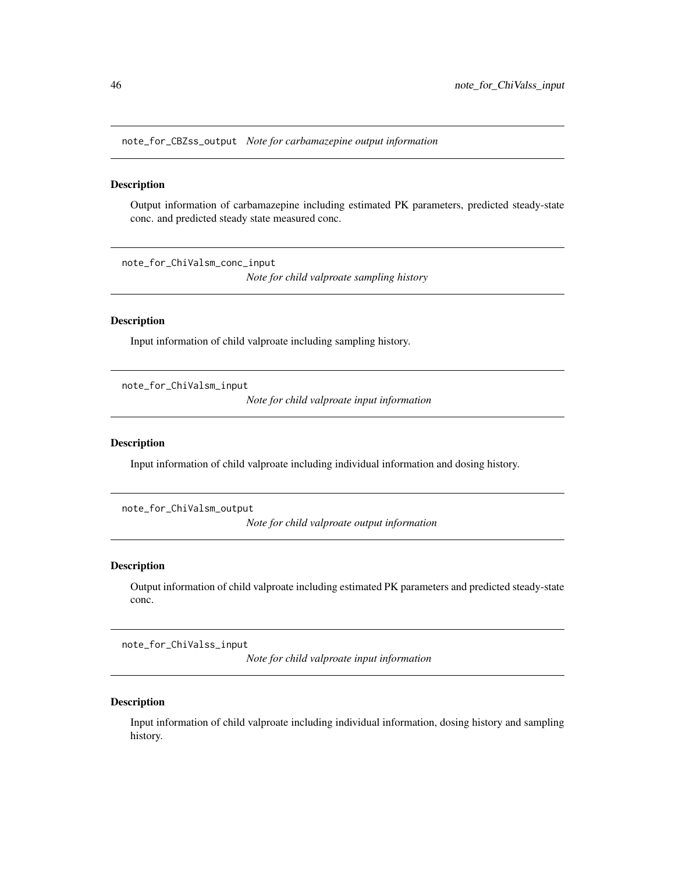note\_for\_CBZss\_output *Note for carbamazepine output information*

#### Description

Output information of carbamazepine including estimated PK parameters, predicted steady-state conc. and predicted steady state measured conc.

note\_for\_ChiValsm\_conc\_input

*Note for child valproate sampling history*

### Description

Input information of child valproate including sampling history.

note\_for\_ChiValsm\_input

*Note for child valproate input information*

## Description

Input information of child valproate including individual information and dosing history.

note\_for\_ChiValsm\_output

*Note for child valproate output information*

### Description

Output information of child valproate including estimated PK parameters and predicted steady-state conc.

note\_for\_ChiValss\_input

*Note for child valproate input information*

### Description

Input information of child valproate including individual information, dosing history and sampling history.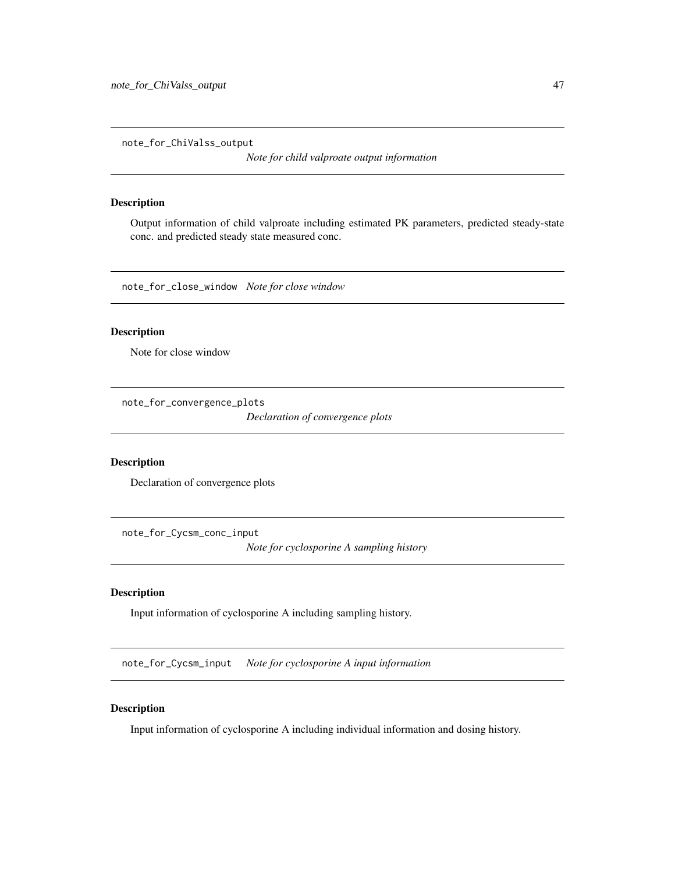note\_for\_ChiValss\_output

*Note for child valproate output information*

#### Description

Output information of child valproate including estimated PK parameters, predicted steady-state conc. and predicted steady state measured conc.

note\_for\_close\_window *Note for close window*

### Description

Note for close window

note\_for\_convergence\_plots

*Declaration of convergence plots*

## Description

Declaration of convergence plots

note\_for\_Cycsm\_conc\_input *Note for cyclosporine A sampling history*

#### Description

Input information of cyclosporine A including sampling history.

note\_for\_Cycsm\_input *Note for cyclosporine A input information*

## Description

Input information of cyclosporine A including individual information and dosing history.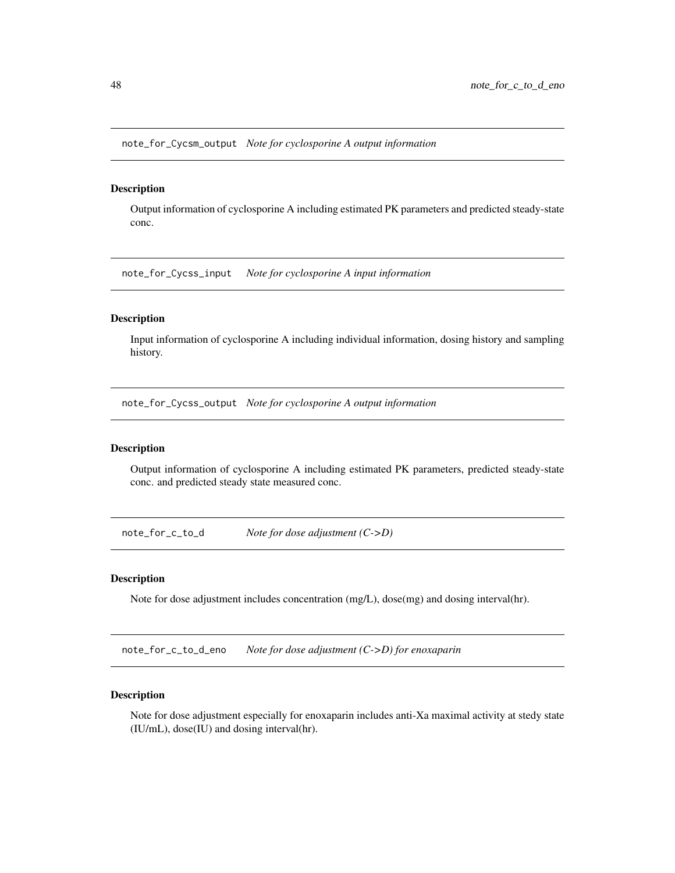note\_for\_Cycsm\_output *Note for cyclosporine A output information*

### Description

Output information of cyclosporine A including estimated PK parameters and predicted steady-state conc.

note\_for\_Cycss\_input *Note for cyclosporine A input information*

### Description

Input information of cyclosporine A including individual information, dosing history and sampling history.

note\_for\_Cycss\_output *Note for cyclosporine A output information*

## Description

Output information of cyclosporine A including estimated PK parameters, predicted steady-state conc. and predicted steady state measured conc.

note\_for\_c\_to\_d *Note for dose adjustment (C->D)*

#### Description

Note for dose adjustment includes concentration (mg/L), dose(mg) and dosing interval(hr).

note\_for\_c\_to\_d\_eno *Note for dose adjustment (C->D) for enoxaparin*

#### Description

Note for dose adjustment especially for enoxaparin includes anti-Xa maximal activity at stedy state (IU/mL), dose(IU) and dosing interval(hr).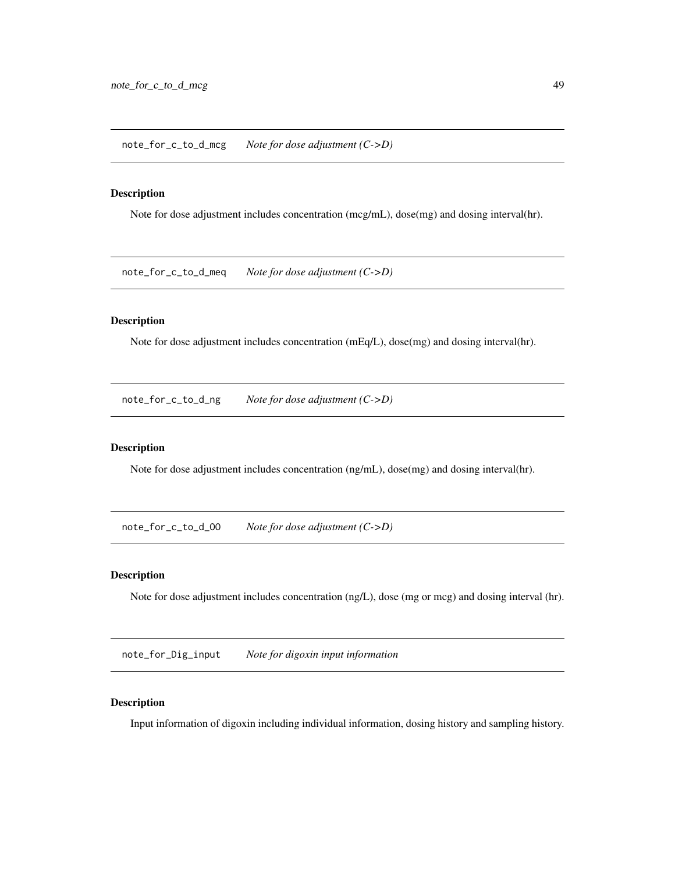note\_for\_c\_to\_d\_mcg *Note for dose adjustment (C->D)*

## Description

Note for dose adjustment includes concentration (mcg/mL), dose(mg) and dosing interval(hr).

note\_for\_c\_to\_d\_meq *Note for dose adjustment (C->D)*

## Description

Note for dose adjustment includes concentration (mEq/L), dose(mg) and dosing interval(hr).

note\_for\_c\_to\_d\_ng *Note for dose adjustment (C->D)*

### Description

Note for dose adjustment includes concentration (ng/mL), dose(mg) and dosing interval(hr).

note\_for\_c\_to\_d\_OO *Note for dose adjustment (C->D)*

### Description

Note for dose adjustment includes concentration (ng/L), dose (mg or mcg) and dosing interval (hr).

note\_for\_Dig\_input *Note for digoxin input information*

## Description

Input information of digoxin including individual information, dosing history and sampling history.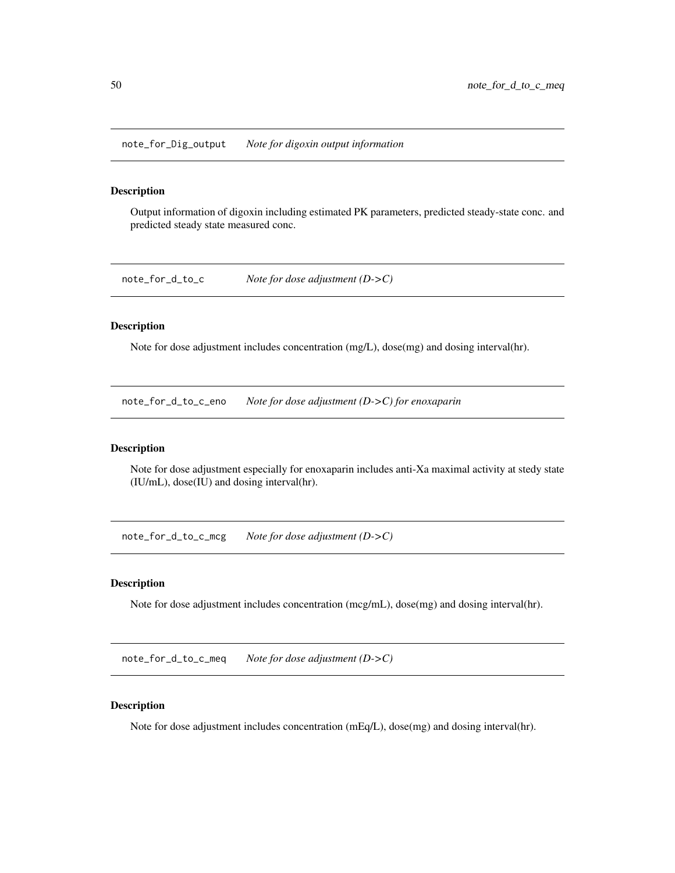note\_for\_Dig\_output *Note for digoxin output information*

### Description

Output information of digoxin including estimated PK parameters, predicted steady-state conc. and predicted steady state measured conc.

note\_for\_d\_to\_c *Note for dose adjustment (D->C)*

### Description

Note for dose adjustment includes concentration (mg/L), dose(mg) and dosing interval(hr).

note\_for\_d\_to\_c\_eno *Note for dose adjustment (D->C) for enoxaparin*

## Description

Note for dose adjustment especially for enoxaparin includes anti-Xa maximal activity at stedy state (IU/mL), dose(IU) and dosing interval(hr).

note\_for\_d\_to\_c\_mcg *Note for dose adjustment (D->C)*

### Description

Note for dose adjustment includes concentration (mcg/mL), dose(mg) and dosing interval(hr).

note\_for\_d\_to\_c\_meq *Note for dose adjustment (D->C)*

### Description

Note for dose adjustment includes concentration (mEq/L), dose(mg) and dosing interval(hr).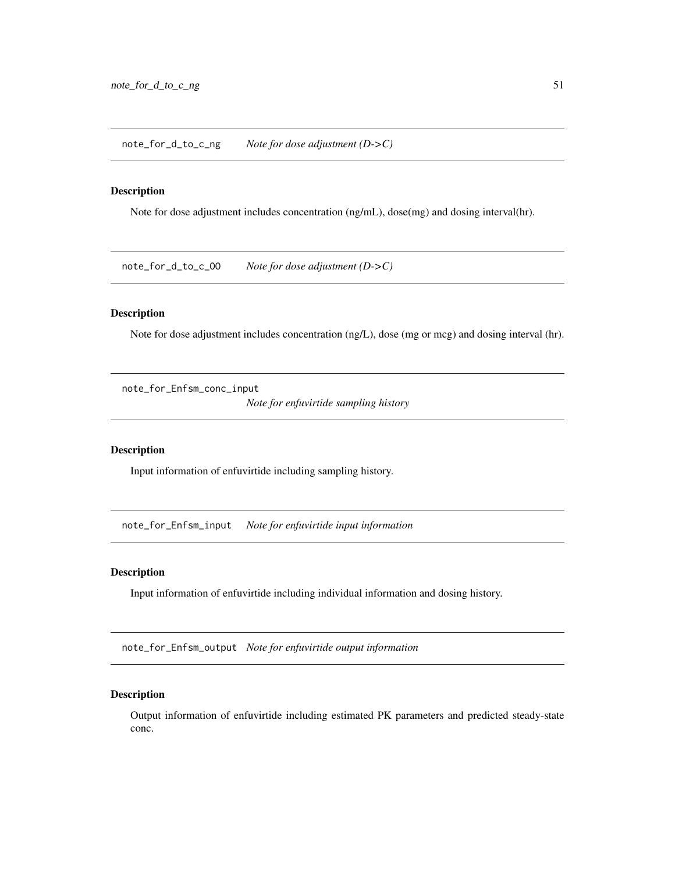note\_for\_d\_to\_c\_ng *Note for dose adjustment (D->C)*

#### Description

Note for dose adjustment includes concentration (ng/mL), dose(mg) and dosing interval(hr).

note\_for\_d\_to\_c\_OO *Note for dose adjustment (D->C)*

## Description

Note for dose adjustment includes concentration (ng/L), dose (mg or mcg) and dosing interval (hr).

note\_for\_Enfsm\_conc\_input

*Note for enfuvirtide sampling history*

### Description

Input information of enfuvirtide including sampling history.

note\_for\_Enfsm\_input *Note for enfuvirtide input information*

#### Description

Input information of enfuvirtide including individual information and dosing history.

note\_for\_Enfsm\_output *Note for enfuvirtide output information*

## Description

Output information of enfuvirtide including estimated PK parameters and predicted steady-state conc.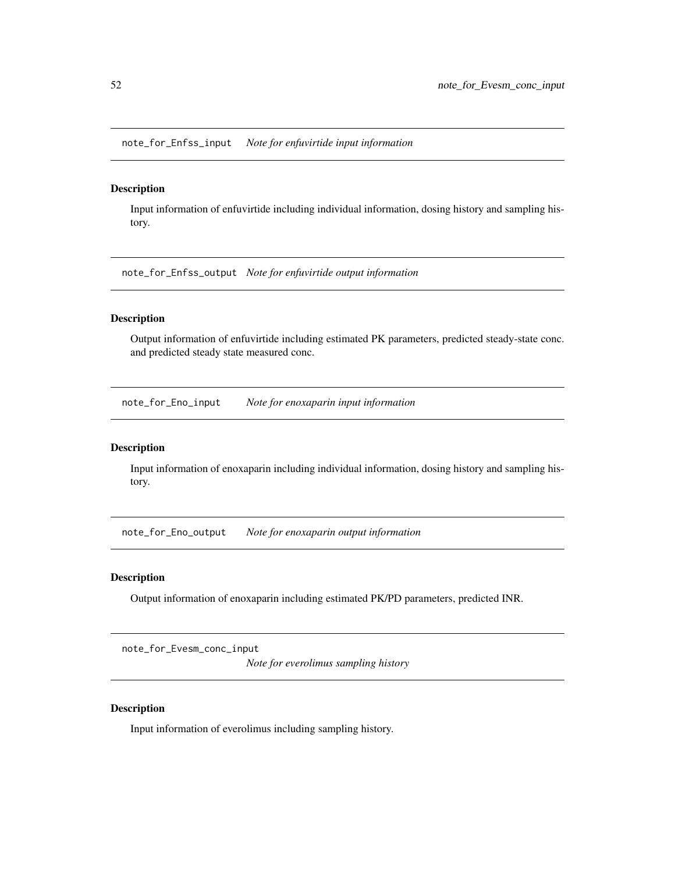note\_for\_Enfss\_input *Note for enfuvirtide input information*

### Description

Input information of enfuvirtide including individual information, dosing history and sampling history.

note\_for\_Enfss\_output *Note for enfuvirtide output information*

## Description

Output information of enfuvirtide including estimated PK parameters, predicted steady-state conc. and predicted steady state measured conc.

note\_for\_Eno\_input *Note for enoxaparin input information*

### Description

Input information of enoxaparin including individual information, dosing history and sampling history.

note\_for\_Eno\_output *Note for enoxaparin output information*

## Description

Output information of enoxaparin including estimated PK/PD parameters, predicted INR.

note\_for\_Evesm\_conc\_input

*Note for everolimus sampling history*

## Description

Input information of everolimus including sampling history.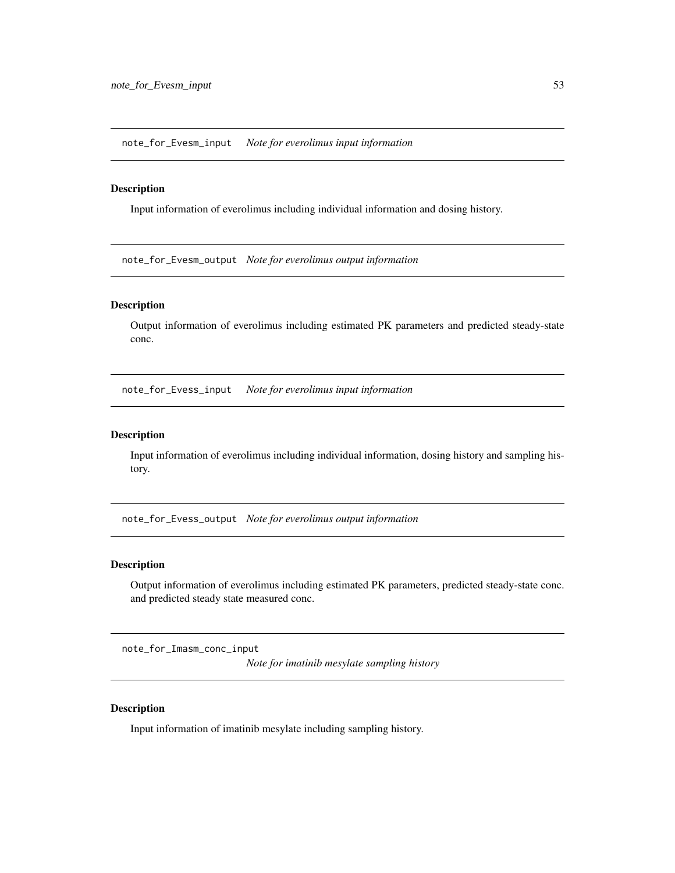note\_for\_Evesm\_input *Note for everolimus input information*

### Description

Input information of everolimus including individual information and dosing history.

note\_for\_Evesm\_output *Note for everolimus output information*

#### Description

Output information of everolimus including estimated PK parameters and predicted steady-state conc.

note\_for\_Evess\_input *Note for everolimus input information*

#### Description

Input information of everolimus including individual information, dosing history and sampling history.

note\_for\_Evess\_output *Note for everolimus output information*

## Description

Output information of everolimus including estimated PK parameters, predicted steady-state conc. and predicted steady state measured conc.

note\_for\_Imasm\_conc\_input

*Note for imatinib mesylate sampling history*

## Description

Input information of imatinib mesylate including sampling history.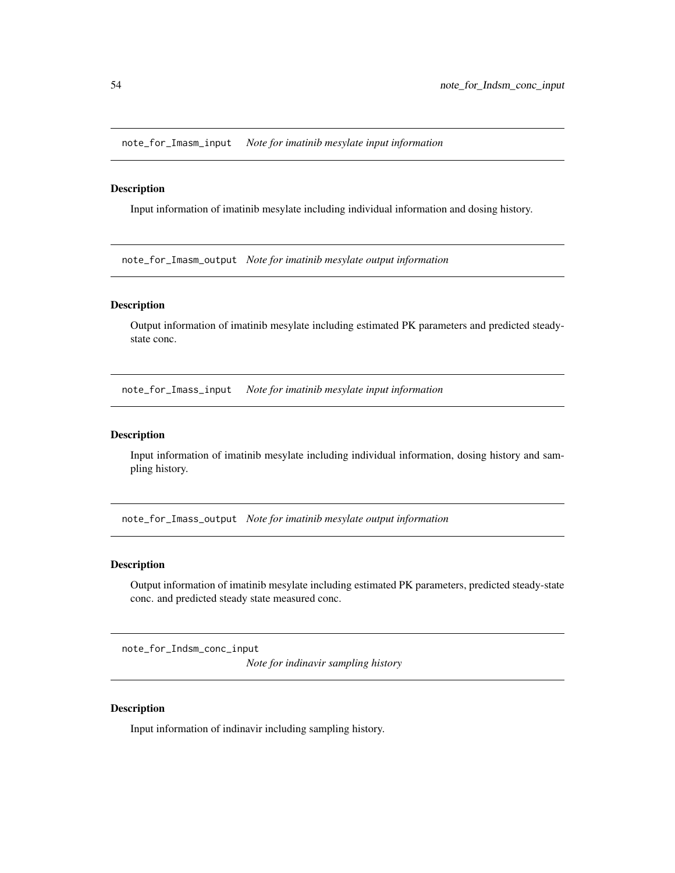note\_for\_Imasm\_input *Note for imatinib mesylate input information*

### Description

Input information of imatinib mesylate including individual information and dosing history.

note\_for\_Imasm\_output *Note for imatinib mesylate output information*

#### Description

Output information of imatinib mesylate including estimated PK parameters and predicted steadystate conc.

note\_for\_Imass\_input *Note for imatinib mesylate input information*

#### Description

Input information of imatinib mesylate including individual information, dosing history and sampling history.

note\_for\_Imass\_output *Note for imatinib mesylate output information*

## Description

Output information of imatinib mesylate including estimated PK parameters, predicted steady-state conc. and predicted steady state measured conc.

note\_for\_Indsm\_conc\_input

*Note for indinavir sampling history*

## Description

Input information of indinavir including sampling history.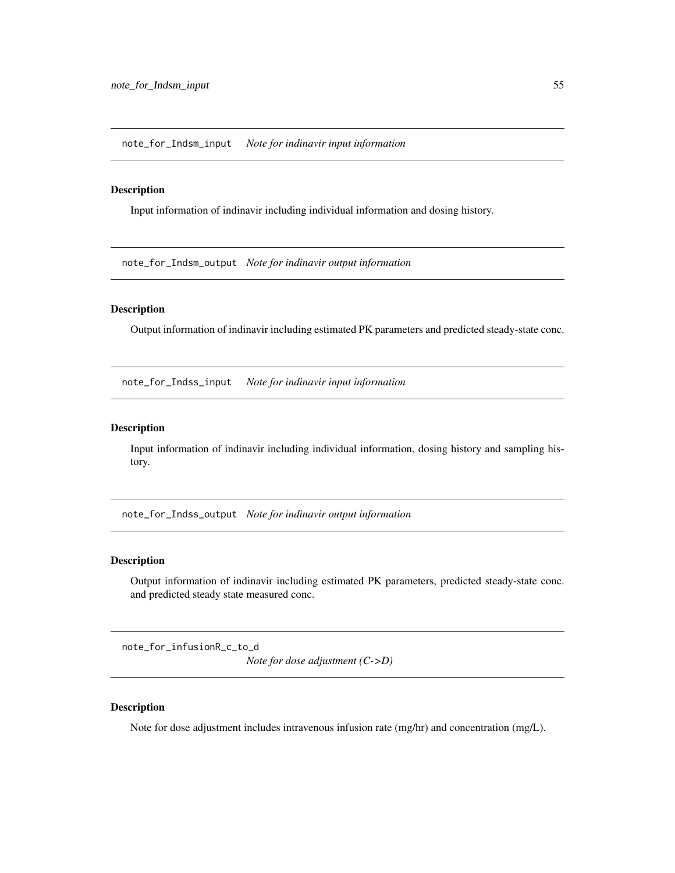note\_for\_Indsm\_input *Note for indinavir input information*

#### Description

Input information of indinavir including individual information and dosing history.

note\_for\_Indsm\_output *Note for indinavir output information*

## Description

Output information of indinavir including estimated PK parameters and predicted steady-state conc.

note\_for\_Indss\_input *Note for indinavir input information*

### Description

Input information of indinavir including individual information, dosing history and sampling history.

note\_for\_Indss\_output *Note for indinavir output information*

#### Description

Output information of indinavir including estimated PK parameters, predicted steady-state conc. and predicted steady state measured conc.

note\_for\_infusionR\_c\_to\_d

*Note for dose adjustment (C->D)*

## Description

Note for dose adjustment includes intravenous infusion rate (mg/hr) and concentration (mg/L).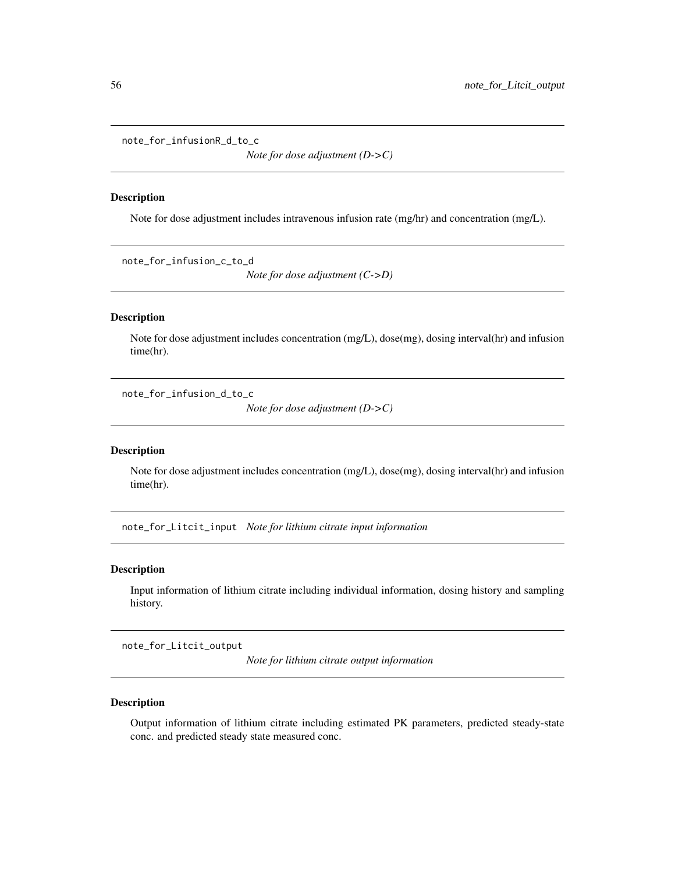note\_for\_infusionR\_d\_to\_c

*Note for dose adjustment (D->C)*

#### Description

Note for dose adjustment includes intravenous infusion rate (mg/hr) and concentration (mg/L).

note\_for\_infusion\_c\_to\_d *Note for dose adjustment (C->D)*

#### Description

Note for dose adjustment includes concentration (mg/L), dose(mg), dosing interval(hr) and infusion time(hr).

note\_for\_infusion\_d\_to\_c

*Note for dose adjustment (D->C)*

#### Description

Note for dose adjustment includes concentration (mg/L), dose(mg), dosing interval(hr) and infusion time(hr).

note\_for\_Litcit\_input *Note for lithium citrate input information*

### Description

Input information of lithium citrate including individual information, dosing history and sampling history.

note\_for\_Litcit\_output

*Note for lithium citrate output information*

## Description

Output information of lithium citrate including estimated PK parameters, predicted steady-state conc. and predicted steady state measured conc.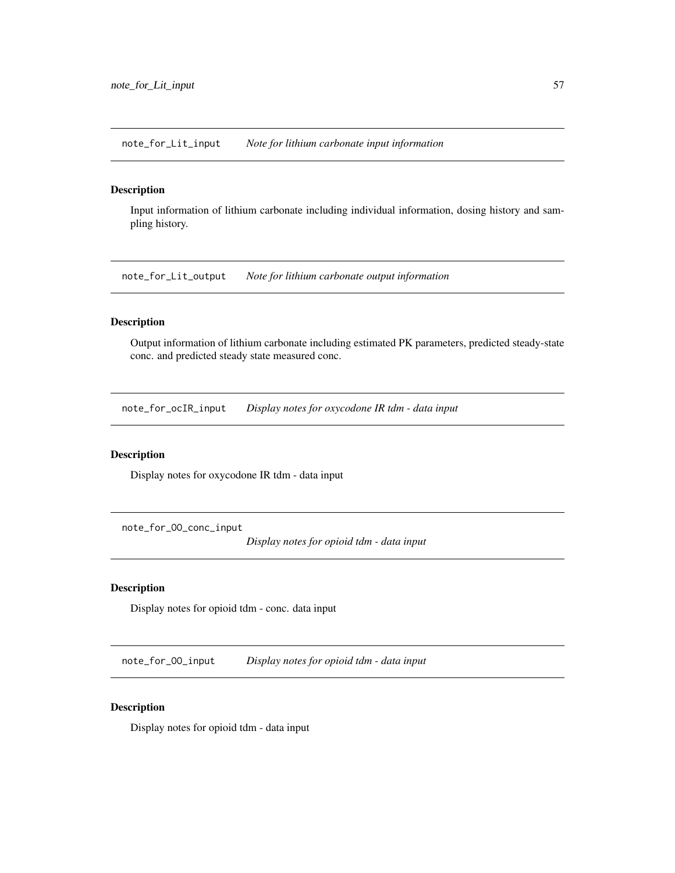note\_for\_Lit\_input *Note for lithium carbonate input information*

## Description

Input information of lithium carbonate including individual information, dosing history and sampling history.

note\_for\_Lit\_output *Note for lithium carbonate output information*

## Description

Output information of lithium carbonate including estimated PK parameters, predicted steady-state conc. and predicted steady state measured conc.

note\_for\_ocIR\_input *Display notes for oxycodone IR tdm - data input*

## Description

Display notes for oxycodone IR tdm - data input

note\_for\_OO\_conc\_input

*Display notes for opioid tdm - data input*

## Description

Display notes for opioid tdm - conc. data input

note\_for\_OO\_input *Display notes for opioid tdm - data input*

## Description

Display notes for opioid tdm - data input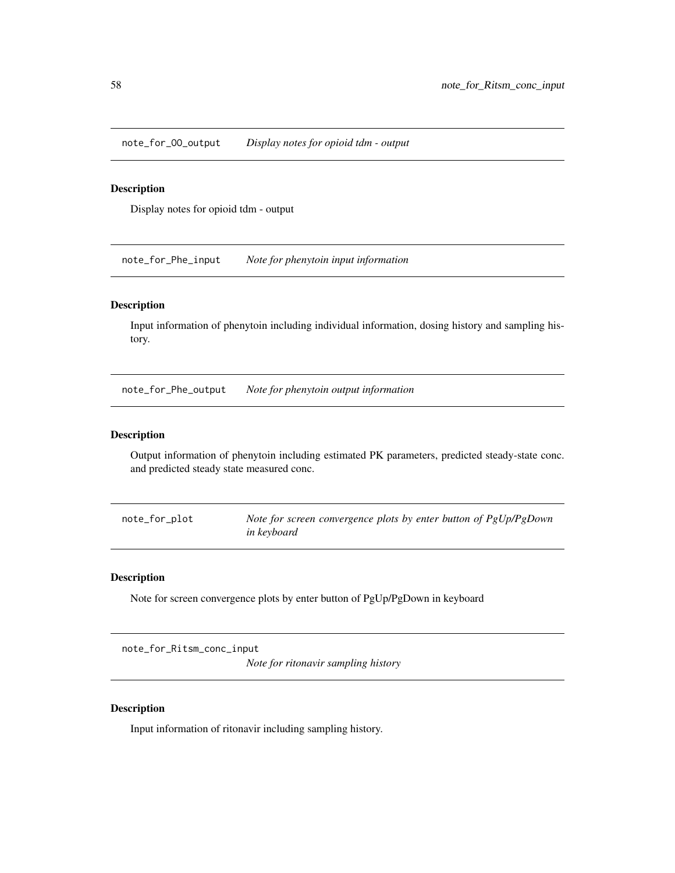note\_for\_OO\_output *Display notes for opioid tdm - output*

## Description

Display notes for opioid tdm - output

note\_for\_Phe\_input *Note for phenytoin input information*

#### Description

Input information of phenytoin including individual information, dosing history and sampling history.

note\_for\_Phe\_output *Note for phenytoin output information*

#### Description

Output information of phenytoin including estimated PK parameters, predicted steady-state conc. and predicted steady state measured conc.

note\_for\_plot *Note for screen convergence plots by enter button of PgUp/PgDown in keyboard*

## Description

Note for screen convergence plots by enter button of PgUp/PgDown in keyboard

note\_for\_Ritsm\_conc\_input

*Note for ritonavir sampling history*

## Description

Input information of ritonavir including sampling history.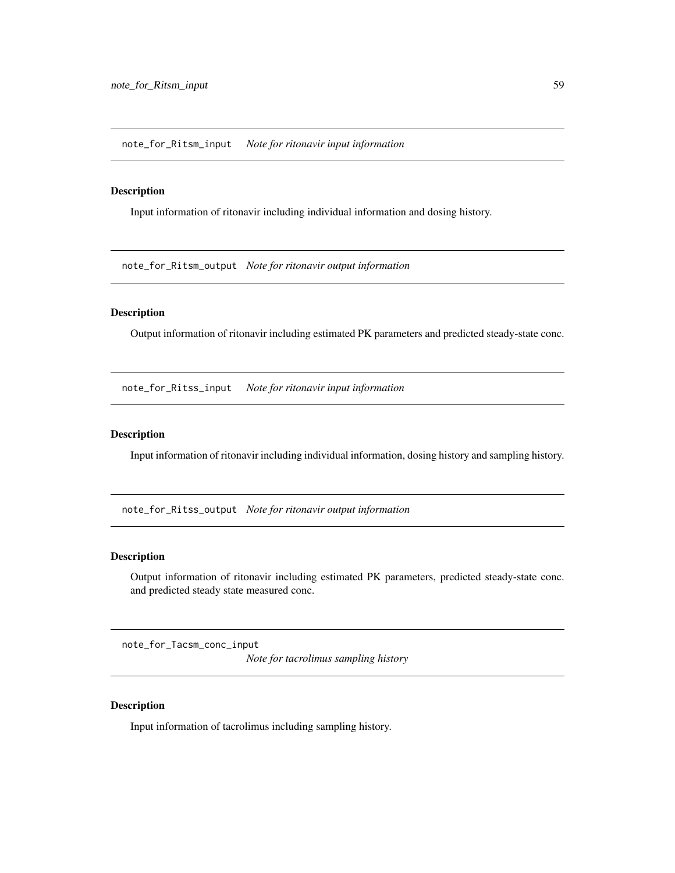note\_for\_Ritsm\_input *Note for ritonavir input information*

#### Description

Input information of ritonavir including individual information and dosing history.

note\_for\_Ritsm\_output *Note for ritonavir output information*

### Description

Output information of ritonavir including estimated PK parameters and predicted steady-state conc.

note\_for\_Ritss\_input *Note for ritonavir input information*

### Description

Input information of ritonavir including individual information, dosing history and sampling history.

note\_for\_Ritss\_output *Note for ritonavir output information*

#### Description

Output information of ritonavir including estimated PK parameters, predicted steady-state conc. and predicted steady state measured conc.

note\_for\_Tacsm\_conc\_input

*Note for tacrolimus sampling history*

## Description

Input information of tacrolimus including sampling history.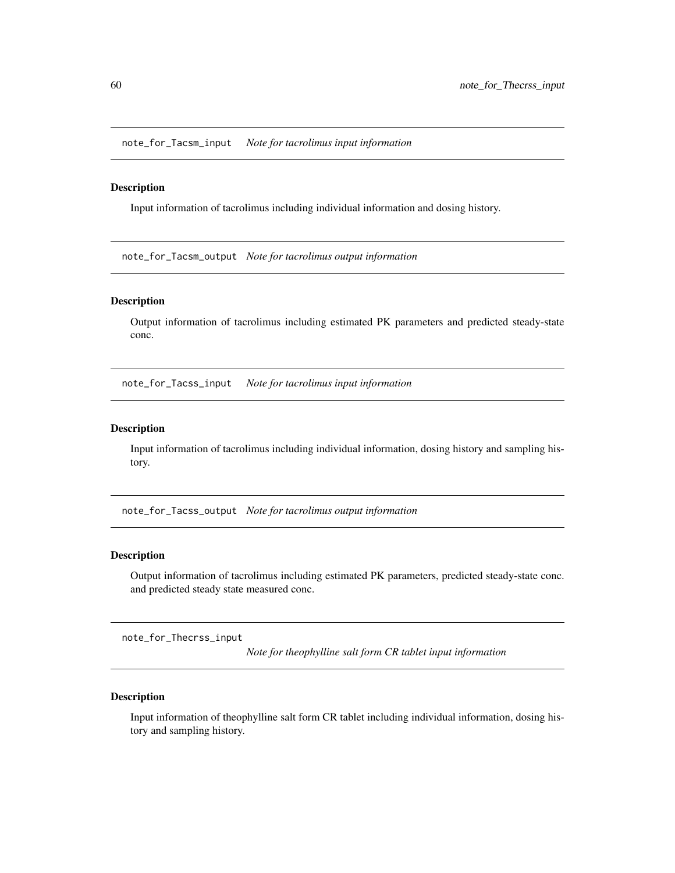note\_for\_Tacsm\_input *Note for tacrolimus input information*

## Description

Input information of tacrolimus including individual information and dosing history.

note\_for\_Tacsm\_output *Note for tacrolimus output information*

#### Description

Output information of tacrolimus including estimated PK parameters and predicted steady-state conc.

note\_for\_Tacss\_input *Note for tacrolimus input information*

#### Description

Input information of tacrolimus including individual information, dosing history and sampling history.

note\_for\_Tacss\_output *Note for tacrolimus output information*

#### Description

Output information of tacrolimus including estimated PK parameters, predicted steady-state conc. and predicted steady state measured conc.

note\_for\_Thecrss\_input

*Note for theophylline salt form CR tablet input information*

### Description

Input information of theophylline salt form CR tablet including individual information, dosing history and sampling history.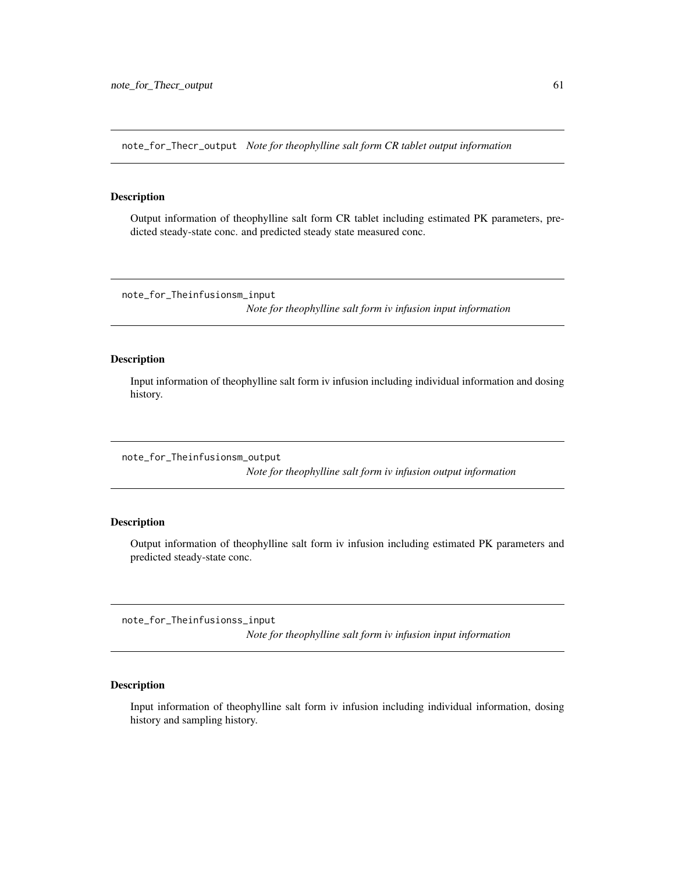note\_for\_Thecr\_output *Note for theophylline salt form CR tablet output information*

#### Description

Output information of theophylline salt form CR tablet including estimated PK parameters, predicted steady-state conc. and predicted steady state measured conc.

note\_for\_Theinfusionsm\_input

*Note for theophylline salt form iv infusion input information*

## Description

Input information of theophylline salt form iv infusion including individual information and dosing history.

note\_for\_Theinfusionsm\_output

*Note for theophylline salt form iv infusion output information*

## Description

Output information of theophylline salt form iv infusion including estimated PK parameters and predicted steady-state conc.

note\_for\_Theinfusionss\_input

*Note for theophylline salt form iv infusion input information*

## Description

Input information of theophylline salt form iv infusion including individual information, dosing history and sampling history.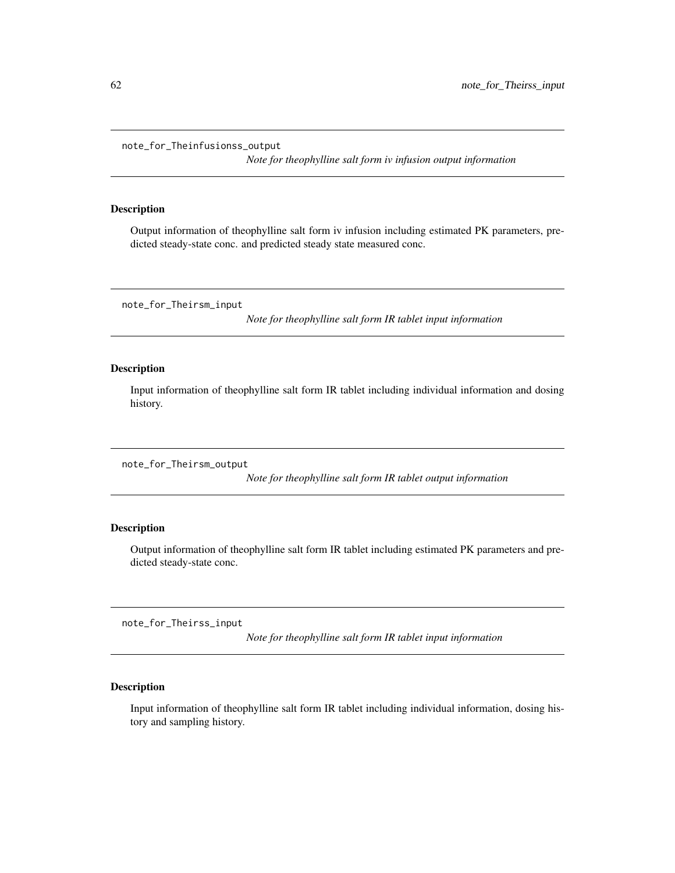note\_for\_Theinfusionss\_output

*Note for theophylline salt form iv infusion output information*

### Description

Output information of theophylline salt form iv infusion including estimated PK parameters, predicted steady-state conc. and predicted steady state measured conc.

note\_for\_Theirsm\_input

*Note for theophylline salt form IR tablet input information*

#### Description

Input information of theophylline salt form IR tablet including individual information and dosing history.

note\_for\_Theirsm\_output

*Note for theophylline salt form IR tablet output information*

## Description

Output information of theophylline salt form IR tablet including estimated PK parameters and predicted steady-state conc.

note\_for\_Theirss\_input

*Note for theophylline salt form IR tablet input information*

## Description

Input information of theophylline salt form IR tablet including individual information, dosing history and sampling history.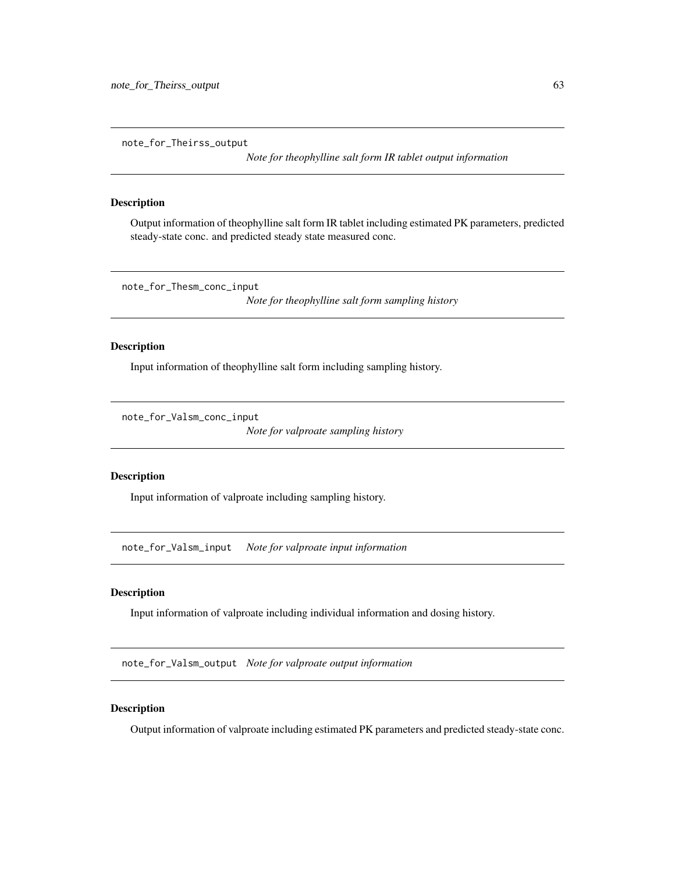note\_for\_Theirss\_output

*Note for theophylline salt form IR tablet output information*

### Description

Output information of theophylline salt form IR tablet including estimated PK parameters, predicted steady-state conc. and predicted steady state measured conc.

note\_for\_Thesm\_conc\_input

*Note for theophylline salt form sampling history*

## Description

Input information of theophylline salt form including sampling history.

note\_for\_Valsm\_conc\_input

*Note for valproate sampling history*

#### Description

Input information of valproate including sampling history.

note\_for\_Valsm\_input *Note for valproate input information*

### Description

Input information of valproate including individual information and dosing history.

note\_for\_Valsm\_output *Note for valproate output information*

## Description

Output information of valproate including estimated PK parameters and predicted steady-state conc.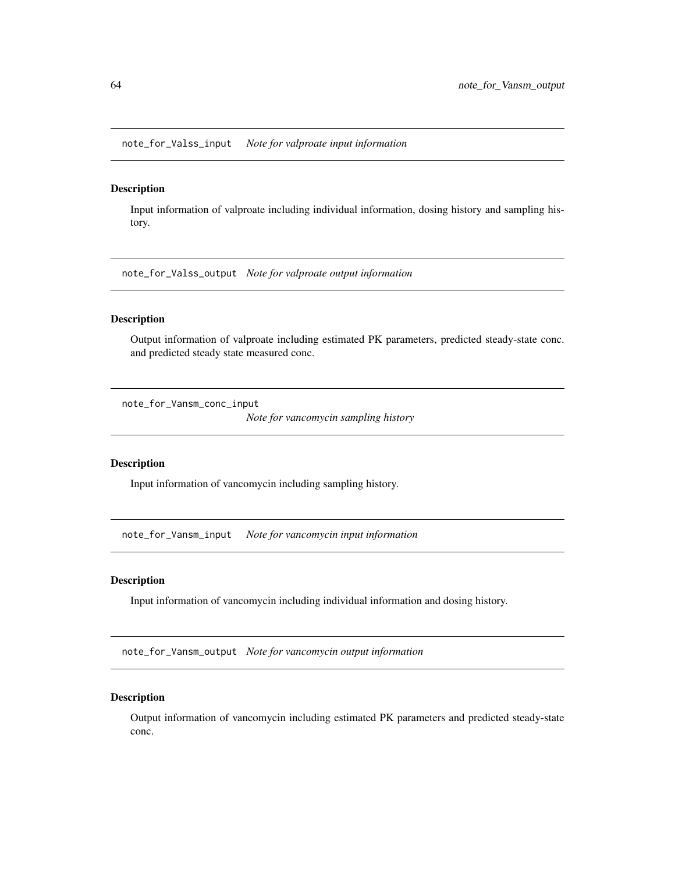note\_for\_Valss\_input *Note for valproate input information*

### Description

Input information of valproate including individual information, dosing history and sampling history.

note\_for\_Valss\_output *Note for valproate output information*

### Description

Output information of valproate including estimated PK parameters, predicted steady-state conc. and predicted steady state measured conc.

note\_for\_Vansm\_conc\_input

*Note for vancomycin sampling history*

### Description

Input information of vancomycin including sampling history.

note\_for\_Vansm\_input *Note for vancomycin input information*

### Description

Input information of vancomycin including individual information and dosing history.

note\_for\_Vansm\_output *Note for vancomycin output information*

### Description

Output information of vancomycin including estimated PK parameters and predicted steady-state conc.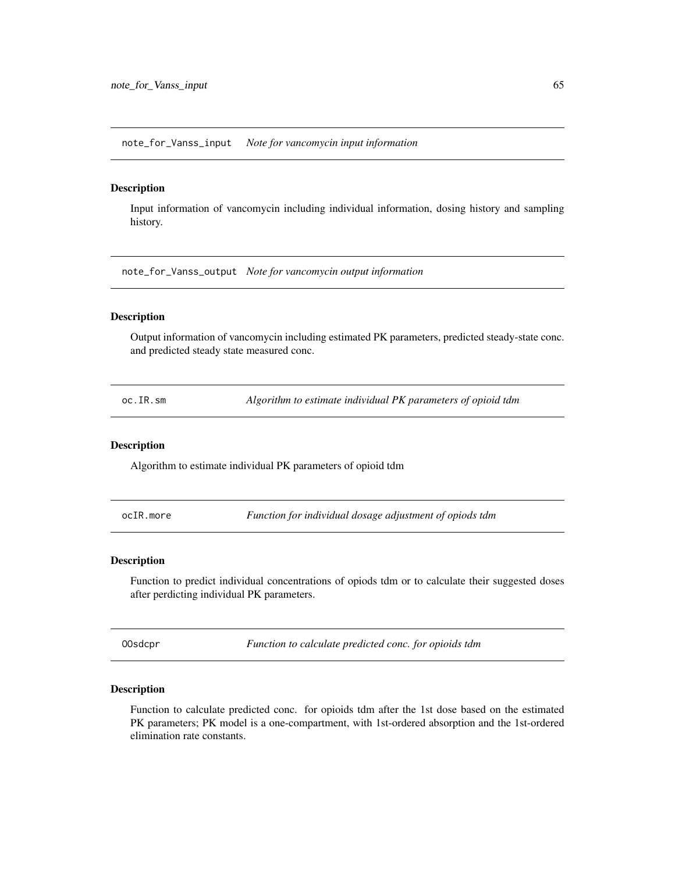note\_for\_Vanss\_input *Note for vancomycin input information*

### Description

Input information of vancomycin including individual information, dosing history and sampling history.

note\_for\_Vanss\_output *Note for vancomycin output information*

## Description

Output information of vancomycin including estimated PK parameters, predicted steady-state conc. and predicted steady state measured conc.

oc.IR.sm *Algorithm to estimate individual PK parameters of opioid tdm*

#### Description

Algorithm to estimate individual PK parameters of opioid tdm

ocIR.more *Function for individual dosage adjustment of opiods tdm*

#### Description

Function to predict individual concentrations of opiods tdm or to calculate their suggested doses after perdicting individual PK parameters.

OOsdcpr *Function to calculate predicted conc. for opioids tdm*

#### Description

Function to calculate predicted conc. for opioids tdm after the 1st dose based on the estimated PK parameters; PK model is a one-compartment, with 1st-ordered absorption and the 1st-ordered elimination rate constants.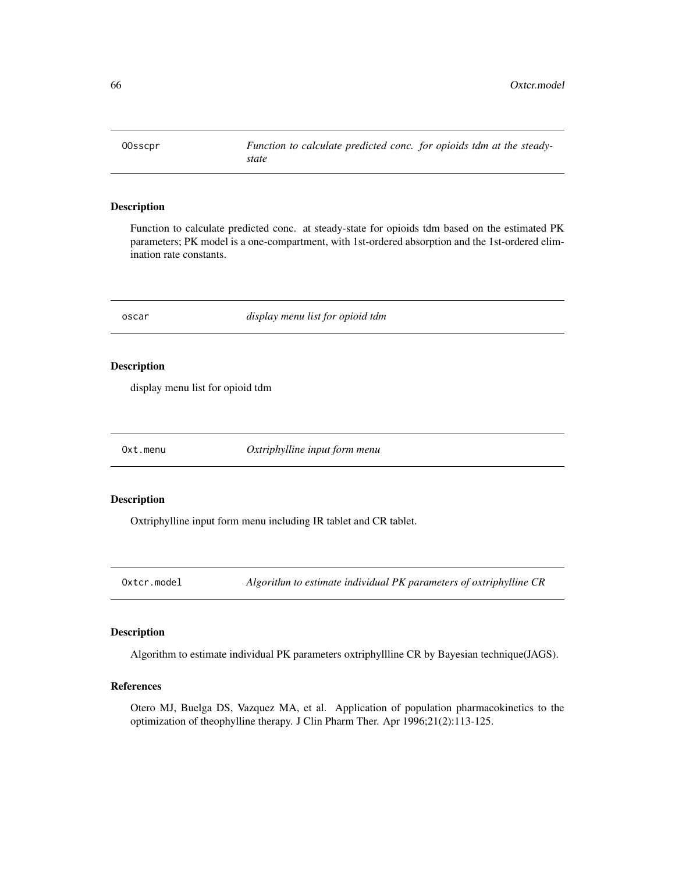OOsscpr *Function to calculate predicted conc. for opioids tdm at the steadystate*

## Description

Function to calculate predicted conc. at steady-state for opioids tdm based on the estimated PK parameters; PK model is a one-compartment, with 1st-ordered absorption and the 1st-ordered elimination rate constants.

oscar *display menu list for opioid tdm*

#### Description

display menu list for opioid tdm

Oxt.menu *Oxtriphylline input form menu*

## Description

Oxtriphylline input form menu including IR tablet and CR tablet.

Oxtcr.model *Algorithm to estimate individual PK parameters of oxtriphylline CR*

## Description

Algorithm to estimate individual PK parameters oxtriphyllline CR by Bayesian technique(JAGS).

## References

Otero MJ, Buelga DS, Vazquez MA, et al. Application of population pharmacokinetics to the optimization of theophylline therapy. J Clin Pharm Ther. Apr 1996;21(2):113-125.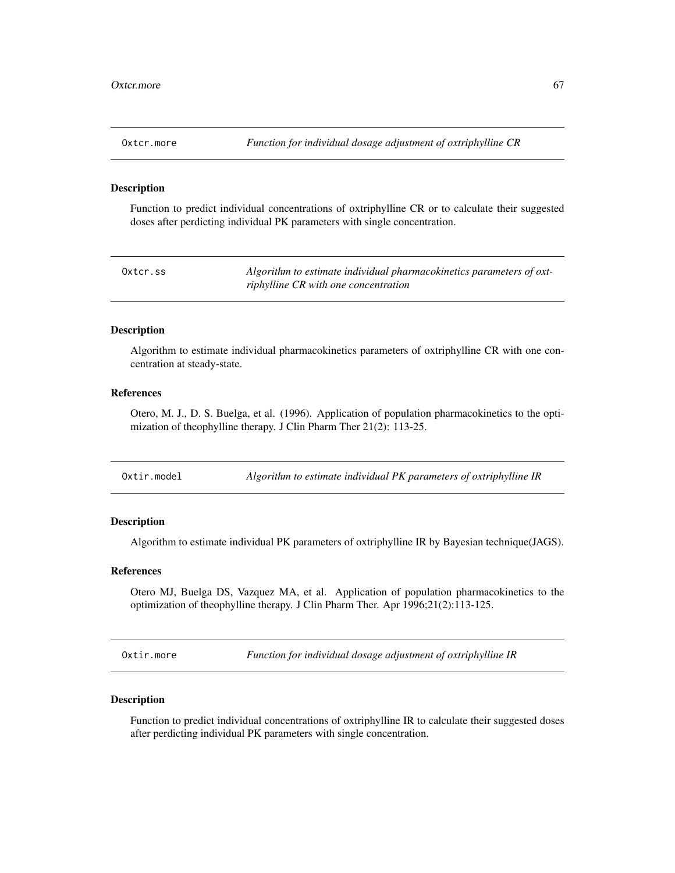Function to predict individual concentrations of oxtriphylline CR or to calculate their suggested doses after perdicting individual PK parameters with single concentration.

| Oxtcr.ss | Algorithm to estimate individual pharmacokinetics parameters of oxt- |
|----------|----------------------------------------------------------------------|
|          | riphylline CR with one concentration                                 |

#### Description

Algorithm to estimate individual pharmacokinetics parameters of oxtriphylline CR with one concentration at steady-state.

## References

Otero, M. J., D. S. Buelga, et al. (1996). Application of population pharmacokinetics to the optimization of theophylline therapy. J Clin Pharm Ther 21(2): 113-25.

| Oxtir.model | Algorithm to estimate individual PK parameters of oxtriphylline IR |
|-------------|--------------------------------------------------------------------|
|-------------|--------------------------------------------------------------------|

## Description

Algorithm to estimate individual PK parameters of oxtriphylline IR by Bayesian technique(JAGS).

## References

Otero MJ, Buelga DS, Vazquez MA, et al. Application of population pharmacokinetics to the optimization of theophylline therapy. J Clin Pharm Ther. Apr 1996;21(2):113-125.

Oxtir.more *Function for individual dosage adjustment of oxtriphylline IR*

#### Description

Function to predict individual concentrations of oxtriphylline IR to calculate their suggested doses after perdicting individual PK parameters with single concentration.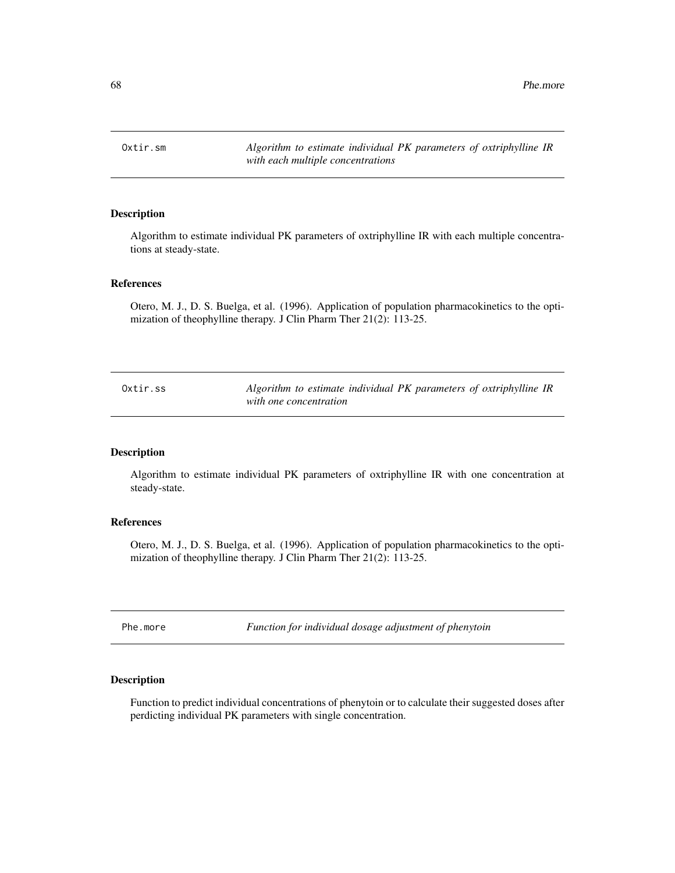68 **Phe.more** 

Oxtir.sm *Algorithm to estimate individual PK parameters of oxtriphylline IR with each multiple concentrations*

## Description

Algorithm to estimate individual PK parameters of oxtriphylline IR with each multiple concentrations at steady-state.

#### References

Otero, M. J., D. S. Buelga, et al. (1996). Application of population pharmacokinetics to the optimization of theophylline therapy. J Clin Pharm Ther 21(2): 113-25.

| Oxtir.ss | Algorithm to estimate individual PK parameters of oxtriphylline IR |
|----------|--------------------------------------------------------------------|
|          | with one concentration                                             |

### Description

Algorithm to estimate individual PK parameters of oxtriphylline IR with one concentration at steady-state.

### References

Otero, M. J., D. S. Buelga, et al. (1996). Application of population pharmacokinetics to the optimization of theophylline therapy. J Clin Pharm Ther 21(2): 113-25.

Phe.more *Function for individual dosage adjustment of phenytoin*

## Description

Function to predict individual concentrations of phenytoin or to calculate their suggested doses after perdicting individual PK parameters with single concentration.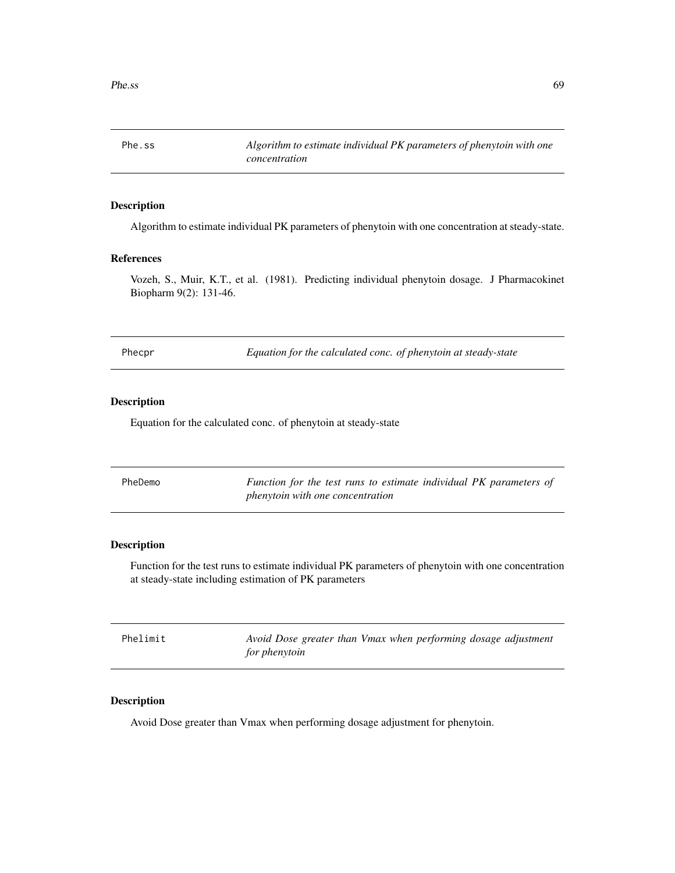Phe.ss *Algorithm to estimate individual PK parameters of phenytoin with one concentration*

# Description

Algorithm to estimate individual PK parameters of phenytoin with one concentration at steady-state.

#### References

Vozeh, S., Muir, K.T., et al. (1981). Predicting individual phenytoin dosage. J Pharmacokinet Biopharm 9(2): 131-46.

Phecpr *Equation for the calculated conc. of phenytoin at steady-state*

## Description

Equation for the calculated conc. of phenytoin at steady-state

| PheDemo | Function for the test runs to estimate individual PK parameters of |
|---------|--------------------------------------------------------------------|
|         | <i>phenytoin with one concentration</i>                            |

## Description

Function for the test runs to estimate individual PK parameters of phenytoin with one concentration at steady-state including estimation of PK parameters

| Phelimit | Avoid Dose greater than Vmax when performing dosage adjustment |  |  |
|----------|----------------------------------------------------------------|--|--|
|          | for phenytoin                                                  |  |  |

### Description

Avoid Dose greater than Vmax when performing dosage adjustment for phenytoin.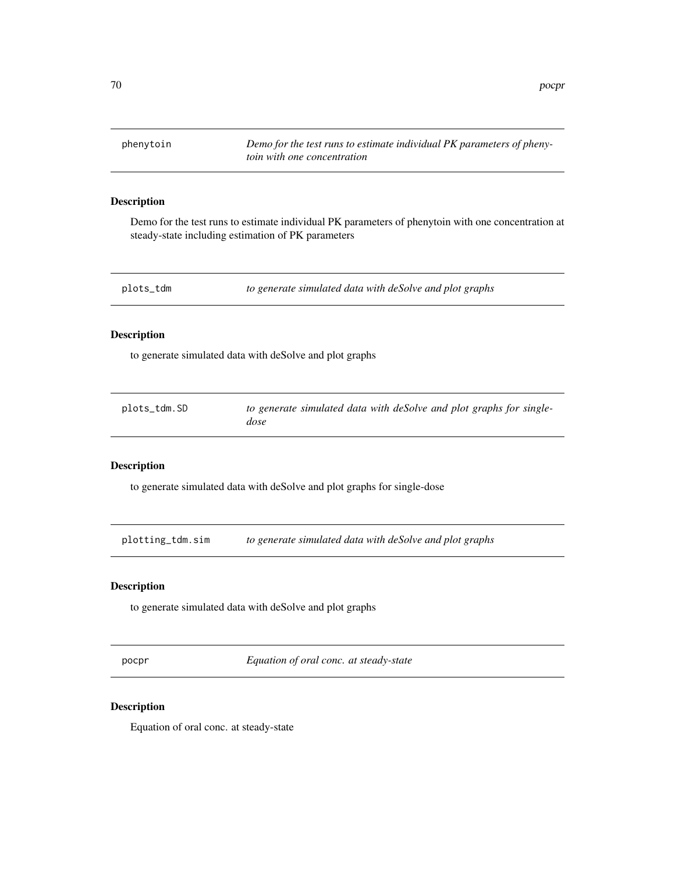phenytoin *Demo for the test runs to estimate individual PK parameters of phenytoin with one concentration*

### Description

Demo for the test runs to estimate individual PK parameters of phenytoin with one concentration at steady-state including estimation of PK parameters

plots\_tdm *to generate simulated data with deSolve and plot graphs*

## Description

to generate simulated data with deSolve and plot graphs

| plots_tdm.SD | to generate simulated data with deSolve and plot graphs for single- |
|--------------|---------------------------------------------------------------------|
|              | dose                                                                |

## Description

to generate simulated data with deSolve and plot graphs for single-dose

plotting\_tdm.sim *to generate simulated data with deSolve and plot graphs*

## Description

to generate simulated data with deSolve and plot graphs

pocpr *Equation of oral conc. at steady-state*

## Description

Equation of oral conc. at steady-state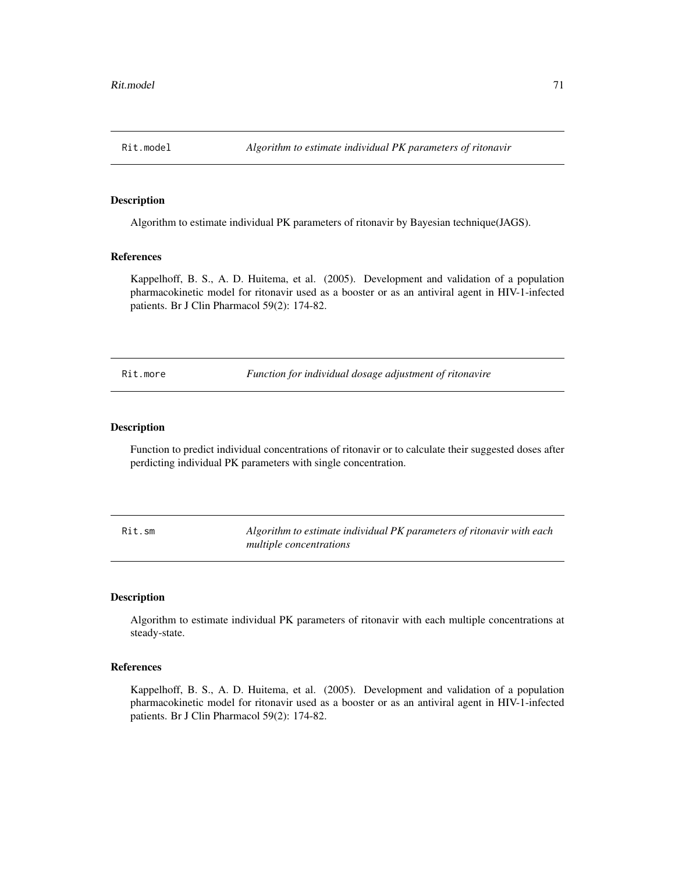Algorithm to estimate individual PK parameters of ritonavir by Bayesian technique(JAGS).

## References

Kappelhoff, B. S., A. D. Huitema, et al. (2005). Development and validation of a population pharmacokinetic model for ritonavir used as a booster or as an antiviral agent in HIV-1-infected patients. Br J Clin Pharmacol 59(2): 174-82.

Rit.more *Function for individual dosage adjustment of ritonavire*

#### Description

Function to predict individual concentrations of ritonavir or to calculate their suggested doses after perdicting individual PK parameters with single concentration.

Rit.sm *Algorithm to estimate individual PK parameters of ritonavir with each multiple concentrations*

### Description

Algorithm to estimate individual PK parameters of ritonavir with each multiple concentrations at steady-state.

## References

Kappelhoff, B. S., A. D. Huitema, et al. (2005). Development and validation of a population pharmacokinetic model for ritonavir used as a booster or as an antiviral agent in HIV-1-infected patients. Br J Clin Pharmacol 59(2): 174-82.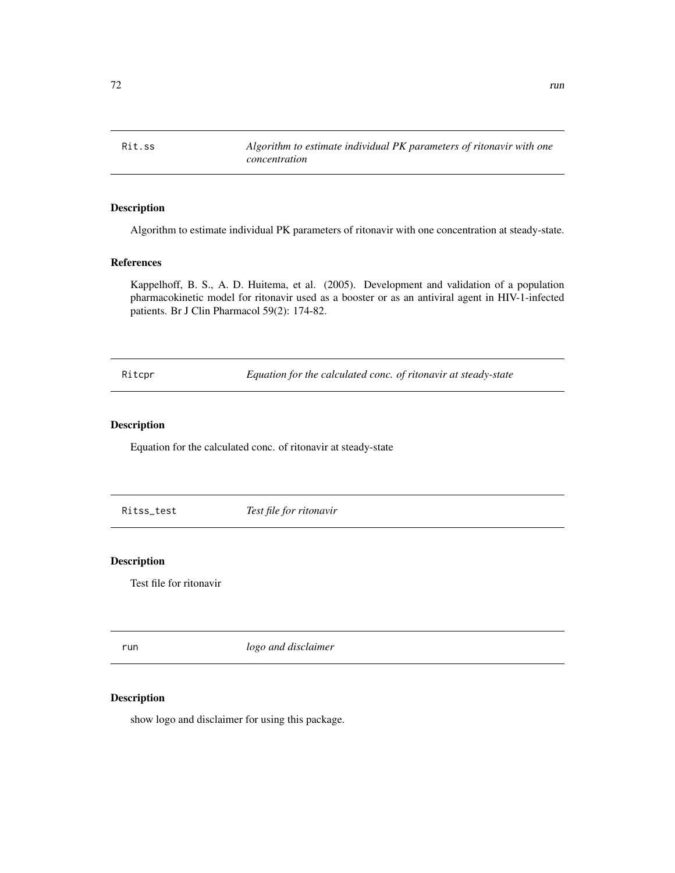Rit.ss *Algorithm to estimate individual PK parameters of ritonavir with one concentration*

## Description

Algorithm to estimate individual PK parameters of ritonavir with one concentration at steady-state.

### References

Kappelhoff, B. S., A. D. Huitema, et al. (2005). Development and validation of a population pharmacokinetic model for ritonavir used as a booster or as an antiviral agent in HIV-1-infected patients. Br J Clin Pharmacol 59(2): 174-82.

Ritcpr *Equation for the calculated conc. of ritonavir at steady-state*

## Description

Equation for the calculated conc. of ritonavir at steady-state

Ritss\_test *Test file for ritonavir*

#### Description

Test file for ritonavir

run *logo and disclaimer*

### Description

show logo and disclaimer for using this package.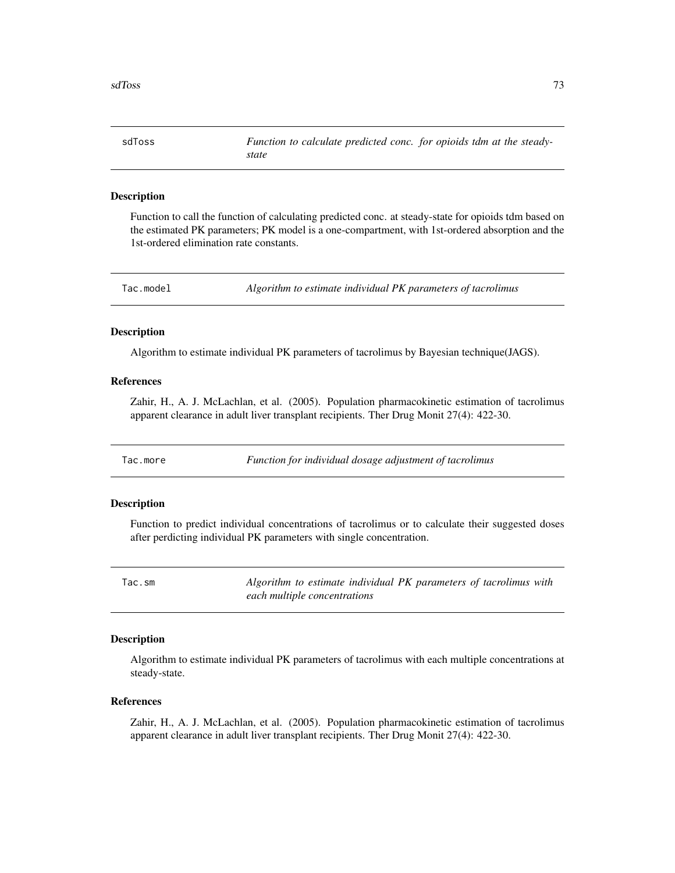<span id="page-72-0"></span>sdToss *Function to calculate predicted conc. for opioids tdm at the steadystate*

#### Description

Function to call the function of calculating predicted conc. at steady-state for opioids tdm based on the estimated PK parameters; PK model is a one-compartment, with 1st-ordered absorption and the 1st-ordered elimination rate constants.

Tac.model *Algorithm to estimate individual PK parameters of tacrolimus*

#### Description

Algorithm to estimate individual PK parameters of tacrolimus by Bayesian technique(JAGS).

#### References

Zahir, H., A. J. McLachlan, et al. (2005). Population pharmacokinetic estimation of tacrolimus apparent clearance in adult liver transplant recipients. Ther Drug Monit 27(4): 422-30.

Tac.more *Function for individual dosage adjustment of tacrolimus*

#### Description

Function to predict individual concentrations of tacrolimus or to calculate their suggested doses after perdicting individual PK parameters with single concentration.

Tac.sm *Algorithm to estimate individual PK parameters of tacrolimus with each multiple concentrations*

## Description

Algorithm to estimate individual PK parameters of tacrolimus with each multiple concentrations at steady-state.

#### References

Zahir, H., A. J. McLachlan, et al. (2005). Population pharmacokinetic estimation of tacrolimus apparent clearance in adult liver transplant recipients. Ther Drug Monit 27(4): 422-30.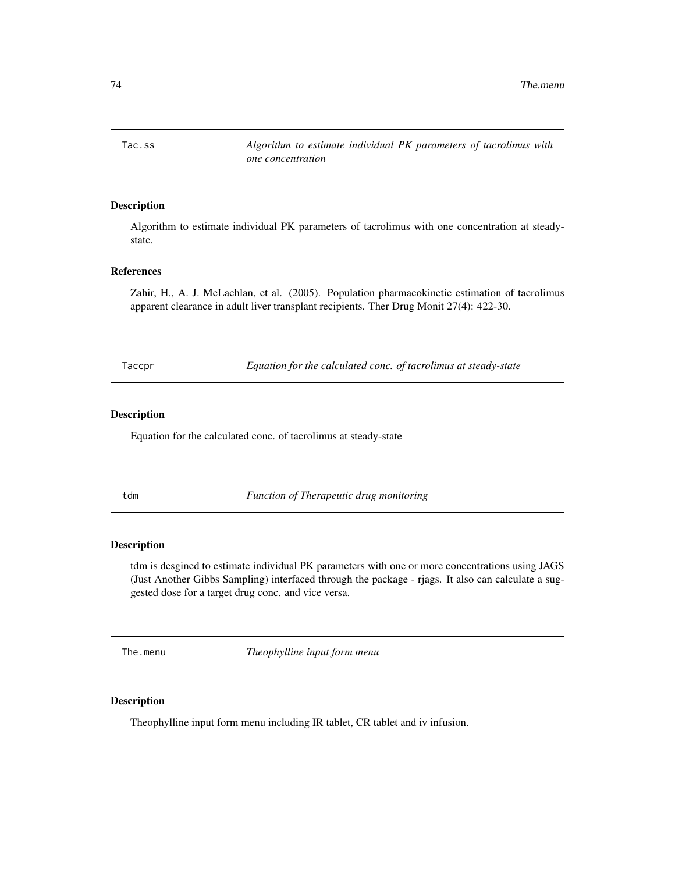<span id="page-73-0"></span>Tac.ss *Algorithm to estimate individual PK parameters of tacrolimus with one concentration*

# Description

Algorithm to estimate individual PK parameters of tacrolimus with one concentration at steadystate.

## References

Zahir, H., A. J. McLachlan, et al. (2005). Population pharmacokinetic estimation of tacrolimus apparent clearance in adult liver transplant recipients. Ther Drug Monit 27(4): 422-30.

Taccpr *Equation for the calculated conc. of tacrolimus at steady-state*

## Description

Equation for the calculated conc. of tacrolimus at steady-state

tdm *Function of Therapeutic drug monitoring*

## Description

tdm is desgined to estimate individual PK parameters with one or more concentrations using JAGS (Just Another Gibbs Sampling) interfaced through the package - rjags. It also can calculate a suggested dose for a target drug conc. and vice versa.

The.menu *Theophylline input form menu*

## Description

Theophylline input form menu including IR tablet, CR tablet and iv infusion.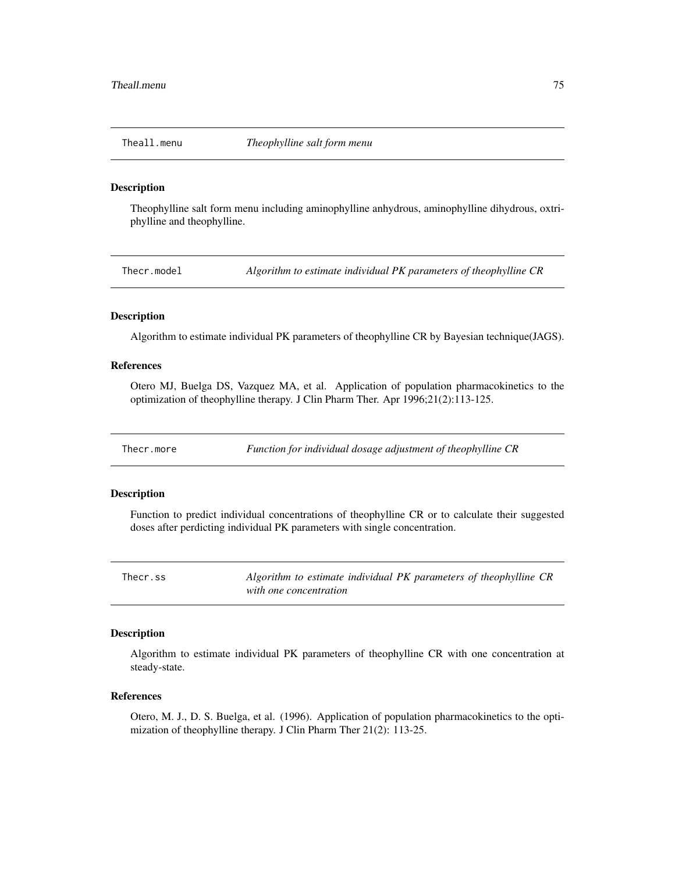<span id="page-74-0"></span>

Theophylline salt form menu including aminophylline anhydrous, aminophylline dihydrous, oxtriphylline and theophylline.

Thecr.model *Algorithm to estimate individual PK parameters of theophylline CR*

## Description

Algorithm to estimate individual PK parameters of theophylline CR by Bayesian technique(JAGS).

## References

Otero MJ, Buelga DS, Vazquez MA, et al. Application of population pharmacokinetics to the optimization of theophylline therapy. J Clin Pharm Ther. Apr 1996;21(2):113-125.

Thecr.more *Function for individual dosage adjustment of theophylline CR*

#### Description

Function to predict individual concentrations of theophylline CR or to calculate their suggested doses after perdicting individual PK parameters with single concentration.

Thecr.ss *Algorithm to estimate individual PK parameters of theophylline CR with one concentration*

#### Description

Algorithm to estimate individual PK parameters of theophylline CR with one concentration at steady-state.

#### References

Otero, M. J., D. S. Buelga, et al. (1996). Application of population pharmacokinetics to the optimization of theophylline therapy. J Clin Pharm Ther 21(2): 113-25.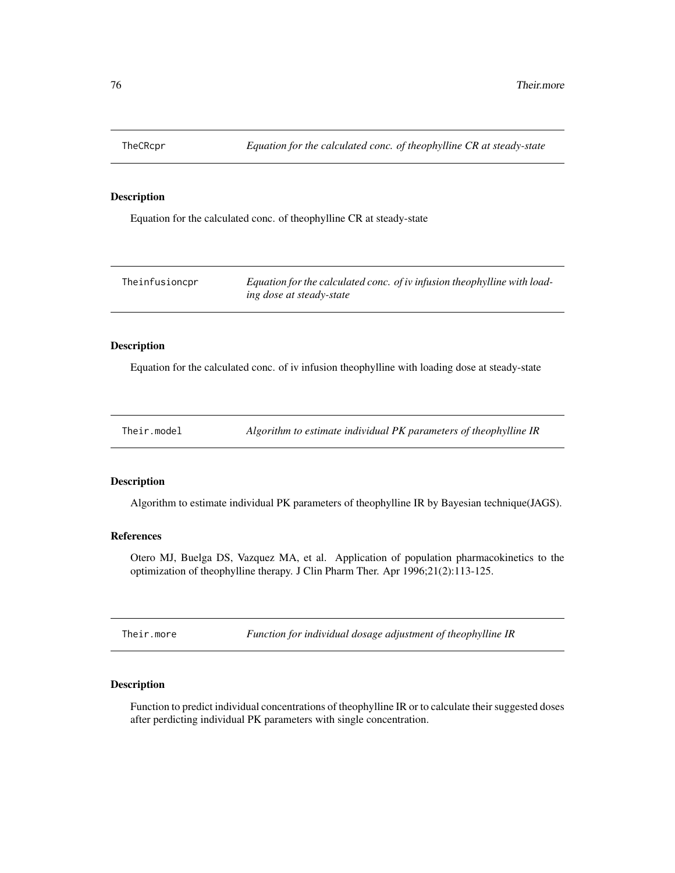<span id="page-75-0"></span>

Equation for the calculated conc. of theophylline CR at steady-state

| Theinfusioncpr | Equation for the calculated conc. of iv infusion theophylline with load- |
|----------------|--------------------------------------------------------------------------|
|                | ing dose at steady-state                                                 |

# Description

Equation for the calculated conc. of iv infusion theophylline with loading dose at steady-state

| Their.model | Algorithm to estimate individual PK parameters of theophylline IR |
|-------------|-------------------------------------------------------------------|
|-------------|-------------------------------------------------------------------|

# Description

Algorithm to estimate individual PK parameters of theophylline IR by Bayesian technique(JAGS).

# References

Otero MJ, Buelga DS, Vazquez MA, et al. Application of population pharmacokinetics to the optimization of theophylline therapy. J Clin Pharm Ther. Apr 1996;21(2):113-125.

Their.more *Function for individual dosage adjustment of theophylline IR*

# Description

Function to predict individual concentrations of theophylline IR or to calculate their suggested doses after perdicting individual PK parameters with single concentration.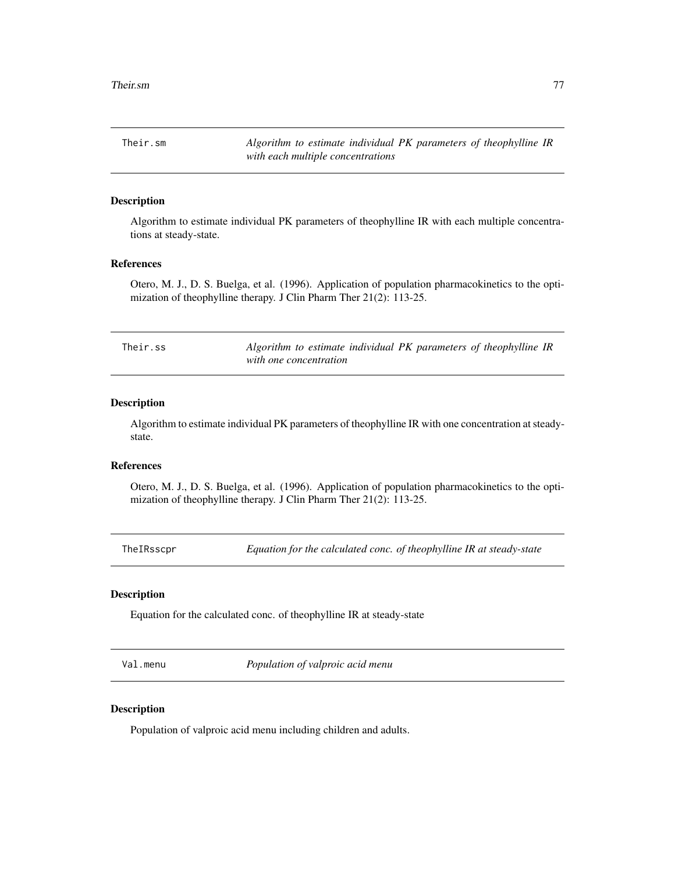<span id="page-76-0"></span>Their.sm *Algorithm to estimate individual PK parameters of theophylline IR with each multiple concentrations*

# Description

Algorithm to estimate individual PK parameters of theophylline IR with each multiple concentrations at steady-state.

## References

Otero, M. J., D. S. Buelga, et al. (1996). Application of population pharmacokinetics to the optimization of theophylline therapy. J Clin Pharm Ther 21(2): 113-25.

| Their.ss | Algorithm to estimate individual PK parameters of theophylline IR |
|----------|-------------------------------------------------------------------|
|          | with one concentration                                            |

# Description

Algorithm to estimate individual PK parameters of theophylline IR with one concentration at steadystate.

# References

Otero, M. J., D. S. Buelga, et al. (1996). Application of population pharmacokinetics to the optimization of theophylline therapy. J Clin Pharm Ther 21(2): 113-25.

TheIRsscpr *Equation for the calculated conc. of theophylline IR at steady-state*

# Description

Equation for the calculated conc. of theophylline IR at steady-state

Val.menu *Population of valproic acid menu*

## Description

Population of valproic acid menu including children and adults.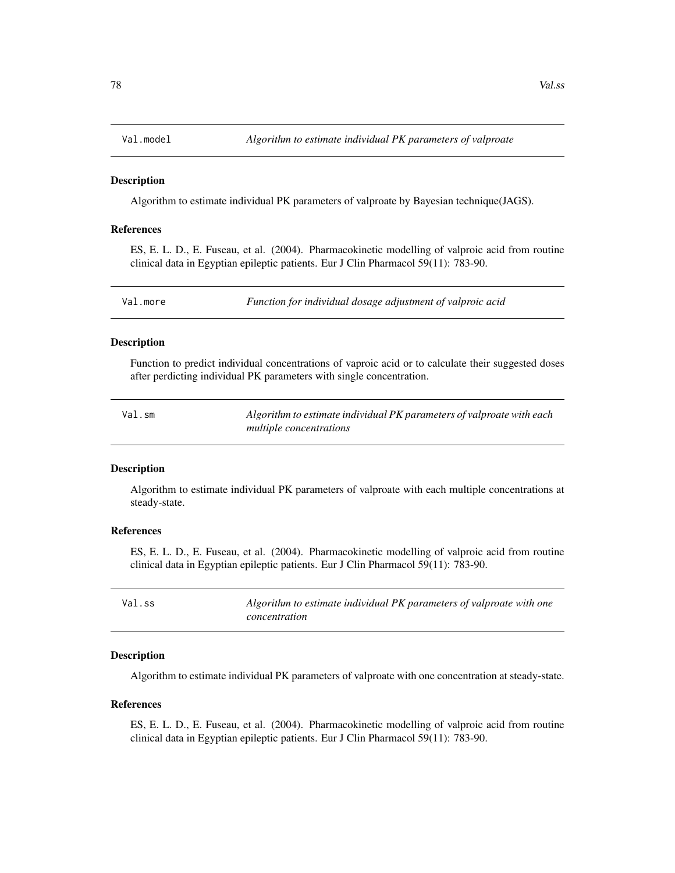<span id="page-77-0"></span>

Algorithm to estimate individual PK parameters of valproate by Bayesian technique(JAGS).

## References

ES, E. L. D., E. Fuseau, et al. (2004). Pharmacokinetic modelling of valproic acid from routine clinical data in Egyptian epileptic patients. Eur J Clin Pharmacol 59(11): 783-90.

Val.more *Function for individual dosage adjustment of valproic acid*

## **Description**

Function to predict individual concentrations of vaproic acid or to calculate their suggested doses after perdicting individual PK parameters with single concentration.

Val.sm *Algorithm to estimate individual PK parameters of valproate with each multiple concentrations*

#### Description

Algorithm to estimate individual PK parameters of valproate with each multiple concentrations at steady-state.

## References

ES, E. L. D., E. Fuseau, et al. (2004). Pharmacokinetic modelling of valproic acid from routine clinical data in Egyptian epileptic patients. Eur J Clin Pharmacol 59(11): 783-90.

| Val.ss | Algorithm to estimate individual PK parameters of valproate with one |
|--------|----------------------------------------------------------------------|
|        | concentration                                                        |

# Description

Algorithm to estimate individual PK parameters of valproate with one concentration at steady-state.

## References

ES, E. L. D., E. Fuseau, et al. (2004). Pharmacokinetic modelling of valproic acid from routine clinical data in Egyptian epileptic patients. Eur J Clin Pharmacol 59(11): 783-90.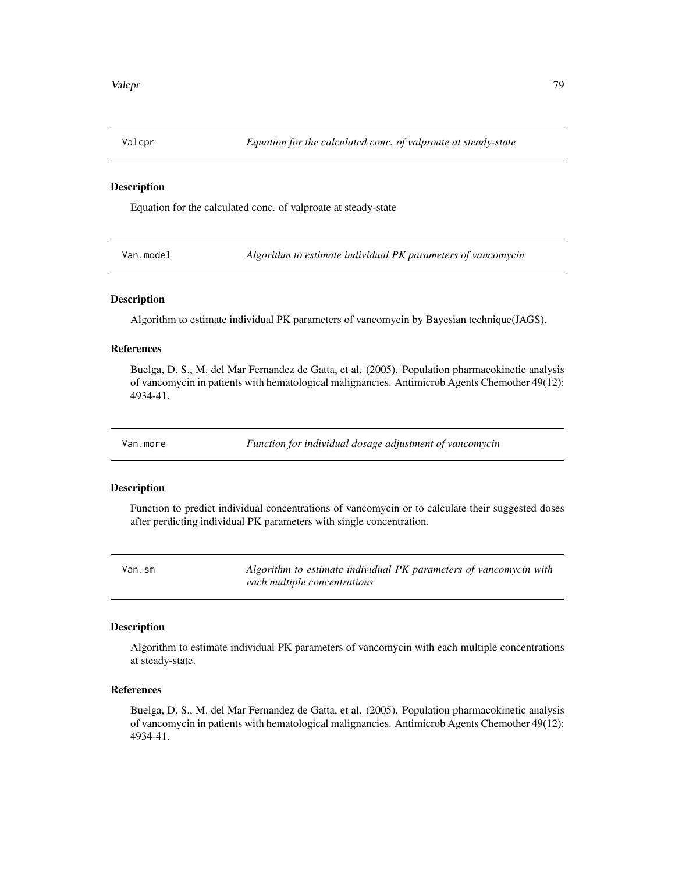<span id="page-78-0"></span>

Equation for the calculated conc. of valproate at steady-state

Van.model *Algorithm to estimate individual PK parameters of vancomycin*

## Description

Algorithm to estimate individual PK parameters of vancomycin by Bayesian technique(JAGS).

#### References

Buelga, D. S., M. del Mar Fernandez de Gatta, et al. (2005). Population pharmacokinetic analysis of vancomycin in patients with hematological malignancies. Antimicrob Agents Chemother 49(12): 4934-41.

Van.more *Function for individual dosage adjustment of vancomycin*

## Description

Function to predict individual concentrations of vancomycin or to calculate their suggested doses after perdicting individual PK parameters with single concentration.

Van.sm *Algorithm to estimate individual PK parameters of vancomycin with each multiple concentrations*

## Description

Algorithm to estimate individual PK parameters of vancomycin with each multiple concentrations at steady-state.

# References

Buelga, D. S., M. del Mar Fernandez de Gatta, et al. (2005). Population pharmacokinetic analysis of vancomycin in patients with hematological malignancies. Antimicrob Agents Chemother 49(12): 4934-41.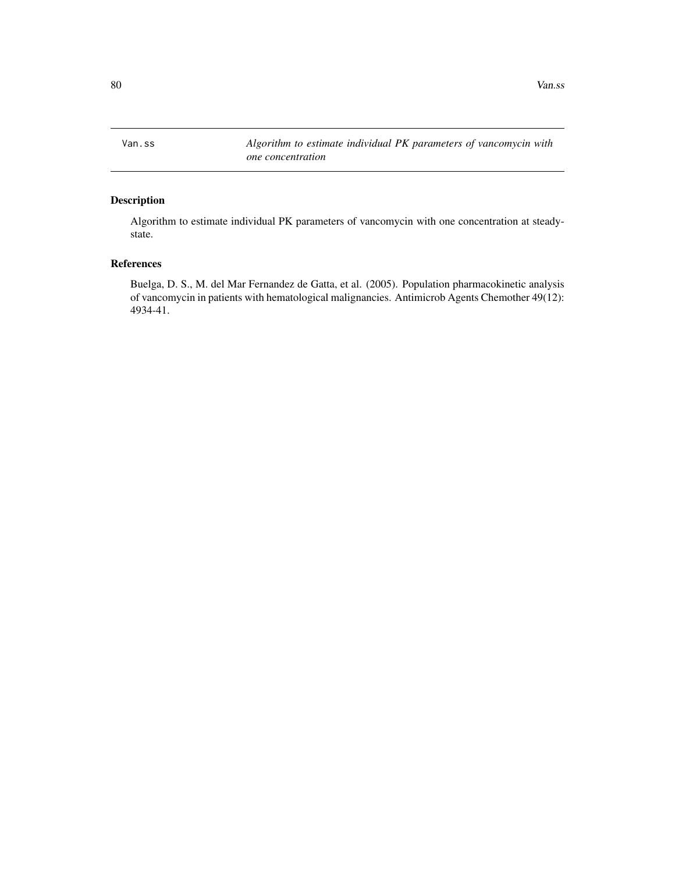<span id="page-79-0"></span>Van.ss *Algorithm to estimate individual PK parameters of vancomycin with one concentration*

# Description

Algorithm to estimate individual PK parameters of vancomycin with one concentration at steadystate.

# References

Buelga, D. S., M. del Mar Fernandez de Gatta, et al. (2005). Population pharmacokinetic analysis of vancomycin in patients with hematological malignancies. Antimicrob Agents Chemother 49(12): 4934-41.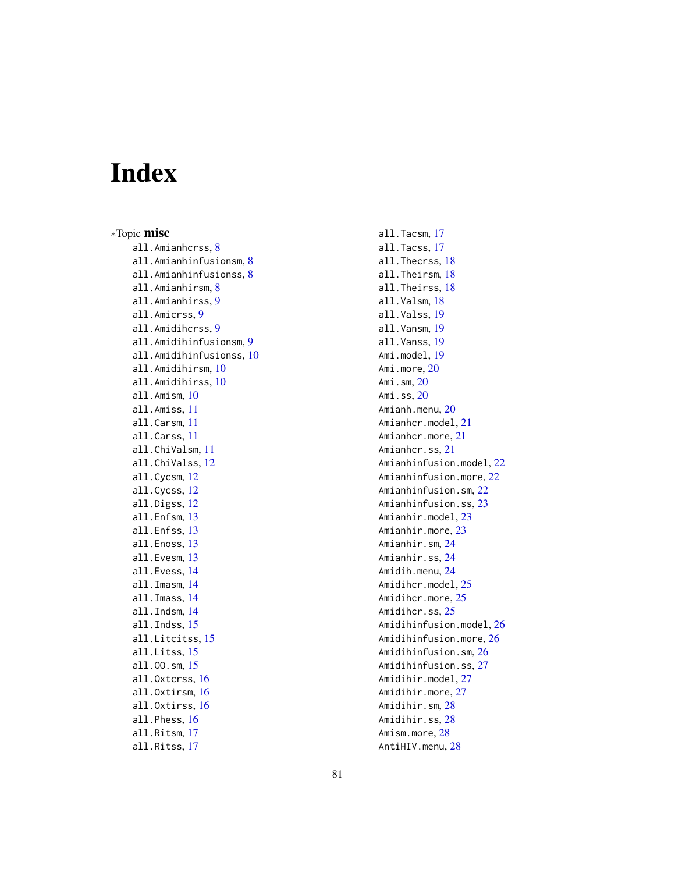# Index

∗Topic misc all.Amianhcrss, [8](#page-7-0) all.Amianhinfusionsm, [8](#page-7-0) all.Amianhinfusionss, [8](#page-7-0) all.Amianhirsm, [8](#page-7-0) all.Amianhirss, [9](#page-8-0) all.Amicrss, [9](#page-8-0) all.Amidihcrss, [9](#page-8-0) all.Amidihinfusionsm, [9](#page-8-0) all.Amidihinfusionss, [10](#page-9-0) all.Amidihirsm, [10](#page-9-0) all.Amidihirss, [10](#page-9-0) all.Amism, [10](#page-9-0) all.Amiss, [11](#page-10-0) all.Carsm, [11](#page-10-0) all.Carss, [11](#page-10-0) all.ChiValsm, [11](#page-10-0) all.ChiValss, [12](#page-11-0) all.Cycsm, [12](#page-11-0) all.Cycss, [12](#page-11-0) all.Digss, [12](#page-11-0) all.Enfsm, [13](#page-12-0) all.Enfss, [13](#page-12-0) all.Enoss, [13](#page-12-0) all.Evesm, [13](#page-12-0) all.Evess, [14](#page-13-0) all.Imasm, [14](#page-13-0) all.Imass, [14](#page-13-0) all.Indsm, [14](#page-13-0) all.Indss, [15](#page-14-0) all.Litcitss, [15](#page-14-0) all.Litss, [15](#page-14-0) all.OO.sm, [15](#page-14-0) all.Oxtcrss, [16](#page-15-0) all.Oxtirsm, [16](#page-15-0) all.Oxtirss, [16](#page-15-0) all.Phess, [16](#page-15-0) all.Ritsm, [17](#page-16-0) all.Ritss, [17](#page-16-0)

all.Tacsm, [17](#page-16-0) all.Tacss, [17](#page-16-0) all.Thecrss, [18](#page-17-0) all.Theirsm, [18](#page-17-0) all.Theirss, [18](#page-17-0) all.Valsm, [18](#page-17-0) all.Valss, [19](#page-18-0) all.Vansm, [19](#page-18-0) all.Vanss, [19](#page-18-0) Ami.model, [19](#page-18-0) Ami.more, [20](#page-19-0) Ami.sm, [20](#page-19-0) Ami.ss, [20](#page-19-0) Amianh.menu, [20](#page-19-0) Amianhcr.model, [21](#page-20-0) Amianhcr.more, [21](#page-20-0) Amianhcr.ss, [21](#page-20-0) Amianhinfusion.model, [22](#page-21-0) Amianhinfusion.more, [22](#page-21-0) Amianhinfusion.sm, [22](#page-21-0) Amianhinfusion.ss, [23](#page-22-0) Amianhir.model, [23](#page-22-0) Amianhir.more, [23](#page-22-0) Amianhir.sm, [24](#page-23-0) Amianhir.ss, [24](#page-23-0) Amidih.menu, [24](#page-23-0) Amidihcr.model, [25](#page-24-0) Amidihcr.more, [25](#page-24-0) Amidihcr.ss, [25](#page-24-0) Amidihinfusion.model, [26](#page-25-0) Amidihinfusion.more, [26](#page-25-0) Amidihinfusion.sm, [26](#page-25-0) Amidihinfusion.ss, [27](#page-26-0) Amidihir.model, [27](#page-26-0) Amidihir.more, [27](#page-26-0) Amidihir.sm, [28](#page-27-0) Amidihir.ss, [28](#page-27-0) Amism.more, [28](#page-27-0) AntiHIV.menu, [28](#page-27-0)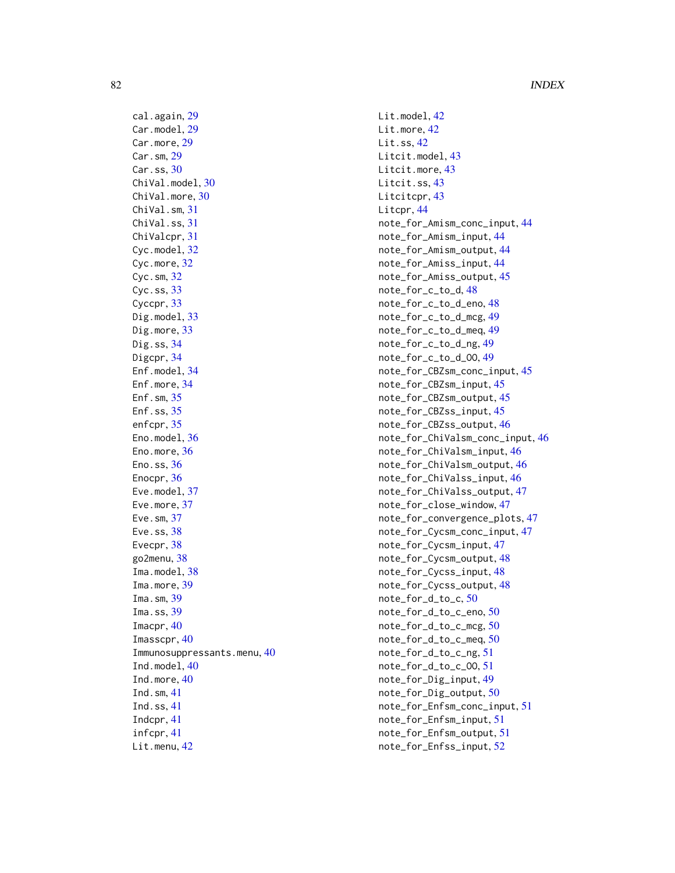cal.again, [29](#page-28-0) Car.model, [29](#page-28-0) Car.more, [29](#page-28-0) Car.sm, [29](#page-28-0) Car.ss, [30](#page-29-0) ChiVal.model, [30](#page-29-0) ChiVal.more, [30](#page-29-0) ChiVal.sm, [31](#page-30-0) ChiVal.ss, [31](#page-30-0) ChiValcpr, [31](#page-30-0) Cyc.model, [32](#page-31-0) Cyc.more, [32](#page-31-0) Cyc.sm, [32](#page-31-0)  $Cyc.ss, 33$  $Cyc.ss, 33$ Cyccpr, [33](#page-32-0) Dig.model, [33](#page-32-0) Dig.more, [33](#page-32-0) Dig.ss, [34](#page-33-0) Digcpr, [34](#page-33-0) Enf.model, [34](#page-33-0) Enf.more, [34](#page-33-0) Enf.sm, [35](#page-34-0) Enf.ss, [35](#page-34-0) enfcpr, [35](#page-34-0) Eno.model, [36](#page-35-0) Eno.more, [36](#page-35-0) Eno.ss,  $36$ Enocpr, [36](#page-35-0) Eve.model, [37](#page-36-0) Eve.more, [37](#page-36-0) Eve.sm, [37](#page-36-0) Eve.ss, [38](#page-37-0) Evecpr, [38](#page-37-0) go2menu, [38](#page-37-0) Ima.model, [38](#page-37-0) Ima.more, [39](#page-38-0) Ima.sm, [39](#page-38-0) Ima.ss, [39](#page-38-0) Imacpr, [40](#page-39-0) Imasscpr, [40](#page-39-0) Immunosuppressants.menu, [40](#page-39-0) Ind.model, [40](#page-39-0) Ind.more, [40](#page-39-0) Ind.sm, [41](#page-40-0) Ind.ss, [41](#page-40-0) Indcpr, [41](#page-40-0) infcpr, [41](#page-40-0) Lit.menu, [42](#page-41-0)

Lit.model, [42](#page-41-0) Lit.more, [42](#page-41-0) Lit.ss, [42](#page-41-0) Litcit.model, [43](#page-42-0) Litcit.more, [43](#page-42-0) Litcit.ss, [43](#page-42-0) Litcitcpr, [43](#page-42-0) Litcpr, [44](#page-43-0) note\_for\_Amism\_conc\_input, [44](#page-43-0) note\_for\_Amism\_input, [44](#page-43-0) note\_for\_Amism\_output, [44](#page-43-0) note\_for\_Amiss\_input, [44](#page-43-0) note\_for\_Amiss\_output, [45](#page-44-0) note\_for\_c\_to\_d, [48](#page-47-0) note\_for\_c\_to\_d\_eno, [48](#page-47-0) note\_for\_c\_to\_d\_mcg, [49](#page-48-0) note\_for\_c\_to\_d\_meq, [49](#page-48-0) note\_for\_c\_to\_d\_ng, [49](#page-48-0) note\_for\_c\_to\_d\_OO, [49](#page-48-0) note\_for\_CBZsm\_conc\_input, [45](#page-44-0) note\_for\_CBZsm\_input, [45](#page-44-0) note\_for\_CBZsm\_output, [45](#page-44-0) note\_for\_CBZss\_input, [45](#page-44-0) note\_for\_CBZss\_output, [46](#page-45-0) note\_for\_ChiValsm\_conc\_input, [46](#page-45-0) note\_for\_ChiValsm\_input, [46](#page-45-0) note\_for\_ChiValsm\_output, [46](#page-45-0) note\_for\_ChiValss\_input, [46](#page-45-0) note\_for\_ChiValss\_output, [47](#page-46-0) note\_for\_close\_window, [47](#page-46-0) note\_for\_convergence\_plots, [47](#page-46-0) note\_for\_Cycsm\_conc\_input, [47](#page-46-0) note\_for\_Cycsm\_input, [47](#page-46-0) note\_for\_Cycsm\_output, [48](#page-47-0) note\_for\_Cycss\_input, [48](#page-47-0) note\_for\_Cycss\_output, [48](#page-47-0) note\_for\_d\_to\_c, [50](#page-49-0) note\_for\_d\_to\_c\_eno, [50](#page-49-0) note\_for\_d\_to\_c\_mcg, [50](#page-49-0) note\_for\_d\_to\_c\_meq, [50](#page-49-0) note\_for\_d\_to\_c\_ng, [51](#page-50-0) note\_for\_d\_to\_c\_OO, [51](#page-50-0) note\_for\_Dig\_input, [49](#page-48-0) note\_for\_Dig\_output, [50](#page-49-0) note\_for\_Enfsm\_conc\_input, [51](#page-50-0) note\_for\_Enfsm\_input, [51](#page-50-0) note\_for\_Enfsm\_output, [51](#page-50-0) note\_for\_Enfss\_input, [52](#page-51-0)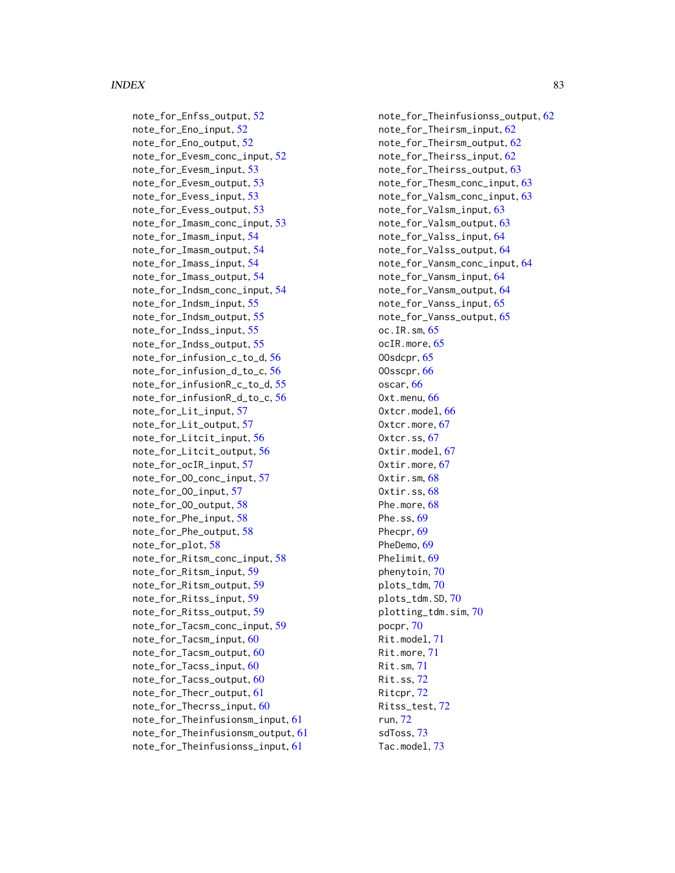note\_for\_Enfss\_output, [52](#page-51-0) note\_for\_Eno\_input, [52](#page-51-0) note\_for\_Eno\_output, [52](#page-51-0) note\_for\_Evesm\_conc\_input, [52](#page-51-0) note\_for\_Evesm\_input, [53](#page-52-0) note\_for\_Evesm\_output, [53](#page-52-0) note\_for\_Evess\_input, [53](#page-52-0) note\_for\_Evess\_output, [53](#page-52-0) note\_for\_Imasm\_conc\_input, [53](#page-52-0) note\_for\_Imasm\_input, [54](#page-53-0) note\_for\_Imasm\_output, [54](#page-53-0) note\_for\_Imass\_input, [54](#page-53-0) note\_for\_Imass\_output, [54](#page-53-0) note\_for\_Indsm\_conc\_input, [54](#page-53-0) note\_for\_Indsm\_input, [55](#page-54-0) note\_for\_Indsm\_output, [55](#page-54-0) note\_for\_Indss\_input, [55](#page-54-0) note\_for\_Indss\_output, [55](#page-54-0) note\_for\_infusion\_c\_to\_d, [56](#page-55-0) note\_for\_infusion\_d\_to\_c, [56](#page-55-0) note\_for\_infusionR\_c\_to\_d, [55](#page-54-0) note\_for\_infusionR\_d\_to\_c, [56](#page-55-0) note\_for\_Lit\_input, [57](#page-56-0) note\_for\_Lit\_output, [57](#page-56-0) note\_for\_Litcit\_input, [56](#page-55-0) note\_for\_Litcit\_output, [56](#page-55-0) note\_for\_ocIR\_input, [57](#page-56-0) note\_for\_OO\_conc\_input, [57](#page-56-0) note\_for\_OO\_input, [57](#page-56-0) note\_for\_OO\_output, [58](#page-57-0) note\_for\_Phe\_input, [58](#page-57-0) note\_for\_Phe\_output, [58](#page-57-0) note\_for\_plot, [58](#page-57-0) note\_for\_Ritsm\_conc\_input, [58](#page-57-0) note\_for\_Ritsm\_input, [59](#page-58-0) note\_for\_Ritsm\_output, [59](#page-58-0) note\_for\_Ritss\_input, [59](#page-58-0) note\_for\_Ritss\_output, [59](#page-58-0) note\_for\_Tacsm\_conc\_input, [59](#page-58-0) note\_for\_Tacsm\_input, [60](#page-59-0) note\_for\_Tacsm\_output, [60](#page-59-0) note\_for\_Tacss\_input, [60](#page-59-0) note\_for\_Tacss\_output, [60](#page-59-0) note\_for\_Thecr\_output, [61](#page-60-0) note\_for\_Thecrss\_input, [60](#page-59-0) note\_for\_Theinfusionsm\_input, [61](#page-60-0) note\_for\_Theinfusionsm\_output, [61](#page-60-0) note\_for\_Theinfusionss\_input, [61](#page-60-0)

note\_for\_Theinfusionss\_output, [62](#page-61-0) note\_for\_Theirsm\_input, [62](#page-61-0) note\_for\_Theirsm\_output, [62](#page-61-0) note\_for\_Theirss\_input, [62](#page-61-0) note\_for\_Theirss\_output, [63](#page-62-0) note\_for\_Thesm\_conc\_input, [63](#page-62-0) note\_for\_Valsm\_conc\_input, [63](#page-62-0) note\_for\_Valsm\_input, [63](#page-62-0) note\_for\_Valsm\_output, [63](#page-62-0) note\_for\_Valss\_input, [64](#page-63-0) note\_for\_Valss\_output, [64](#page-63-0) note\_for\_Vansm\_conc\_input, [64](#page-63-0) note\_for\_Vansm\_input, [64](#page-63-0) note\_for\_Vansm\_output, [64](#page-63-0) note\_for\_Vanss\_input, [65](#page-64-0) note\_for\_Vanss\_output, [65](#page-64-0) oc.IR.sm, [65](#page-64-0) ocIR.more, [65](#page-64-0) OOsdcpr, [65](#page-64-0) OOsscpr, [66](#page-65-0) oscar, [66](#page-65-0) Oxt.menu, [66](#page-65-0) Oxtcr.model, [66](#page-65-0) Oxtcr.more, [67](#page-66-0) Oxtcr.ss, [67](#page-66-0) Oxtir.model, [67](#page-66-0) Oxtir.more, [67](#page-66-0) Oxtir.sm, [68](#page-67-0) Oxtir.ss, [68](#page-67-0) Phe.more, [68](#page-67-0) Phe.ss, [69](#page-68-0) Phecpr, [69](#page-68-0) PheDemo, [69](#page-68-0) Phelimit, [69](#page-68-0) phenytoin, [70](#page-69-0) plots\_tdm, [70](#page-69-0) plots\_tdm.SD, [70](#page-69-0) plotting\_tdm.sim, [70](#page-69-0) pocpr, [70](#page-69-0) Rit.model, [71](#page-70-0) Rit.more, [71](#page-70-0) Rit.sm, [71](#page-70-0) Rit.ss, [72](#page-71-0) Ritcpr, [72](#page-71-0) Ritss\_test, [72](#page-71-0) run, [72](#page-71-0) sdToss, [73](#page-72-0) Tac.model, [73](#page-72-0)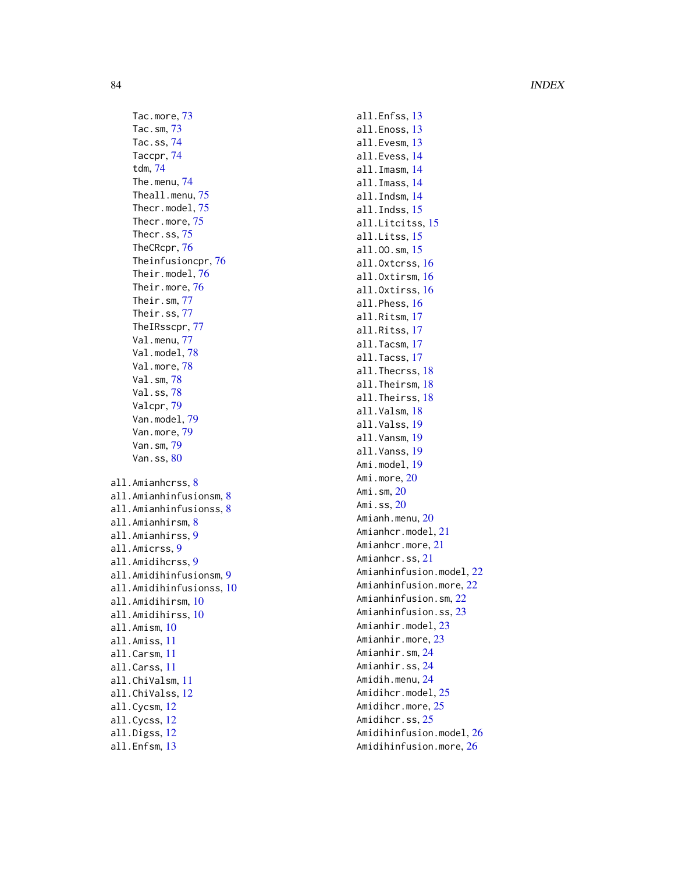Tac.more , [73](#page-72-0) Tac.sm , [73](#page-72-0) Tac.ss , [74](#page-73-0) Taccpr , [74](#page-73-0) tdm , [74](#page-73-0) The.menu , [74](#page-73-0) Theall.menu, [75](#page-74-0) Thecr.model , [75](#page-74-0) Thecr.more, [75](#page-74-0) Thecr.ss , [75](#page-74-0) TheCRcpr , [76](#page-75-0) Theinfusioncpr , [76](#page-75-0) Their.model , [76](#page-75-0) Their.more , [76](#page-75-0) Their.sm , [77](#page-76-0) Their.ss , [77](#page-76-0) TheIRsscpr , [77](#page-76-0) Val.menu, [77](#page-76-0) Val.model, [78](#page-77-0) Val.more, [78](#page-77-0) Val.sm , [78](#page-77-0) Val.ss , [78](#page-77-0) Valcpr , [79](#page-78-0) Van.model , [79](#page-78-0) Van.more , [79](#page-78-0) Van.sm , [79](#page-78-0) Van.ss, [80](#page-79-0) all.Amianhcrss , [8](#page-7-0) all.Amianhinfusionsm, [8](#page-7-0) all.Amianhinfusionss , [8](#page-7-0) all.Amianhirsm , [8](#page-7-0) all.Amianhirss , [9](#page-8-0) all.Amicrss , [9](#page-8-0) all.Amidihcrss , [9](#page-8-0) all.Amidihinfusionsm , [9](#page-8-0) all.Amidihinfusionss , [10](#page-9-0) all.Amidihirsm , [10](#page-9-0) all.Amidihirss , [10](#page-9-0) all.Amism , [10](#page-9-0) all.Amiss , [11](#page-10-0) all.Carsm , [11](#page-10-0) all.Carss , [11](#page-10-0) all.ChiValsm , [11](#page-10-0) all.ChiValss , [12](#page-11-0) all.Cycsm , [12](#page-11-0) all.Cycss , [12](#page-11-0) all.Digss , [12](#page-11-0) all.Enfsm , [13](#page-12-0)

all.Enfss , [13](#page-12-0) all.Enoss , [13](#page-12-0) all.Evesm , [13](#page-12-0) all.Evess , [14](#page-13-0) all.Imasm , [14](#page-13-0) all.Imass , [14](#page-13-0) all.Indsm , [14](#page-13-0) all.Indss , [15](#page-14-0) all.Litcitss , [15](#page-14-0) all.Litss , [15](#page-14-0) all.OO.sm , [15](#page-14-0) all.Oxtcrss , [16](#page-15-0) all.Oxtirsm , [16](#page-15-0) all.Oxtirss , [16](#page-15-0) all.Phess , [16](#page-15-0) all.Ritsm , [17](#page-16-0) all.Ritss , [17](#page-16-0) all.Tacsm, [17](#page-16-0) all.Tacss , [17](#page-16-0) all.Thecrss, [18](#page-17-0) all.Theirsm, [18](#page-17-0) all.Theirss,1<mark>8</mark> all.Valsm, [18](#page-17-0) all.Valss , [19](#page-18-0) all.Vansm , [19](#page-18-0) all.Vanss , [19](#page-18-0) Ami.model, <mark>[19](#page-18-0)</mark> Ami.more, $20$ Ami.sm, [20](#page-19-0) Ami.ss, [20](#page-19-0) Amianh.menu, $20\,$  $20\,$ Amianhcr.model , [21](#page-20-0) Amianhcr.more , [21](#page-20-0) Amianhcr.ss , [21](#page-20-0) Amianhinfusion.model, $22\,$  $22\,$ Amianhinfusion.more, [22](#page-21-0) Amianhinfusion.sm , [22](#page-21-0) Amianhinfusion.ss , [23](#page-22-0) Amianhir.model , [23](#page-22-0) Amianhir.more, [23](#page-22-0) Amianhir.sm , [24](#page-23-0) Amianhir.ss , [24](#page-23-0) Amidih.menu , [24](#page-23-0) Amidihcr.model, [25](#page-24-0) Amidihcr.more, [25](#page-24-0) Amidihcr.ss, [25](#page-24-0) Amidihinfusion.model, [26](#page-25-0) Amidihinfusion.more, $26\,$  $26\,$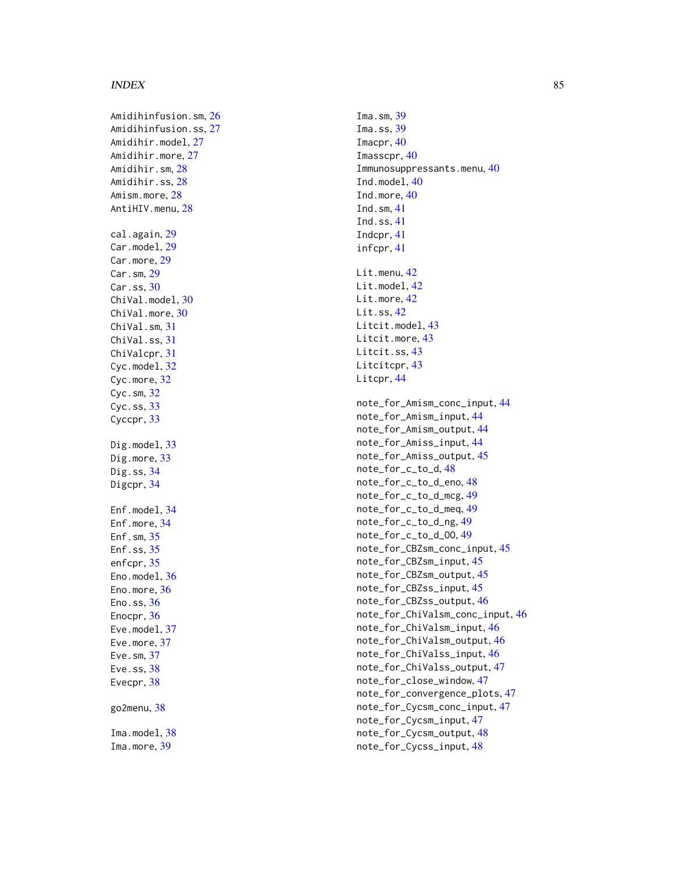#### $INDEX$  85

Ima.sm, [39](#page-38-0) Ima.ss, [39](#page-38-0) Imacpr, [40](#page-39-0) Imasscpr, [40](#page-39-0) Immunosuppressants.menu , [40](#page-39-0) Ind.model, [40](#page-39-0) Ind.more, [40](#page-39-0) Ind.sm , [41](#page-40-0) Ind.ss , [41](#page-40-0) Indcpr , [41](#page-40-0) infcpr , [41](#page-40-0) Lit.menu, [42](#page-41-0) Lit.model, [42](#page-41-0) Lit.more, [42](#page-41-0) Lit.ss, [42](#page-41-0) Litcit.model, [43](#page-42-0) Litcit.more, [43](#page-42-0) Litcit.ss, [43](#page-42-0) Litcitcpr , [43](#page-42-0) Litcpr, [44](#page-43-0) note\_for\_Amism\_conc\_input , [44](#page-43-0) note\_for\_Amism\_input , [44](#page-43-0) note\_for\_Amism\_output , [44](#page-43-0) note\_for\_Amiss\_input , [44](#page-43-0) note\_for\_Amiss\_output , [45](#page-44-0) note\_for\_c\_to\_d , [48](#page-47-0) note\_for\_c\_to\_d\_eno , [48](#page-47-0) note\_for\_c\_to\_d\_mcg , [49](#page-48-0) note\_for\_c\_to\_d\_meq , [49](#page-48-0) note\_for\_c\_to\_d\_ng , [49](#page-48-0) note\_for\_c\_to\_d\_OO , [49](#page-48-0) note\_for\_CBZsm\_conc\_input , [45](#page-44-0) note\_for\_CBZsm\_input , [45](#page-44-0) note\_for\_CBZsm\_output , [45](#page-44-0) note\_for\_CBZss\_input , [45](#page-44-0) note\_for\_CBZss\_output , [46](#page-45-0) note\_for\_ChiValsm\_conc\_input , [46](#page-45-0) note\_for\_ChiValsm\_input , [46](#page-45-0) note\_for\_ChiValsm\_output , [46](#page-45-0) note\_for\_ChiValss\_input , [46](#page-45-0) note\_for\_ChiValss\_output , [47](#page-46-0) note\_for\_close\_window , [47](#page-46-0) note\_for\_convergence\_plots , [47](#page-46-0) note\_for\_Cycsm\_conc\_input , [47](#page-46-0) note\_for\_Cycsm\_input , [47](#page-46-0) note\_for\_Cycsm\_output , [48](#page-47-0) note\_for\_Cycss\_input , [48](#page-47-0)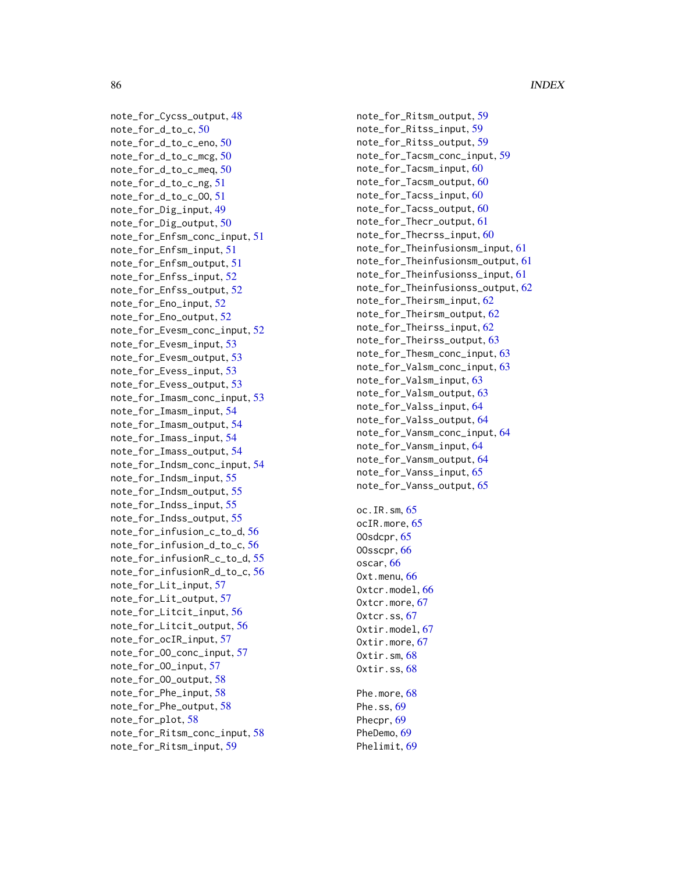note\_for\_Cycss\_output , [48](#page-47-0) note\_for\_d\_to\_c , [50](#page-49-0) note\_for\_d\_to\_c\_eno , [50](#page-49-0) note\_for\_d\_to\_c\_mcg , [50](#page-49-0) note\_for\_d\_to\_c\_meq , [50](#page-49-0) note\_for\_d\_to\_c\_ng , [51](#page-50-0) note\_for\_d\_to\_c\_OO , [51](#page-50-0) note\_for\_Dig\_input , [49](#page-48-0) note\_for\_Dig\_output , [50](#page-49-0) note\_for\_Enfsm\_conc\_input , [51](#page-50-0) note\_for\_Enfsm\_input , [51](#page-50-0) note\_for\_Enfsm\_output , [51](#page-50-0) note\_for\_Enfss\_input , [52](#page-51-0) note\_for\_Enfss\_output , [52](#page-51-0) note\_for\_Eno\_input , [52](#page-51-0) note\_for\_Eno\_output , [52](#page-51-0) note\_for\_Evesm\_conc\_input , [52](#page-51-0) note\_for\_Evesm\_input , [53](#page-52-0) note\_for\_Evesm\_output , [53](#page-52-0) note\_for\_Evess\_input , [53](#page-52-0) note\_for\_Evess\_output , [53](#page-52-0) note\_for\_Imasm\_conc\_input , [53](#page-52-0) note\_for\_Imasm\_input , [54](#page-53-0) note\_for\_Imasm\_output , [54](#page-53-0) note\_for\_Imass\_input , [54](#page-53-0) note\_for\_Imass\_output , [54](#page-53-0) note\_for\_Indsm\_conc\_input , [54](#page-53-0) note\_for\_Indsm\_input , [55](#page-54-0) note\_for\_Indsm\_output , [55](#page-54-0) note\_for\_Indss\_input , [55](#page-54-0) note\_for\_Indss\_output , [55](#page-54-0) note\_for\_infusion\_c\_to\_d , [56](#page-55-0) note\_for\_infusion\_d\_to\_c , [56](#page-55-0) note\_for\_infusionR\_c\_to\_d , [55](#page-54-0) note\_for\_infusionR\_d\_to\_c , [56](#page-55-0) note\_for\_Lit\_input , [57](#page-56-0) note\_for\_Lit\_output , [57](#page-56-0) note\_for\_Litcit\_input , [56](#page-55-0) note\_for\_Litcit\_output , [56](#page-55-0) note\_for\_ocIR\_input , [57](#page-56-0) note\_for\_OO\_conc\_input , [57](#page-56-0) note\_for\_OO\_input , [57](#page-56-0) note\_for\_OO\_output , [58](#page-57-0) note\_for\_Phe\_input , [58](#page-57-0) note\_for\_Phe\_output , [58](#page-57-0) note\_for\_plot , [58](#page-57-0) note\_for\_Ritsm\_conc\_input , [58](#page-57-0) note\_for\_Ritsm\_input , [59](#page-58-0)

note\_for\_Ritsm\_output , [59](#page-58-0) note\_for\_Ritss\_input , [59](#page-58-0) note\_for\_Ritss\_output , [59](#page-58-0) note\_for\_Tacsm\_conc\_input , [59](#page-58-0) note\_for\_Tacsm\_input , [60](#page-59-0) note\_for\_Tacsm\_output , [60](#page-59-0) note\_for\_Tacss\_input , [60](#page-59-0) note\_for\_Tacss\_output , [60](#page-59-0) note\_for\_Thecr\_output , [61](#page-60-0) note\_for\_Thecrss\_input , [60](#page-59-0) note\_for\_Theinfusionsm\_input , [61](#page-60-0) note\_for\_Theinfusionsm\_output , [61](#page-60-0) note\_for\_Theinfusionss\_input , [61](#page-60-0) note\_for\_Theinfusionss\_output , [62](#page-61-0) note\_for\_Theirsm\_input , [62](#page-61-0) note\_for\_Theirsm\_output , [62](#page-61-0) note\_for\_Theirss\_input , [62](#page-61-0) note\_for\_Theirss\_output , [63](#page-62-0) note\_for\_Thesm\_conc\_input , [63](#page-62-0) note\_for\_Valsm\_conc\_input , [63](#page-62-0) note\_for\_Valsm\_input , [63](#page-62-0) note\_for\_Valsm\_output , [63](#page-62-0) note\_for\_Valss\_input , [64](#page-63-0) note\_for\_Valss\_output , [64](#page-63-0) note\_for\_Vansm\_conc\_input , [64](#page-63-0) note\_for\_Vansm\_input , [64](#page-63-0) note\_for\_Vansm\_output , [64](#page-63-0) note\_for\_Vanss\_input , [65](#page-64-0) note\_for\_Vanss\_output , [65](#page-64-0)

Phe.more, [68](#page-67-0) Phe.ss, <mark>[69](#page-68-0)</mark> Phecpr, [69](#page-68-0) PheDemo, [69](#page-68-0) Phelimit, [69](#page-68-0)